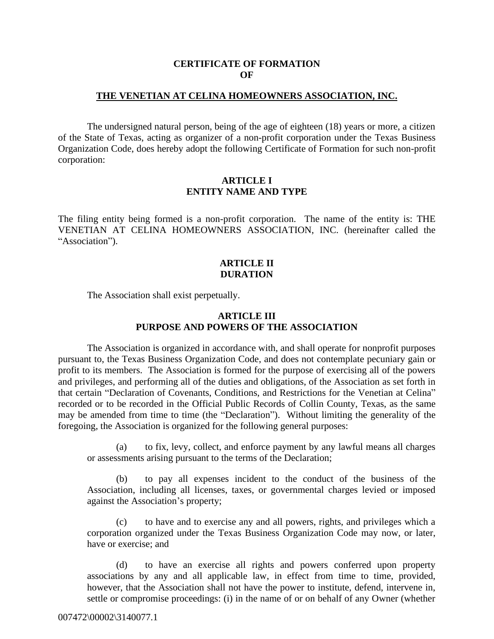#### **CERTIFICATE OF FORMATION OF**

#### **THE VENETIAN AT CELINA HOMEOWNERS ASSOCIATION, INC.**

The undersigned natural person, being of the age of eighteen (18) years or more, a citizen of the State of Texas, acting as organizer of a non-profit corporation under the Texas Business Organization Code, does hereby adopt the following Certificate of Formation for such non-profit corporation:

#### **ARTICLE I ENTITY NAME AND TYPE**

The filing entity being formed is a non-profit corporation. The name of the entity is: THE VENETIAN AT CELINA HOMEOWNERS ASSOCIATION, INC. (hereinafter called the "Association").

## **ARTICLE II DURATION**

The Association shall exist perpetually.

## **ARTICLE III PURPOSE AND POWERS OF THE ASSOCIATION**

The Association is organized in accordance with, and shall operate for nonprofit purposes pursuant to, the Texas Business Organization Code, and does not contemplate pecuniary gain or profit to its members. The Association is formed for the purpose of exercising all of the powers and privileges, and performing all of the duties and obligations, of the Association as set forth in that certain "Declaration of Covenants, Conditions, and Restrictions for the Venetian at Celina" recorded or to be recorded in the Official Public Records of Collin County, Texas, as the same may be amended from time to time (the "Declaration"). Without limiting the generality of the foregoing, the Association is organized for the following general purposes:

(a) to fix, levy, collect, and enforce payment by any lawful means all charges or assessments arising pursuant to the terms of the Declaration;

(b) to pay all expenses incident to the conduct of the business of the Association, including all licenses, taxes, or governmental charges levied or imposed against the Association's property;

(c) to have and to exercise any and all powers, rights, and privileges which a corporation organized under the Texas Business Organization Code may now, or later, have or exercise; and

(d) to have an exercise all rights and powers conferred upon property associations by any and all applicable law, in effect from time to time, provided, however, that the Association shall not have the power to institute, defend, intervene in, settle or compromise proceedings: (i) in the name of or on behalf of any Owner (whether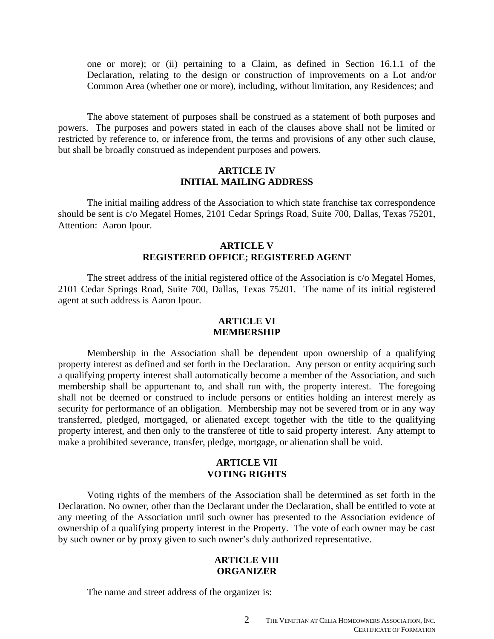one or more); or (ii) pertaining to a Claim, as defined in Section 16.1.1 of the Declaration, relating to the design or construction of improvements on a Lot and/or Common Area (whether one or more), including, without limitation, any Residences; and

The above statement of purposes shall be construed as a statement of both purposes and powers. The purposes and powers stated in each of the clauses above shall not be limited or restricted by reference to, or inference from, the terms and provisions of any other such clause, but shall be broadly construed as independent purposes and powers.

#### **ARTICLE IV INITIAL MAILING ADDRESS**

The initial mailing address of the Association to which state franchise tax correspondence should be sent is c/o Megatel Homes, 2101 Cedar Springs Road, Suite 700, Dallas, Texas 75201, Attention: Aaron Ipour.

#### **ARTICLE V REGISTERED OFFICE; REGISTERED AGENT**

The street address of the initial registered office of the Association is c/o Megatel Homes, 2101 Cedar Springs Road, Suite 700, Dallas, Texas 75201. The name of its initial registered agent at such address is Aaron Ipour.

#### **ARTICLE VI MEMBERSHIP**

Membership in the Association shall be dependent upon ownership of a qualifying property interest as defined and set forth in the Declaration. Any person or entity acquiring such a qualifying property interest shall automatically become a member of the Association, and such membership shall be appurtenant to, and shall run with, the property interest. The foregoing shall not be deemed or construed to include persons or entities holding an interest merely as security for performance of an obligation. Membership may not be severed from or in any way transferred, pledged, mortgaged, or alienated except together with the title to the qualifying property interest, and then only to the transferee of title to said property interest. Any attempt to make a prohibited severance, transfer, pledge, mortgage, or alienation shall be void.

# **ARTICLE VII VOTING RIGHTS**

Voting rights of the members of the Association shall be determined as set forth in the Declaration. No owner, other than the Declarant under the Declaration, shall be entitled to vote at any meeting of the Association until such owner has presented to the Association evidence of ownership of a qualifying property interest in the Property. The vote of each owner may be cast by such owner or by proxy given to such owner's duly authorized representative.

#### **ARTICLE VIII ORGANIZER**

The name and street address of the organizer is: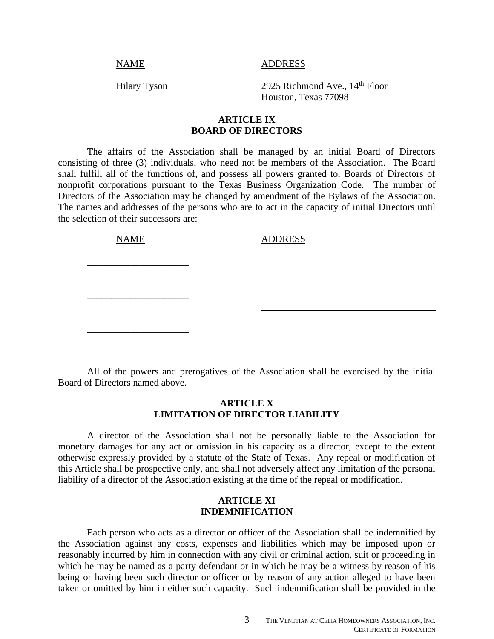NAME ADDRESS

Hilary Tyson 2925 Richmond Ave., 14<sup>th</sup> Floor Houston, Texas 77098

#### **ARTICLE IX BOARD OF DIRECTORS**

The affairs of the Association shall be managed by an initial Board of Directors consisting of three (3) individuals, who need not be members of the Association. The Board shall fulfill all of the functions of, and possess all powers granted to, Boards of Directors of nonprofit corporations pursuant to the Texas Business Organization Code. The number of Directors of the Association may be changed by amendment of the Bylaws of the Association. The names and addresses of the persons who are to act in the capacity of initial Directors until the selection of their successors are:

| <b>NAME</b> | <b>ADDRESS</b> |  |
|-------------|----------------|--|
|             |                |  |
|             |                |  |
|             |                |  |
|             |                |  |
|             |                |  |

All of the powers and prerogatives of the Association shall be exercised by the initial Board of Directors named above.

# **ARTICLE X LIMITATION OF DIRECTOR LIABILITY**

A director of the Association shall not be personally liable to the Association for monetary damages for any act or omission in his capacity as a director, except to the extent otherwise expressly provided by a statute of the State of Texas. Any repeal or modification of this Article shall be prospective only, and shall not adversely affect any limitation of the personal liability of a director of the Association existing at the time of the repeal or modification.

#### **ARTICLE XI INDEMNIFICATION**

Each person who acts as a director or officer of the Association shall be indemnified by the Association against any costs, expenses and liabilities which may be imposed upon or reasonably incurred by him in connection with any civil or criminal action, suit or proceeding in which he may be named as a party defendant or in which he may be a witness by reason of his being or having been such director or officer or by reason of any action alleged to have been taken or omitted by him in either such capacity. Such indemnification shall be provided in the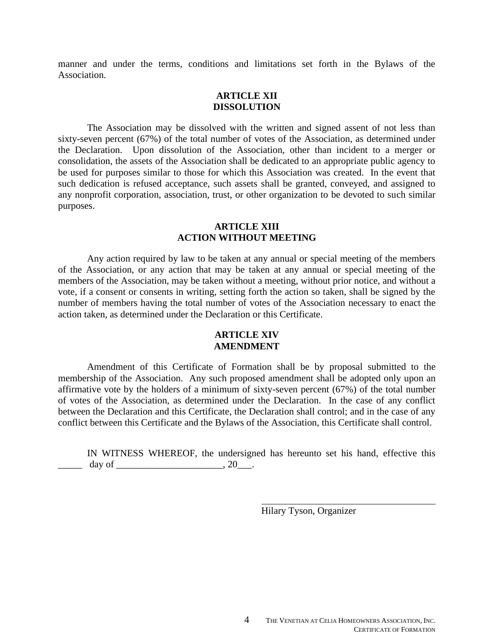manner and under the terms, conditions and limitations set forth in the Bylaws of the Association.

#### **ARTICLE XII DISSOLUTION**

The Association may be dissolved with the written and signed assent of not less than sixty-seven percent (67%) of the total number of votes of the Association, as determined under the Declaration. Upon dissolution of the Association, other than incident to a merger or consolidation, the assets of the Association shall be dedicated to an appropriate public agency to be used for purposes similar to those for which this Association was created. In the event that such dedication is refused acceptance, such assets shall be granted, conveyed, and assigned to any nonprofit corporation, association, trust, or other organization to be devoted to such similar purposes.

### **ARTICLE XIII ACTION WITHOUT MEETING**

Any action required by law to be taken at any annual or special meeting of the members of the Association, or any action that may be taken at any annual or special meeting of the members of the Association, may be taken without a meeting, without prior notice, and without a vote, if a consent or consents in writing, setting forth the action so taken, shall be signed by the number of members having the total number of votes of the Association necessary to enact the action taken, as determined under the Declaration or this Certificate.

## **ARTICLE XIV AMENDMENT**

Amendment of this Certificate of Formation shall be by proposal submitted to the membership of the Association. Any such proposed amendment shall be adopted only upon an affirmative vote by the holders of a minimum of sixty-seven percent (67%) of the total number of votes of the Association, as determined under the Declaration. In the case of any conflict between the Declaration and this Certificate, the Declaration shall control; and in the case of any conflict between this Certificate and the Bylaws of the Association, this Certificate shall control.

IN WITNESS WHEREOF, the undersigned has hereunto set his hand, effective this \_\_\_\_\_ day of \_\_\_\_\_\_\_\_\_\_\_\_\_\_\_\_\_\_\_\_\_\_, 20\_\_\_.

Hilary Tyson, Organizer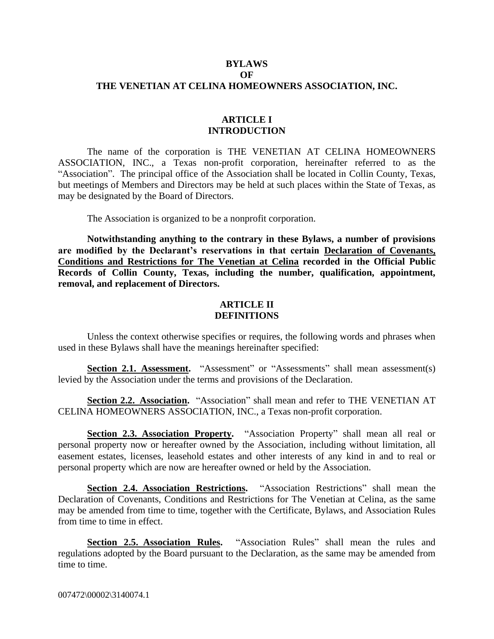## **BYLAWS OF THE VENETIAN AT CELINA HOMEOWNERS ASSOCIATION, INC.**

#### **ARTICLE I INTRODUCTION**

The name of the corporation is THE VENETIAN AT CELINA HOMEOWNERS ASSOCIATION, INC., a Texas non-profit corporation, hereinafter referred to as the "Association". The principal office of the Association shall be located in Collin County, Texas, but meetings of Members and Directors may be held at such places within the State of Texas, as may be designated by the Board of Directors.

The Association is organized to be a nonprofit corporation.

**Notwithstanding anything to the contrary in these Bylaws, a number of provisions are modified by the Declarant's reservations in that certain Declaration of Covenants, Conditions and Restrictions for The Venetian at Celina recorded in the Official Public Records of Collin County, Texas, including the number, qualification, appointment, removal, and replacement of Directors.**

#### **ARTICLE II DEFINITIONS**

Unless the context otherwise specifies or requires, the following words and phrases when used in these Bylaws shall have the meanings hereinafter specified:

**Section 2.1. Assessment.** "Assessment" or "Assessments" shall mean assessment(s) levied by the Association under the terms and provisions of the Declaration.

**Section 2.2. Association.** "Association" shall mean and refer to THE VENETIAN AT CELINA HOMEOWNERS ASSOCIATION, INC., a Texas non-profit corporation.

**Section 2.3. Association Property.** "Association Property" shall mean all real or personal property now or hereafter owned by the Association, including without limitation, all easement estates, licenses, leasehold estates and other interests of any kind in and to real or personal property which are now are hereafter owned or held by the Association.

**Section 2.4. Association Restrictions.** "Association Restrictions" shall mean the Declaration of Covenants, Conditions and Restrictions for The Venetian at Celina, as the same may be amended from time to time, together with the Certificate, Bylaws, and Association Rules from time to time in effect.

**Section 2.5. Association Rules.** "Association Rules" shall mean the rules and regulations adopted by the Board pursuant to the Declaration, as the same may be amended from time to time.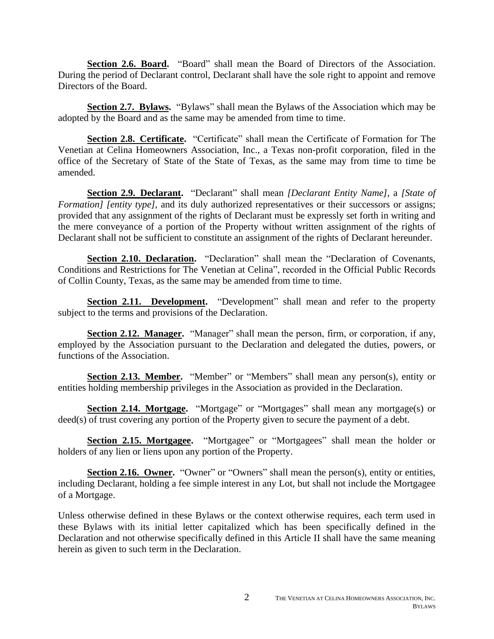**Section 2.6. Board.** "Board" shall mean the Board of Directors of the Association. During the period of Declarant control, Declarant shall have the sole right to appoint and remove Directors of the Board.

**Section 2.7. Bylaws.** "Bylaws" shall mean the Bylaws of the Association which may be adopted by the Board and as the same may be amended from time to time.

**Section 2.8. Certificate.** "Certificate" shall mean the Certificate of Formation for The Venetian at Celina Homeowners Association, Inc., a Texas non-profit corporation, filed in the office of the Secretary of State of the State of Texas, as the same may from time to time be amended.

**Section 2.9. Declarant.** "Declarant" shall mean *[Declarant Entity Name]*, a *[State of Formation] [entity type]*, and its duly authorized representatives or their successors or assigns; provided that any assignment of the rights of Declarant must be expressly set forth in writing and the mere conveyance of a portion of the Property without written assignment of the rights of Declarant shall not be sufficient to constitute an assignment of the rights of Declarant hereunder.

**Section 2.10. Declaration.** "Declaration" shall mean the "Declaration of Covenants, Conditions and Restrictions for The Venetian at Celina", recorded in the Official Public Records of Collin County, Texas, as the same may be amended from time to time.

**Section 2.11. Development.** "Development" shall mean and refer to the property subject to the terms and provisions of the Declaration.

**Section 2.12. Manager.** "Manager" shall mean the person, firm, or corporation, if any, employed by the Association pursuant to the Declaration and delegated the duties, powers, or functions of the Association.

**Section 2.13. Member.** "Member" or "Members" shall mean any person(s), entity or entities holding membership privileges in the Association as provided in the Declaration.

**Section 2.14. Mortgage.** "Mortgage" or "Mortgages" shall mean any mortgage(s) or deed(s) of trust covering any portion of the Property given to secure the payment of a debt.

**Section 2.15. Mortgagee.** "Mortgagee" or "Mortgagees" shall mean the holder or holders of any lien or liens upon any portion of the Property.

**Section 2.16. Owner.** "Owner" or "Owners" shall mean the person(s), entity or entities, including Declarant, holding a fee simple interest in any Lot, but shall not include the Mortgagee of a Mortgage.

Unless otherwise defined in these Bylaws or the context otherwise requires, each term used in these Bylaws with its initial letter capitalized which has been specifically defined in the Declaration and not otherwise specifically defined in this Article II shall have the same meaning herein as given to such term in the Declaration.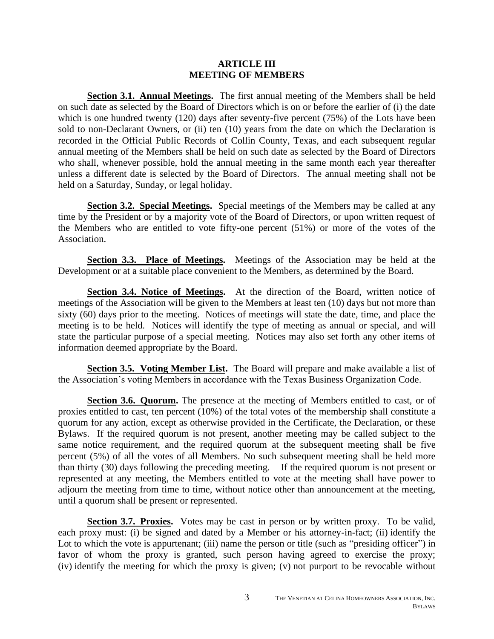#### **ARTICLE III MEETING OF MEMBERS**

**Section 3.1. Annual Meetings.** The first annual meeting of the Members shall be held on such date as selected by the Board of Directors which is on or before the earlier of (i) the date which is one hundred twenty (120) days after seventy-five percent (75%) of the Lots have been sold to non-Declarant Owners, or (ii) ten (10) years from the date on which the Declaration is recorded in the Official Public Records of Collin County, Texas, and each subsequent regular annual meeting of the Members shall be held on such date as selected by the Board of Directors who shall, whenever possible, hold the annual meeting in the same month each year thereafter unless a different date is selected by the Board of Directors. The annual meeting shall not be held on a Saturday, Sunday, or legal holiday.

**Section 3.2. Special Meetings.** Special meetings of the Members may be called at any time by the President or by a majority vote of the Board of Directors, or upon written request of the Members who are entitled to vote fifty-one percent (51%) or more of the votes of the Association.

**Section 3.3. Place of Meetings.** Meetings of the Association may be held at the Development or at a suitable place convenient to the Members, as determined by the Board.

**Section 3.4. Notice of Meetings.** At the direction of the Board, written notice of meetings of the Association will be given to the Members at least ten (10) days but not more than sixty (60) days prior to the meeting. Notices of meetings will state the date, time, and place the meeting is to be held. Notices will identify the type of meeting as annual or special, and will state the particular purpose of a special meeting. Notices may also set forth any other items of information deemed appropriate by the Board.

**Section 3.5. Voting Member List.** The Board will prepare and make available a list of the Association's voting Members in accordance with the Texas Business Organization Code.

**Section 3.6. Quorum.** The presence at the meeting of Members entitled to cast, or of proxies entitled to cast, ten percent (10%) of the total votes of the membership shall constitute a quorum for any action, except as otherwise provided in the Certificate, the Declaration, or these Bylaws. If the required quorum is not present, another meeting may be called subject to the same notice requirement, and the required quorum at the subsequent meeting shall be five percent (5%) of all the votes of all Members. No such subsequent meeting shall be held more than thirty (30) days following the preceding meeting. If the required quorum is not present or represented at any meeting, the Members entitled to vote at the meeting shall have power to adjourn the meeting from time to time, without notice other than announcement at the meeting, until a quorum shall be present or represented.

**Section 3.7. Proxies.** Votes may be cast in person or by written proxy. To be valid, each proxy must: (i) be signed and dated by a Member or his attorney-in-fact; (ii) identify the Lot to which the vote is appurtenant; (iii) name the person or title (such as "presiding officer") in favor of whom the proxy is granted, such person having agreed to exercise the proxy; (iv) identify the meeting for which the proxy is given; (v) not purport to be revocable without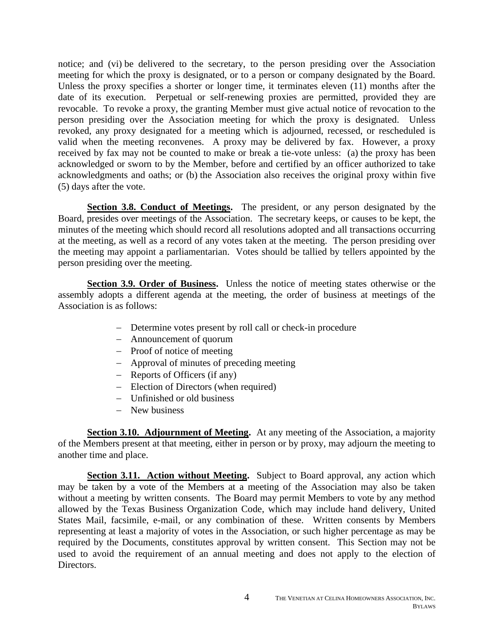notice; and (vi) be delivered to the secretary, to the person presiding over the Association meeting for which the proxy is designated, or to a person or company designated by the Board. Unless the proxy specifies a shorter or longer time, it terminates eleven (11) months after the date of its execution. Perpetual or self-renewing proxies are permitted, provided they are revocable. To revoke a proxy, the granting Member must give actual notice of revocation to the person presiding over the Association meeting for which the proxy is designated. Unless revoked, any proxy designated for a meeting which is adjourned, recessed, or rescheduled is valid when the meeting reconvenes. A proxy may be delivered by fax. However, a proxy received by fax may not be counted to make or break a tie-vote unless: (a) the proxy has been acknowledged or sworn to by the Member, before and certified by an officer authorized to take acknowledgments and oaths; or (b) the Association also receives the original proxy within five (5) days after the vote.

**Section 3.8. Conduct of Meetings.** The president, or any person designated by the Board, presides over meetings of the Association. The secretary keeps, or causes to be kept, the minutes of the meeting which should record all resolutions adopted and all transactions occurring at the meeting, as well as a record of any votes taken at the meeting. The person presiding over the meeting may appoint a parliamentarian. Votes should be tallied by tellers appointed by the person presiding over the meeting.

**Section 3.9. Order of Business.** Unless the notice of meeting states otherwise or the assembly adopts a different agenda at the meeting, the order of business at meetings of the Association is as follows:

- − Determine votes present by roll call or check-in procedure
- − Announcement of quorum
- − Proof of notice of meeting
- − Approval of minutes of preceding meeting
- − Reports of Officers (if any)
- − Election of Directors (when required)
- − Unfinished or old business
- − New business

**Section 3.10. Adjournment of Meeting.** At any meeting of the Association, a majority of the Members present at that meeting, either in person or by proxy, may adjourn the meeting to another time and place.

**Section 3.11. Action without Meeting.** Subject to Board approval, any action which may be taken by a vote of the Members at a meeting of the Association may also be taken without a meeting by written consents. The Board may permit Members to vote by any method allowed by the Texas Business Organization Code, which may include hand delivery, United States Mail, facsimile, e-mail, or any combination of these. Written consents by Members representing at least a majority of votes in the Association, or such higher percentage as may be required by the Documents, constitutes approval by written consent. This Section may not be used to avoid the requirement of an annual meeting and does not apply to the election of Directors.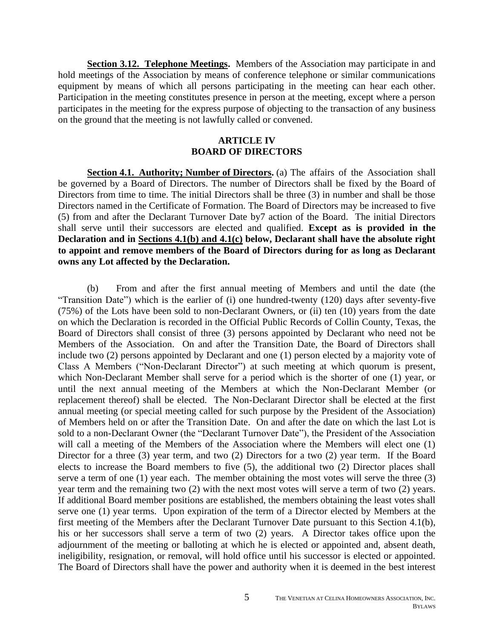**Section 3.12. Telephone Meetings.** Members of the Association may participate in and hold meetings of the Association by means of conference telephone or similar communications equipment by means of which all persons participating in the meeting can hear each other. Participation in the meeting constitutes presence in person at the meeting, except where a person participates in the meeting for the express purpose of objecting to the transaction of any business on the ground that the meeting is not lawfully called or convened.

# **ARTICLE IV BOARD OF DIRECTORS**

**Section 4.1. Authority; Number of Directors.** (a) The affairs of the Association shall be governed by a Board of Directors. The number of Directors shall be fixed by the Board of Directors from time to time. The initial Directors shall be three (3) in number and shall be those Directors named in the Certificate of Formation. The Board of Directors may be increased to five (5) from and after the Declarant Turnover Date by7 action of the Board. The initial Directors shall serve until their successors are elected and qualified. **Except as is provided in the Declaration and in Sections 4.1(b) and 4.1(c) below, Declarant shall have the absolute right to appoint and remove members of the Board of Directors during for as long as Declarant owns any Lot affected by the Declaration.** 

(b) From and after the first annual meeting of Members and until the date (the "Transition Date") which is the earlier of (i) one hundred-twenty (120) days after seventy-five (75%) of the Lots have been sold to non-Declarant Owners, or (ii) ten (10) years from the date on which the Declaration is recorded in the Official Public Records of Collin County, Texas, the Board of Directors shall consist of three (3) persons appointed by Declarant who need not be Members of the Association. On and after the Transition Date, the Board of Directors shall include two (2) persons appointed by Declarant and one (1) person elected by a majority vote of Class A Members ("Non-Declarant Director") at such meeting at which quorum is present, which Non-Declarant Member shall serve for a period which is the shorter of one (1) year, or until the next annual meeting of the Members at which the Non-Declarant Member (or replacement thereof) shall be elected. The Non-Declarant Director shall be elected at the first annual meeting (or special meeting called for such purpose by the President of the Association) of Members held on or after the Transition Date. On and after the date on which the last Lot is sold to a non-Declarant Owner (the "Declarant Turnover Date"), the President of the Association will call a meeting of the Members of the Association where the Members will elect one (1) Director for a three (3) year term, and two (2) Directors for a two (2) year term. If the Board elects to increase the Board members to five (5), the additional two (2) Director places shall serve a term of one (1) year each. The member obtaining the most votes will serve the three (3) year term and the remaining two (2) with the next most votes will serve a term of two (2) years. If additional Board member positions are established, the members obtaining the least votes shall serve one (1) year terms. Upon expiration of the term of a Director elected by Members at the first meeting of the Members after the Declarant Turnover Date pursuant to this Section 4.1(b), his or her successors shall serve a term of two (2) years. A Director takes office upon the adjournment of the meeting or balloting at which he is elected or appointed and, absent death, ineligibility, resignation, or removal, will hold office until his successor is elected or appointed. The Board of Directors shall have the power and authority when it is deemed in the best interest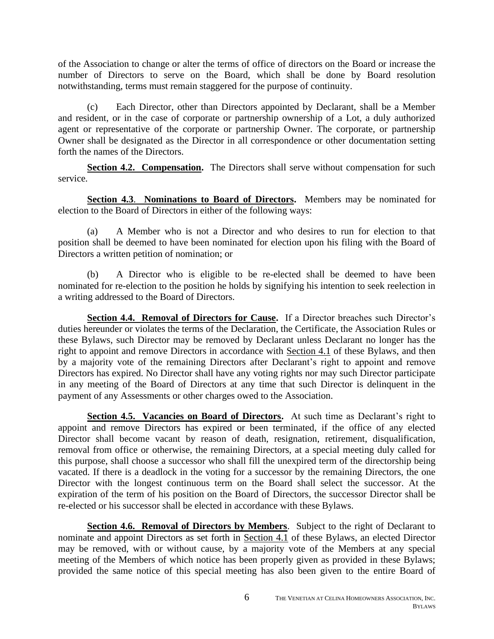of the Association to change or alter the terms of office of directors on the Board or increase the number of Directors to serve on the Board, which shall be done by Board resolution notwithstanding, terms must remain staggered for the purpose of continuity.

(c) Each Director, other than Directors appointed by Declarant, shall be a Member and resident, or in the case of corporate or partnership ownership of a Lot, a duly authorized agent or representative of the corporate or partnership Owner. The corporate, or partnership Owner shall be designated as the Director in all correspondence or other documentation setting forth the names of the Directors.

**Section 4.2. Compensation.** The Directors shall serve without compensation for such service.

**Section 4.3**. **Nominations to Board of Directors.** Members may be nominated for election to the Board of Directors in either of the following ways:

(a) A Member who is not a Director and who desires to run for election to that position shall be deemed to have been nominated for election upon his filing with the Board of Directors a written petition of nomination; or

(b) A Director who is eligible to be re-elected shall be deemed to have been nominated for re-election to the position he holds by signifying his intention to seek reelection in a writing addressed to the Board of Directors.

**Section 4.4. Removal of Directors for Cause.** If a Director breaches such Director's duties hereunder or violates the terms of the Declaration, the Certificate, the Association Rules or these Bylaws, such Director may be removed by Declarant unless Declarant no longer has the right to appoint and remove Directors in accordance with Section 4.1 of these Bylaws, and then by a majority vote of the remaining Directors after Declarant's right to appoint and remove Directors has expired. No Director shall have any voting rights nor may such Director participate in any meeting of the Board of Directors at any time that such Director is delinquent in the payment of any Assessments or other charges owed to the Association.

**Section 4.5. Vacancies on Board of Directors.** At such time as Declarant's right to appoint and remove Directors has expired or been terminated, if the office of any elected Director shall become vacant by reason of death, resignation, retirement, disqualification, removal from office or otherwise, the remaining Directors, at a special meeting duly called for this purpose, shall choose a successor who shall fill the unexpired term of the directorship being vacated. If there is a deadlock in the voting for a successor by the remaining Directors, the one Director with the longest continuous term on the Board shall select the successor. At the expiration of the term of his position on the Board of Directors, the successor Director shall be re-elected or his successor shall be elected in accordance with these Bylaws.

**Section 4.6. Removal of Directors by Members.** Subject to the right of Declarant to nominate and appoint Directors as set forth in Section 4.1 of these Bylaws, an elected Director may be removed, with or without cause, by a majority vote of the Members at any special meeting of the Members of which notice has been properly given as provided in these Bylaws; provided the same notice of this special meeting has also been given to the entire Board of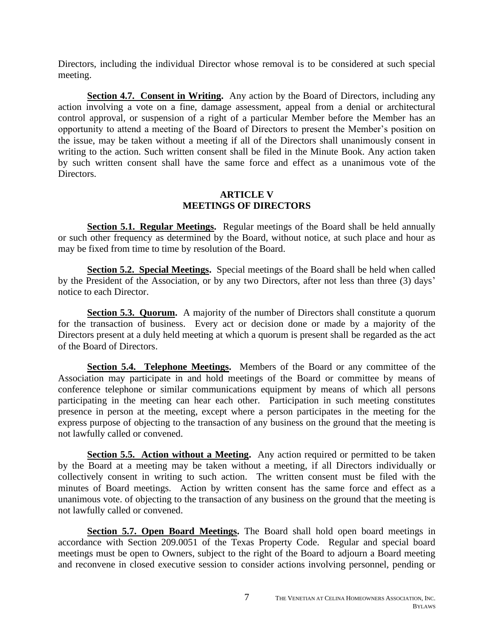Directors, including the individual Director whose removal is to be considered at such special meeting.

**Section 4.7. Consent in Writing.** Any action by the Board of Directors, including any action involving a vote on a fine, damage assessment, appeal from a denial or architectural control approval, or suspension of a right of a particular Member before the Member has an opportunity to attend a meeting of the Board of Directors to present the Member's position on the issue, may be taken without a meeting if all of the Directors shall unanimously consent in writing to the action. Such written consent shall be filed in the Minute Book. Any action taken by such written consent shall have the same force and effect as a unanimous vote of the Directors.

# **ARTICLE V MEETINGS OF DIRECTORS**

**Section 5.1. Regular Meetings.** Regular meetings of the Board shall be held annually or such other frequency as determined by the Board, without notice, at such place and hour as may be fixed from time to time by resolution of the Board.

**Section 5.2. Special Meetings.** Special meetings of the Board shall be held when called by the President of the Association, or by any two Directors, after not less than three (3) days' notice to each Director.

**Section 5.3. Quorum.** A majority of the number of Directors shall constitute a quorum for the transaction of business. Every act or decision done or made by a majority of the Directors present at a duly held meeting at which a quorum is present shall be regarded as the act of the Board of Directors.

**Section 5.4. Telephone Meetings.** Members of the Board or any committee of the Association may participate in and hold meetings of the Board or committee by means of conference telephone or similar communications equipment by means of which all persons participating in the meeting can hear each other. Participation in such meeting constitutes presence in person at the meeting, except where a person participates in the meeting for the express purpose of objecting to the transaction of any business on the ground that the meeting is not lawfully called or convened.

**Section 5.5. Action without a Meeting.** Any action required or permitted to be taken by the Board at a meeting may be taken without a meeting, if all Directors individually or collectively consent in writing to such action. The written consent must be filed with the minutes of Board meetings. Action by written consent has the same force and effect as a unanimous vote. of objecting to the transaction of any business on the ground that the meeting is not lawfully called or convened.

**Section 5.7. Open Board Meetings.** The Board shall hold open board meetings in accordance with Section 209.0051 of the Texas Property Code. Regular and special board meetings must be open to Owners, subject to the right of the Board to adjourn a Board meeting and reconvene in closed executive session to consider actions involving personnel, pending or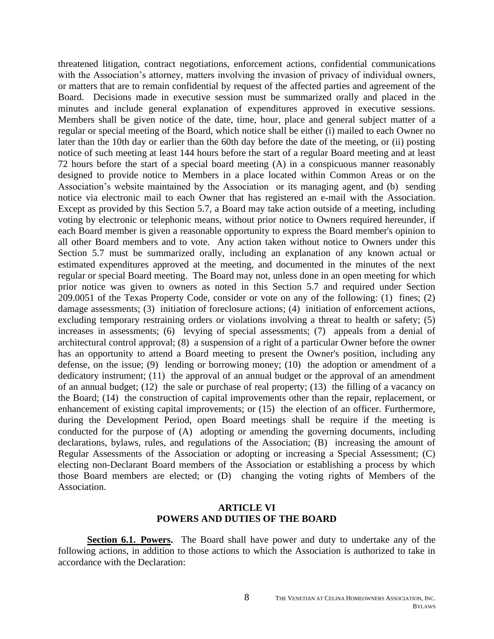threatened litigation, contract negotiations, enforcement actions, confidential communications with the Association's attorney, matters involving the invasion of privacy of individual owners, or matters that are to remain confidential by request of the affected parties and agreement of the Board. Decisions made in executive session must be summarized orally and placed in the minutes and include general explanation of expenditures approved in executive sessions. Members shall be given notice of the date, time, hour, place and general subject matter of a regular or special meeting of the Board, which notice shall be either (i) mailed to each Owner no later than the 10th day or earlier than the 60th day before the date of the meeting, or (ii) posting notice of such meeting at least 144 hours before the start of a regular Board meeting and at least 72 hours before the start of a special board meeting (A) in a conspicuous manner reasonably designed to provide notice to Members in a place located within Common Areas or on the Association's website maintained by the Association or its managing agent, and (b) sending notice via electronic mail to each Owner that has registered an e-mail with the Association. Except as provided by this Section 5.7, a Board may take action outside of a meeting, including voting by electronic or telephonic means, without prior notice to Owners required hereunder, if each Board member is given a reasonable opportunity to express the Board member's opinion to all other Board members and to vote. Any action taken without notice to Owners under this Section 5.7 must be summarized orally, including an explanation of any known actual or estimated expenditures approved at the meeting, and documented in the minutes of the next regular or special Board meeting. The Board may not, unless done in an open meeting for which prior notice was given to owners as noted in this Section 5.7 and required under Section 209.0051 of the Texas Property Code, consider or vote on any of the following: (1) fines; (2) damage assessments; (3) initiation of foreclosure actions; (4) initiation of enforcement actions, excluding temporary restraining orders or violations involving a threat to health or safety; (5) increases in assessments; (6) levying of special assessments; (7) appeals from a denial of architectural control approval; (8) a suspension of a right of a particular Owner before the owner has an opportunity to attend a Board meeting to present the Owner's position, including any defense, on the issue; (9) lending or borrowing money; (10) the adoption or amendment of a dedicatory instrument; (11) the approval of an annual budget or the approval of an amendment of an annual budget; (12) the sale or purchase of real property; (13) the filling of a vacancy on the Board; (14) the construction of capital improvements other than the repair, replacement, or enhancement of existing capital improvements; or (15) the election of an officer. Furthermore, during the Development Period, open Board meetings shall be require if the meeting is conducted for the purpose of (A) adopting or amending the governing documents, including declarations, bylaws, rules, and regulations of the Association; (B) increasing the amount of Regular Assessments of the Association or adopting or increasing a Special Assessment; (C) electing non-Declarant Board members of the Association or establishing a process by which those Board members are elected; or (D) changing the voting rights of Members of the Association.

## **ARTICLE VI POWERS AND DUTIES OF THE BOARD**

**Section 6.1. Powers.** The Board shall have power and duty to undertake any of the following actions, in addition to those actions to which the Association is authorized to take in accordance with the Declaration: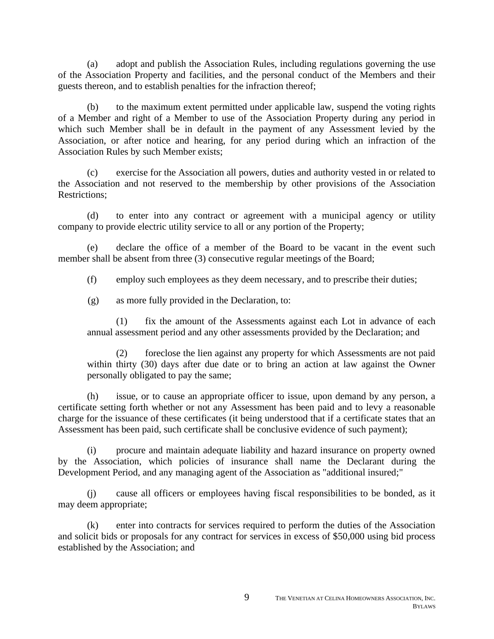(a) adopt and publish the Association Rules, including regulations governing the use of the Association Property and facilities, and the personal conduct of the Members and their guests thereon, and to establish penalties for the infraction thereof;

(b) to the maximum extent permitted under applicable law, suspend the voting rights of a Member and right of a Member to use of the Association Property during any period in which such Member shall be in default in the payment of any Assessment levied by the Association, or after notice and hearing, for any period during which an infraction of the Association Rules by such Member exists;

(c) exercise for the Association all powers, duties and authority vested in or related to the Association and not reserved to the membership by other provisions of the Association Restrictions;

(d) to enter into any contract or agreement with a municipal agency or utility company to provide electric utility service to all or any portion of the Property;

(e) declare the office of a member of the Board to be vacant in the event such member shall be absent from three (3) consecutive regular meetings of the Board;

(f) employ such employees as they deem necessary, and to prescribe their duties;

(g) as more fully provided in the Declaration, to:

(1) fix the amount of the Assessments against each Lot in advance of each annual assessment period and any other assessments provided by the Declaration; and

(2) foreclose the lien against any property for which Assessments are not paid within thirty (30) days after due date or to bring an action at law against the Owner personally obligated to pay the same;

(h) issue, or to cause an appropriate officer to issue, upon demand by any person, a certificate setting forth whether or not any Assessment has been paid and to levy a reasonable charge for the issuance of these certificates (it being understood that if a certificate states that an Assessment has been paid, such certificate shall be conclusive evidence of such payment);

(i) procure and maintain adequate liability and hazard insurance on property owned by the Association, which policies of insurance shall name the Declarant during the Development Period, and any managing agent of the Association as "additional insured;"

(j) cause all officers or employees having fiscal responsibilities to be bonded, as it may deem appropriate;

(k) enter into contracts for services required to perform the duties of the Association and solicit bids or proposals for any contract for services in excess of \$50,000 using bid process established by the Association; and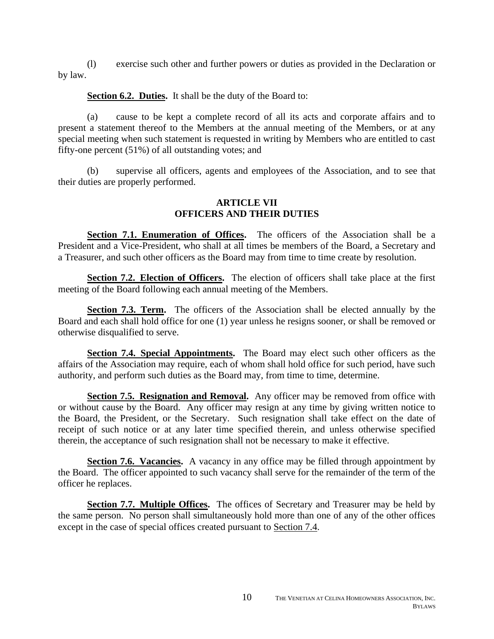(l) exercise such other and further powers or duties as provided in the Declaration or by law.

**Section 6.2. Duties.** It shall be the duty of the Board to:

(a) cause to be kept a complete record of all its acts and corporate affairs and to present a statement thereof to the Members at the annual meeting of the Members, or at any special meeting when such statement is requested in writing by Members who are entitled to cast fifty-one percent (51%) of all outstanding votes; and

(b) supervise all officers, agents and employees of the Association, and to see that their duties are properly performed.

## **ARTICLE VII OFFICERS AND THEIR DUTIES**

**Section 7.1. Enumeration of Offices.** The officers of the Association shall be a President and a Vice-President, who shall at all times be members of the Board, a Secretary and a Treasurer, and such other officers as the Board may from time to time create by resolution.

**Section 7.2. Election of Officers.** The election of officers shall take place at the first meeting of the Board following each annual meeting of the Members.

**Section 7.3. Term.** The officers of the Association shall be elected annually by the Board and each shall hold office for one (1) year unless he resigns sooner, or shall be removed or otherwise disqualified to serve.

**Section 7.4. Special Appointments.** The Board may elect such other officers as the affairs of the Association may require, each of whom shall hold office for such period, have such authority, and perform such duties as the Board may, from time to time, determine.

**Section 7.5. Resignation and Removal.** Any officer may be removed from office with or without cause by the Board. Any officer may resign at any time by giving written notice to the Board, the President, or the Secretary. Such resignation shall take effect on the date of receipt of such notice or at any later time specified therein, and unless otherwise specified therein, the acceptance of such resignation shall not be necessary to make it effective.

**Section 7.6. Vacancies.** A vacancy in any office may be filled through appointment by the Board. The officer appointed to such vacancy shall serve for the remainder of the term of the officer he replaces.

**Section 7.7. Multiple Offices.** The offices of Secretary and Treasurer may be held by the same person. No person shall simultaneously hold more than one of any of the other offices except in the case of special offices created pursuant to Section 7.4.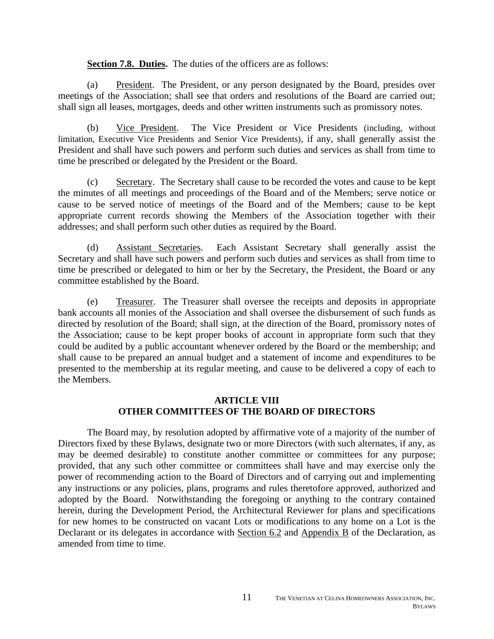# **Section 7.8. Duties.** The duties of the officers are as follows:

(a) President. The President, or any person designated by the Board, presides over meetings of the Association; shall see that orders and resolutions of the Board are carried out; shall sign all leases, mortgages, deeds and other written instruments such as promissory notes.

(b) Vice President. The Vice President or Vice Presidents (including, without limitation, Executive Vice Presidents and Senior Vice Presidents), if any, shall generally assist the President and shall have such powers and perform such duties and services as shall from time to time be prescribed or delegated by the President or the Board.

(c) Secretary. The Secretary shall cause to be recorded the votes and cause to be kept the minutes of all meetings and proceedings of the Board and of the Members; serve notice or cause to be served notice of meetings of the Board and of the Members; cause to be kept appropriate current records showing the Members of the Association together with their addresses; and shall perform such other duties as required by the Board.

(d) Assistant Secretaries. Each Assistant Secretary shall generally assist the Secretary and shall have such powers and perform such duties and services as shall from time to time be prescribed or delegated to him or her by the Secretary, the President, the Board or any committee established by the Board.

(e) Treasurer. The Treasurer shall oversee the receipts and deposits in appropriate bank accounts all monies of the Association and shall oversee the disbursement of such funds as directed by resolution of the Board; shall sign, at the direction of the Board, promissory notes of the Association; cause to be kept proper books of account in appropriate form such that they could be audited by a public accountant whenever ordered by the Board or the membership; and shall cause to be prepared an annual budget and a statement of income and expenditures to be presented to the membership at its regular meeting, and cause to be delivered a copy of each to the Members.

# **ARTICLE VIII OTHER COMMITTEES OF THE BOARD OF DIRECTORS**

The Board may, by resolution adopted by affirmative vote of a majority of the number of Directors fixed by these Bylaws, designate two or more Directors (with such alternates, if any, as may be deemed desirable) to constitute another committee or committees for any purpose; provided, that any such other committee or committees shall have and may exercise only the power of recommending action to the Board of Directors and of carrying out and implementing any instructions or any policies, plans, programs and rules theretofore approved, authorized and adopted by the Board. Notwithstanding the foregoing or anything to the contrary contained herein, during the Development Period, the Architectural Reviewer for plans and specifications for new homes to be constructed on vacant Lots or modifications to any home on a Lot is the Declarant or its delegates in accordance with Section 6.2 and Appendix B of the Declaration, as amended from time to time.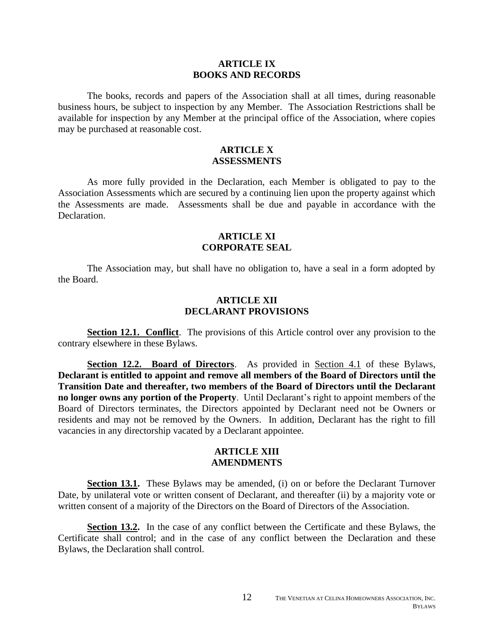#### **ARTICLE IX BOOKS AND RECORDS**

The books, records and papers of the Association shall at all times, during reasonable business hours, be subject to inspection by any Member. The Association Restrictions shall be available for inspection by any Member at the principal office of the Association, where copies may be purchased at reasonable cost.

#### **ARTICLE X ASSESSMENTS**

As more fully provided in the Declaration, each Member is obligated to pay to the Association Assessments which are secured by a continuing lien upon the property against which the Assessments are made. Assessments shall be due and payable in accordance with the Declaration.

## **ARTICLE XI CORPORATE SEAL**

The Association may, but shall have no obligation to, have a seal in a form adopted by the Board.

#### **ARTICLE XII DECLARANT PROVISIONS**

**Section 12.1. Conflict.** The provisions of this Article control over any provision to the contrary elsewhere in these Bylaws.

**Section 12.2. Board of Directors**. As provided in Section 4.1 of these Bylaws, **Declarant is entitled to appoint and remove all members of the Board of Directors until the Transition Date and thereafter, two members of the Board of Directors until the Declarant no longer owns any portion of the Property**. Until Declarant's right to appoint members of the Board of Directors terminates, the Directors appointed by Declarant need not be Owners or residents and may not be removed by the Owners. In addition, Declarant has the right to fill vacancies in any directorship vacated by a Declarant appointee.

#### **ARTICLE XIII AMENDMENTS**

**Section 13.1.** These Bylaws may be amended, (i) on or before the Declarant Turnover Date, by unilateral vote or written consent of Declarant, and thereafter (ii) by a majority vote or written consent of a majority of the Directors on the Board of Directors of the Association.

**Section 13.2.** In the case of any conflict between the Certificate and these Bylaws, the Certificate shall control; and in the case of any conflict between the Declaration and these Bylaws, the Declaration shall control.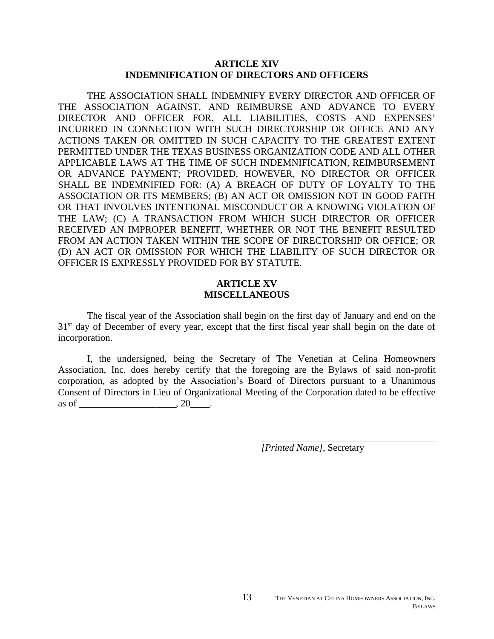## **ARTICLE XIV INDEMNIFICATION OF DIRECTORS AND OFFICERS**

THE ASSOCIATION SHALL INDEMNIFY EVERY DIRECTOR AND OFFICER OF THE ASSOCIATION AGAINST, AND REIMBURSE AND ADVANCE TO EVERY DIRECTOR AND OFFICER FOR, ALL LIABILITIES, COSTS AND EXPENSES' INCURRED IN CONNECTION WITH SUCH DIRECTORSHIP OR OFFICE AND ANY ACTIONS TAKEN OR OMITTED IN SUCH CAPACITY TO THE GREATEST EXTENT PERMITTED UNDER THE TEXAS BUSINESS ORGANIZATION CODE AND ALL OTHER APPLICABLE LAWS AT THE TIME OF SUCH INDEMNIFICATION, REIMBURSEMENT OR ADVANCE PAYMENT; PROVIDED, HOWEVER, NO DIRECTOR OR OFFICER SHALL BE INDEMNIFIED FOR: (A) A BREACH OF DUTY OF LOYALTY TO THE ASSOCIATION OR ITS MEMBERS; (B) AN ACT OR OMISSION NOT IN GOOD FAITH OR THAT INVOLVES INTENTIONAL MISCONDUCT OR A KNOWING VIOLATION OF THE LAW; (C) A TRANSACTION FROM WHICH SUCH DIRECTOR OR OFFICER RECEIVED AN IMPROPER BENEFIT, WHETHER OR NOT THE BENEFIT RESULTED FROM AN ACTION TAKEN WITHIN THE SCOPE OF DIRECTORSHIP OR OFFICE; OR (D) AN ACT OR OMISSION FOR WHICH THE LIABILITY OF SUCH DIRECTOR OR OFFICER IS EXPRESSLY PROVIDED FOR BY STATUTE.

# **ARTICLE XV MISCELLANEOUS**

The fiscal year of the Association shall begin on the first day of January and end on the 31<sup>st</sup> day of December of every year, except that the first fiscal year shall begin on the date of incorporation.

I, the undersigned, being the Secretary of The Venetian at Celina Homeowners Association, Inc. does hereby certify that the foregoing are the Bylaws of said non-profit corporation, as adopted by the Association's Board of Directors pursuant to a Unanimous Consent of Directors in Lieu of Organizational Meeting of the Corporation dated to be effective as of \_\_\_\_\_\_\_\_\_\_\_\_\_\_\_\_\_\_\_\_\_\_, 20\_\_\_\_\_.

*[Printed Name]*, Secretary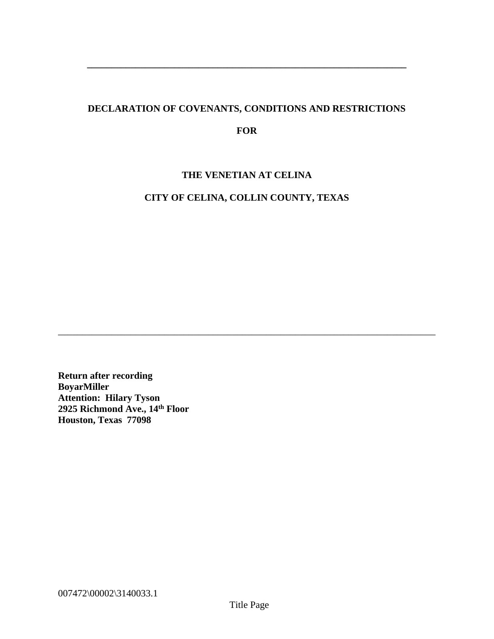# **DECLARATION OF COVENANTS, CONDITIONS AND RESTRICTIONS**

**\_\_\_\_\_\_\_\_\_\_\_\_\_\_\_\_\_\_\_\_\_\_\_\_\_\_\_\_\_\_\_\_\_\_\_\_\_\_\_\_\_\_\_\_\_\_\_\_\_\_\_\_\_\_\_\_\_\_\_\_\_\_\_\_\_\_**

# **FOR**

# **THE VENETIAN AT CELINA**

# **CITY OF CELINA, COLLIN COUNTY, TEXAS**

\_\_\_\_\_\_\_\_\_\_\_\_\_\_\_\_\_\_\_\_\_\_\_\_\_\_\_\_\_\_\_\_\_\_\_\_\_\_\_\_\_\_\_\_\_\_\_\_\_\_\_\_\_\_\_\_\_\_\_\_\_\_\_\_\_\_\_\_\_\_\_\_\_\_\_\_\_\_

**Return after recording BoyarMiller Attention: Hilary Tyson 2925 Richmond Ave., 14th Floor Houston, Texas 77098**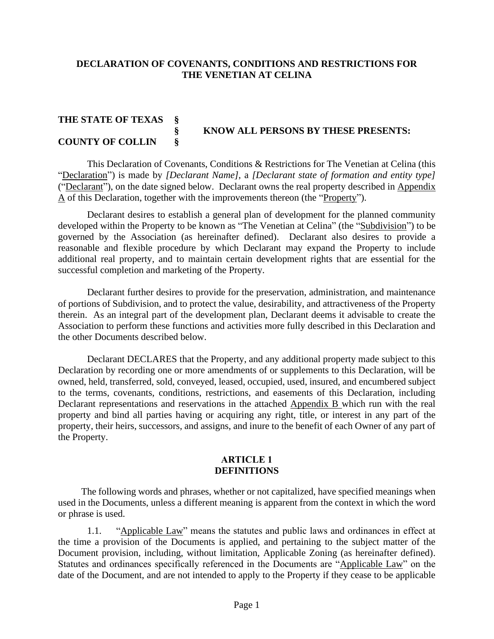# **DECLARATION OF COVENANTS, CONDITIONS AND RESTRICTIONS FOR THE VENETIAN AT CELINA**

# **THE STATE OF TEXAS § § KNOW ALL PERSONS BY THESE PRESENTS: COUNTY OF COLLIN §**

This Declaration of Covenants, Conditions & Restrictions for The Venetian at Celina (this "Declaration") is made by *[Declarant Name]*, a *[Declarant state of formation and entity type]*  ("Declarant"), on the date signed below. Declarant owns the real property described in Appendix A of this Declaration, together with the improvements thereon (the "Property").

Declarant desires to establish a general plan of development for the planned community developed within the Property to be known as "The Venetian at Celina" (the "Subdivision") to be governed by the Association (as hereinafter defined). Declarant also desires to provide a reasonable and flexible procedure by which Declarant may expand the Property to include additional real property, and to maintain certain development rights that are essential for the successful completion and marketing of the Property.

Declarant further desires to provide for the preservation, administration, and maintenance of portions of Subdivision, and to protect the value, desirability, and attractiveness of the Property therein. As an integral part of the development plan, Declarant deems it advisable to create the Association to perform these functions and activities more fully described in this Declaration and the other Documents described below.

Declarant DECLARES that the Property, and any additional property made subject to this Declaration by recording one or more amendments of or supplements to this Declaration, will be owned, held, transferred, sold, conveyed, leased, occupied, used, insured, and encumbered subject to the terms, covenants, conditions, restrictions, and easements of this Declaration, including Declarant representations and reservations in the attached Appendix B which run with the real property and bind all parties having or acquiring any right, title, or interest in any part of the property, their heirs, successors, and assigns, and inure to the benefit of each Owner of any part of the Property.

#### **ARTICLE 1 DEFINITIONS**

The following words and phrases, whether or not capitalized, have specified meanings when used in the Documents, unless a different meaning is apparent from the context in which the word or phrase is used.

1.1. "Applicable Law" means the statutes and public laws and ordinances in effect at the time a provision of the Documents is applied, and pertaining to the subject matter of the Document provision, including, without limitation, Applicable Zoning (as hereinafter defined). Statutes and ordinances specifically referenced in the Documents are "Applicable Law" on the date of the Document, and are not intended to apply to the Property if they cease to be applicable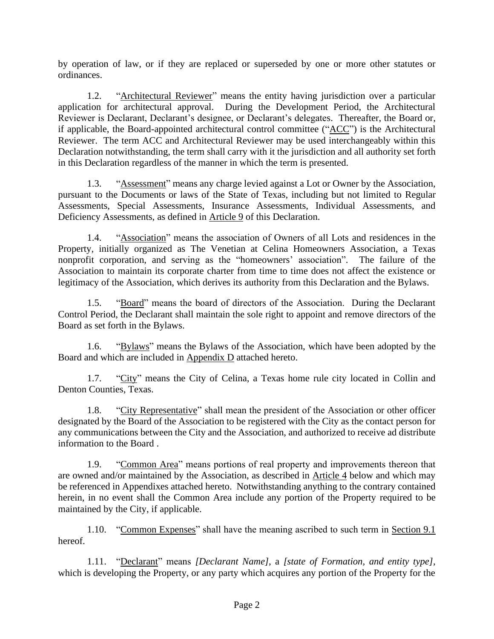by operation of law, or if they are replaced or superseded by one or more other statutes or ordinances.

1.2. "Architectural Reviewer" means the entity having jurisdiction over a particular application for architectural approval. During the Development Period, the Architectural Reviewer is Declarant, Declarant's designee, or Declarant's delegates. Thereafter, the Board or, if applicable, the Board-appointed architectural control committee ("ACC") is the Architectural Reviewer. The term ACC and Architectural Reviewer may be used interchangeably within this Declaration notwithstanding, the term shall carry with it the jurisdiction and all authority set forth in this Declaration regardless of the manner in which the term is presented.

1.3. "Assessment" means any charge levied against a Lot or Owner by the Association, pursuant to the Documents or laws of the State of Texas, including but not limited to Regular Assessments, Special Assessments, Insurance Assessments, Individual Assessments, and Deficiency Assessments, as defined in Article 9 of this Declaration.

1.4. "Association" means the association of Owners of all Lots and residences in the Property, initially organized as The Venetian at Celina Homeowners Association, a Texas nonprofit corporation, and serving as the "homeowners' association". The failure of the Association to maintain its corporate charter from time to time does not affect the existence or legitimacy of the Association, which derives its authority from this Declaration and the Bylaws.

1.5. "Board" means the board of directors of the Association. During the Declarant Control Period, the Declarant shall maintain the sole right to appoint and remove directors of the Board as set forth in the Bylaws.

1.6. "Bylaws" means the Bylaws of the Association, which have been adopted by the Board and which are included in Appendix D attached hereto.

1.7. "City" means the City of Celina, a Texas home rule city located in Collin and Denton Counties, Texas.

1.8. "City Representative" shall mean the president of the Association or other officer designated by the Board of the Association to be registered with the City as the contact person for any communications between the City and the Association, and authorized to receive ad distribute information to the Board .

1.9. "Common Area" means portions of real property and improvements thereon that are owned and/or maintained by the Association, as described in Article 4 below and which may be referenced in Appendixes attached hereto. Notwithstanding anything to the contrary contained herein, in no event shall the Common Area include any portion of the Property required to be maintained by the City, if applicable.

1.10. "Common Expenses" shall have the meaning ascribed to such term in Section 9.1 hereof.

1.11. "Declarant" means *[Declarant Name]*, a *[state of Formation, and entity type]*, which is developing the Property, or any party which acquires any portion of the Property for the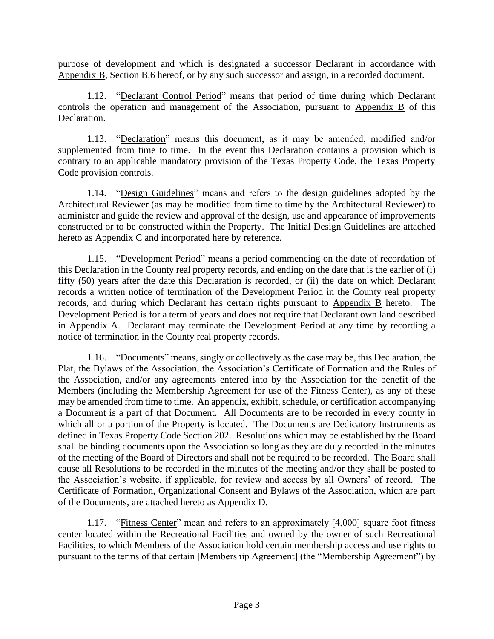purpose of development and which is designated a successor Declarant in accordance with Appendix B, Section B.6 hereof, or by any such successor and assign, in a recorded document.

1.12. "Declarant Control Period" means that period of time during which Declarant controls the operation and management of the Association, pursuant to  $\overrightarrow{Appendix}$  B of this Declaration.

1.13. "Declaration" means this document, as it may be amended, modified and/or supplemented from time to time. In the event this Declaration contains a provision which is contrary to an applicable mandatory provision of the Texas Property Code, the Texas Property Code provision controls.

1.14. "Design Guidelines" means and refers to the design guidelines adopted by the Architectural Reviewer (as may be modified from time to time by the Architectural Reviewer) to administer and guide the review and approval of the design, use and appearance of improvements constructed or to be constructed within the Property. The Initial Design Guidelines are attached hereto as **Appendix C** and incorporated here by reference.

1.15. "Development Period" means a period commencing on the date of recordation of this Declaration in the County real property records, and ending on the date that is the earlier of (i) fifty (50) years after the date this Declaration is recorded, or (ii) the date on which Declarant records a written notice of termination of the Development Period in the County real property records, and during which Declarant has certain rights pursuant to Appendix B hereto. The Development Period is for a term of years and does not require that Declarant own land described in Appendix A. Declarant may terminate the Development Period at any time by recording a notice of termination in the County real property records.

1.16. "Documents" means, singly or collectively as the case may be, this Declaration, the Plat, the Bylaws of the Association, the Association's Certificate of Formation and the Rules of the Association, and/or any agreements entered into by the Association for the benefit of the Members (including the Membership Agreement for use of the Fitness Center), as any of these may be amended from time to time. An appendix, exhibit, schedule, or certification accompanying a Document is a part of that Document. All Documents are to be recorded in every county in which all or a portion of the Property is located. The Documents are Dedicatory Instruments as defined in Texas Property Code Section 202. Resolutions which may be established by the Board shall be binding documents upon the Association so long as they are duly recorded in the minutes of the meeting of the Board of Directors and shall not be required to be recorded. The Board shall cause all Resolutions to be recorded in the minutes of the meeting and/or they shall be posted to the Association's website, if applicable, for review and access by all Owners' of record. The Certificate of Formation, Organizational Consent and Bylaws of the Association, which are part of the Documents, are attached hereto as Appendix D.

1.17. "Fitness Center" mean and refers to an approximately [4,000] square foot fitness center located within the Recreational Facilities and owned by the owner of such Recreational Facilities, to which Members of the Association hold certain membership access and use rights to pursuant to the terms of that certain [Membership Agreement] (the "Membership Agreement") by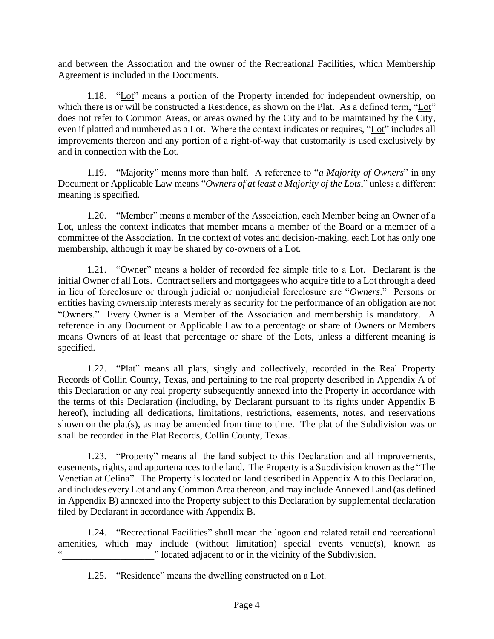and between the Association and the owner of the Recreational Facilities, which Membership Agreement is included in the Documents.

1.18. "Lot" means a portion of the Property intended for independent ownership, on which there is or will be constructed a Residence, as shown on the Plat. As a defined term, "Lot" does not refer to Common Areas, or areas owned by the City and to be maintained by the City, even if platted and numbered as a Lot. Where the context indicates or requires, "Lot" includes all improvements thereon and any portion of a right-of-way that customarily is used exclusively by and in connection with the Lot.

1.19. "Majority" means more than half. A reference to "*a Majority of Owners*" in any Document or Applicable Law means "*Owners of at least a Majority of the Lots*," unless a different meaning is specified.

1.20. "Member" means a member of the Association, each Member being an Owner of a Lot, unless the context indicates that member means a member of the Board or a member of a committee of the Association. In the context of votes and decision-making, each Lot has only one membership, although it may be shared by co-owners of a Lot.

1.21. "Owner" means a holder of recorded fee simple title to a Lot. Declarant is the initial Owner of all Lots. Contract sellers and mortgagees who acquire title to a Lot through a deed in lieu of foreclosure or through judicial or nonjudicial foreclosure are "*Owners*." Persons or entities having ownership interests merely as security for the performance of an obligation are not "Owners." Every Owner is a Member of the Association and membership is mandatory. A reference in any Document or Applicable Law to a percentage or share of Owners or Members means Owners of at least that percentage or share of the Lots, unless a different meaning is specified.

1.22. "Plat" means all plats, singly and collectively, recorded in the Real Property Records of Collin County, Texas, and pertaining to the real property described in Appendix A of this Declaration or any real property subsequently annexed into the Property in accordance with the terms of this Declaration (including, by Declarant pursuant to its rights under Appendix B hereof), including all dedications, limitations, restrictions, easements, notes, and reservations shown on the plat(s), as may be amended from time to time. The plat of the Subdivision was or shall be recorded in the Plat Records, Collin County, Texas.

1.23. "Property" means all the land subject to this Declaration and all improvements, easements, rights, and appurtenances to the land. The Property is a Subdivision known as the "The Venetian at Celina". The Property is located on land described in Appendix A to this Declaration, and includes every Lot and any Common Area thereon, and may include Annexed Land (as defined in Appendix B) annexed into the Property subject to this Declaration by supplemental declaration filed by Declarant in accordance with Appendix B.

1.24. "Recreational Facilities" shall mean the lagoon and related retail and recreational amenities, which may include (without limitation) special events venue(s), known as " located adjacent to or in the vicinity of the Subdivision.

1.25. "Residence" means the dwelling constructed on a Lot.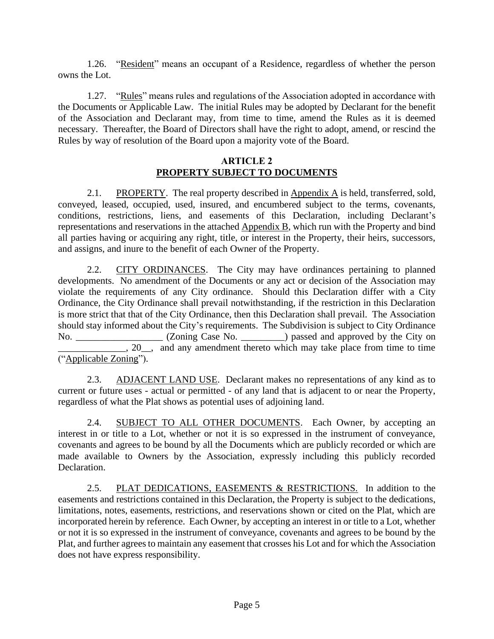1.26. "Resident" means an occupant of a Residence, regardless of whether the person owns the Lot.

1.27. "Rules" means rules and regulations of the Association adopted in accordance with the Documents or Applicable Law. The initial Rules may be adopted by Declarant for the benefit of the Association and Declarant may, from time to time, amend the Rules as it is deemed necessary. Thereafter, the Board of Directors shall have the right to adopt, amend, or rescind the Rules by way of resolution of the Board upon a majority vote of the Board.

# **ARTICLE 2 PROPERTY SUBJECT TO DOCUMENTS**

2.1. PROPERTY. The real property described in Appendix A is held, transferred, sold, conveyed, leased, occupied, used, insured, and encumbered subject to the terms, covenants, conditions, restrictions, liens, and easements of this Declaration, including Declarant's representations and reservations in the attached Appendix B, which run with the Property and bind all parties having or acquiring any right, title, or interest in the Property, their heirs, successors, and assigns, and inure to the benefit of each Owner of the Property.

2.2. CITY ORDINANCES. The City may have ordinances pertaining to planned developments. No amendment of the Documents or any act or decision of the Association may violate the requirements of any City ordinance. Should this Declaration differ with a City Ordinance, the City Ordinance shall prevail notwithstanding, if the restriction in this Declaration is more strict that that of the City Ordinance, then this Declaration shall prevail. The Association should stay informed about the City's requirements. The Subdivision is subject to City Ordinance No. \_\_\_\_\_\_\_\_\_\_\_\_\_\_\_\_\_ (Zoning Case No. \_\_\_\_\_\_\_\_) passed and approved by the City on  $\Box$ , 20 $\Box$ , and any amendment thereto which may take place from time to time ("Applicable Zoning").

2.3. ADJACENT LAND USE. Declarant makes no representations of any kind as to current or future uses - actual or permitted - of any land that is adjacent to or near the Property, regardless of what the Plat shows as potential uses of adjoining land.

2.4. SUBJECT TO ALL OTHER DOCUMENTS. Each Owner, by accepting an interest in or title to a Lot, whether or not it is so expressed in the instrument of conveyance, covenants and agrees to be bound by all the Documents which are publicly recorded or which are made available to Owners by the Association, expressly including this publicly recorded Declaration.

2.5. PLAT DEDICATIONS, EASEMENTS & RESTRICTIONS. In addition to the easements and restrictions contained in this Declaration, the Property is subject to the dedications, limitations, notes, easements, restrictions, and reservations shown or cited on the Plat, which are incorporated herein by reference. Each Owner, by accepting an interest in or title to a Lot, whether or not it is so expressed in the instrument of conveyance, covenants and agrees to be bound by the Plat, and further agrees to maintain any easement that crosses his Lot and for which the Association does not have express responsibility.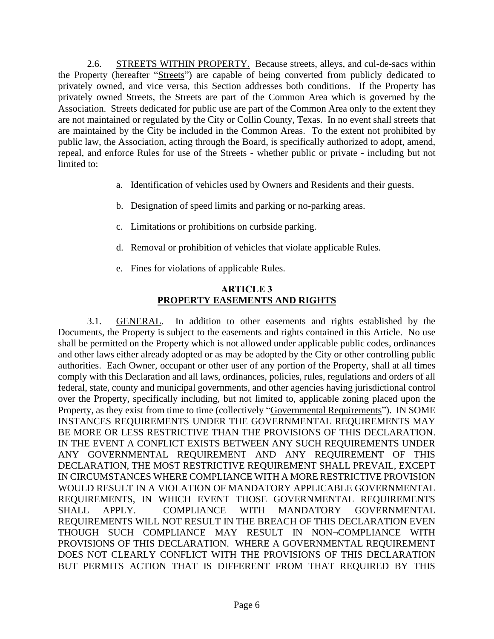2.6. STREETS WITHIN PROPERTY. Because streets, alleys, and cul-de-sacs within the Property (hereafter "Streets") are capable of being converted from publicly dedicated to privately owned, and vice versa, this Section addresses both conditions. If the Property has privately owned Streets, the Streets are part of the Common Area which is governed by the Association. Streets dedicated for public use are part of the Common Area only to the extent they are not maintained or regulated by the City or Collin County, Texas. In no event shall streets that are maintained by the City be included in the Common Areas. To the extent not prohibited by public law, the Association, acting through the Board, is specifically authorized to adopt, amend, repeal, and enforce Rules for use of the Streets - whether public or private - including but not limited to:

- a. Identification of vehicles used by Owners and Residents and their guests.
- b. Designation of speed limits and parking or no-parking areas.
- c. Limitations or prohibitions on curbside parking.
- d. Removal or prohibition of vehicles that violate applicable Rules.
- e. Fines for violations of applicable Rules.

# **ARTICLE 3 PROPERTY EASEMENTS AND RIGHTS**

3.1. GENERAL. In addition to other easements and rights established by the Documents, the Property is subject to the easements and rights contained in this Article. No use shall be permitted on the Property which is not allowed under applicable public codes, ordinances and other laws either already adopted or as may be adopted by the City or other controlling public authorities. Each Owner, occupant or other user of any portion of the Property, shall at all times comply with this Declaration and all laws, ordinances, policies, rules, regulations and orders of all federal, state, county and municipal governments, and other agencies having jurisdictional control over the Property, specifically including, but not limited to, applicable zoning placed upon the Property, as they exist from time to time (collectively "Governmental Requirements"). IN SOME INSTANCES REQUIREMENTS UNDER THE GOVERNMENTAL REQUIREMENTS MAY BE MORE OR LESS RESTRICTIVE THAN THE PROVISIONS OF THIS DECLARATION. IN THE EVENT A CONFLICT EXISTS BETWEEN ANY SUCH REQUIREMENTS UNDER ANY GOVERNMENTAL REQUIREMENT AND ANY REQUIREMENT OF THIS DECLARATION, THE MOST RESTRICTIVE REQUIREMENT SHALL PREVAIL, EXCEPT IN CIRCUMSTANCES WHERE COMPLIANCE WITH A MORE RESTRICTIVE PROVISION WOULD RESULT IN A VIOLATION OF MANDATORY APPLICABLE GOVERNMENTAL REQUIREMENTS, IN WHICH EVENT THOSE GOVERNMENTAL REQUIREMENTS SHALL APPLY. COMPLIANCE WITH MANDATORY GOVERNMENTAL REQUIREMENTS WILL NOT RESULT IN THE BREACH OF THIS DECLARATION EVEN THOUGH SUCH COMPLIANCE MAY RESULT IN NON¬COMPLIANCE WITH PROVISIONS OF THIS DECLARATION. WHERE A GOVERNMENTAL REQUIREMENT DOES NOT CLEARLY CONFLICT WITH THE PROVISIONS OF THIS DECLARATION BUT PERMITS ACTION THAT IS DIFFERENT FROM THAT REQUIRED BY THIS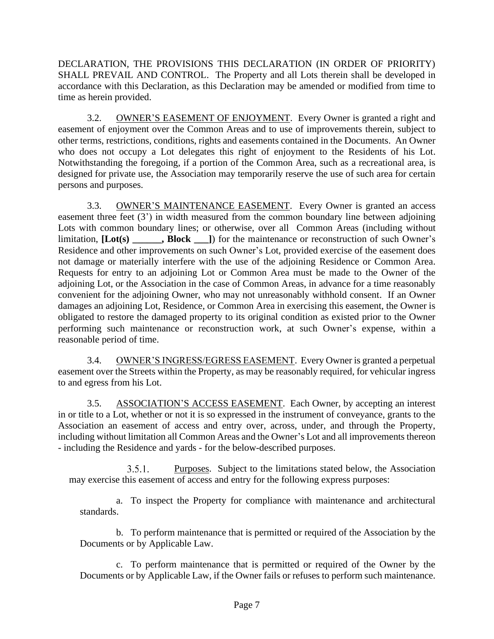DECLARATION, THE PROVISIONS THIS DECLARATION (IN ORDER OF PRIORITY) SHALL PREVAIL AND CONTROL. The Property and all Lots therein shall be developed in accordance with this Declaration, as this Declaration may be amended or modified from time to time as herein provided.

3.2. OWNER'S EASEMENT OF ENJOYMENT. Every Owner is granted a right and easement of enjoyment over the Common Areas and to use of improvements therein, subject to other terms, restrictions, conditions, rights and easements contained in the Documents. An Owner who does not occupy a Lot delegates this right of enjoyment to the Residents of his Lot. Notwithstanding the foregoing, if a portion of the Common Area, such as a recreational area, is designed for private use, the Association may temporarily reserve the use of such area for certain persons and purposes.

3.3. OWNER'S MAINTENANCE EASEMENT. Every Owner is granted an access easement three feet (3') in width measured from the common boundary line between adjoining Lots with common boundary lines; or otherwise, over all Common Areas (including without limitation, **[Lot(s) \_\_\_\_\_\_, Block \_\_\_]**) for the maintenance or reconstruction of such Owner's Residence and other improvements on such Owner's Lot, provided exercise of the easement does not damage or materially interfere with the use of the adjoining Residence or Common Area. Requests for entry to an adjoining Lot or Common Area must be made to the Owner of the adjoining Lot, or the Association in the case of Common Areas, in advance for a time reasonably convenient for the adjoining Owner, who may not unreasonably withhold consent. If an Owner damages an adjoining Lot, Residence, or Common Area in exercising this easement, the Owner is obligated to restore the damaged property to its original condition as existed prior to the Owner performing such maintenance or reconstruction work, at such Owner's expense, within a reasonable period of time.

3.4. OWNER'S INGRESS/EGRESS EASEMENT. Every Owner is granted a perpetual easement over the Streets within the Property, as may be reasonably required, for vehicular ingress to and egress from his Lot.

3.5. ASSOCIATION'S ACCESS EASEMENT. Each Owner, by accepting an interest in or title to a Lot, whether or not it is so expressed in the instrument of conveyance, grants to the Association an easement of access and entry over, across, under, and through the Property, including without limitation all Common Areas and the Owner's Lot and all improvements thereon - including the Residence and yards - for the below-described purposes.

 $3.5.1.$ Purposes. Subject to the limitations stated below, the Association may exercise this easement of access and entry for the following express purposes:

a. To inspect the Property for compliance with maintenance and architectural standards.

b. To perform maintenance that is permitted or required of the Association by the Documents or by Applicable Law.

c. To perform maintenance that is permitted or required of the Owner by the Documents or by Applicable Law, if the Owner fails or refuses to perform such maintenance.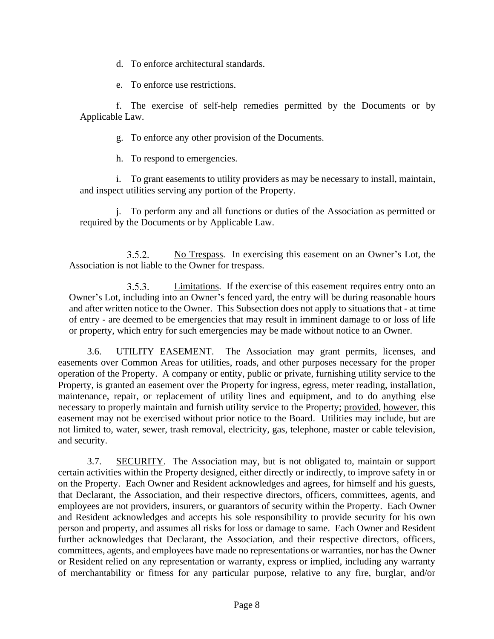d. To enforce architectural standards.

e. To enforce use restrictions.

f. The exercise of self-help remedies permitted by the Documents or by Applicable Law.

g. To enforce any other provision of the Documents.

h. To respond to emergencies.

i. To grant easements to utility providers as may be necessary to install, maintain, and inspect utilities serving any portion of the Property.

j. To perform any and all functions or duties of the Association as permitted or required by the Documents or by Applicable Law.

 $3.5.2.$ No Trespass. In exercising this easement on an Owner's Lot, the Association is not liable to the Owner for trespass.

Limitations. If the exercise of this easement requires entry onto an  $3.5.3.$ Owner's Lot, including into an Owner's fenced yard, the entry will be during reasonable hours and after written notice to the Owner. This Subsection does not apply to situations that - at time of entry - are deemed to be emergencies that may result in imminent damage to or loss of life or property, which entry for such emergencies may be made without notice to an Owner.

3.6. UTILITY EASEMENT. The Association may grant permits, licenses, and easements over Common Areas for utilities, roads, and other purposes necessary for the proper operation of the Property. A company or entity, public or private, furnishing utility service to the Property, is granted an easement over the Property for ingress, egress, meter reading, installation, maintenance, repair, or replacement of utility lines and equipment, and to do anything else necessary to properly maintain and furnish utility service to the Property; provided, however, this easement may not be exercised without prior notice to the Board. Utilities may include, but are not limited to, water, sewer, trash removal, electricity, gas, telephone, master or cable television, and security.

3.7. SECURITY. The Association may, but is not obligated to, maintain or support certain activities within the Property designed, either directly or indirectly, to improve safety in or on the Property. Each Owner and Resident acknowledges and agrees, for himself and his guests, that Declarant, the Association, and their respective directors, officers, committees, agents, and employees are not providers, insurers, or guarantors of security within the Property. Each Owner and Resident acknowledges and accepts his sole responsibility to provide security for his own person and property, and assumes all risks for loss or damage to same. Each Owner and Resident further acknowledges that Declarant, the Association, and their respective directors, officers, committees, agents, and employees have made no representations or warranties, nor has the Owner or Resident relied on any representation or warranty, express or implied, including any warranty of merchantability or fitness for any particular purpose, relative to any fire, burglar, and/or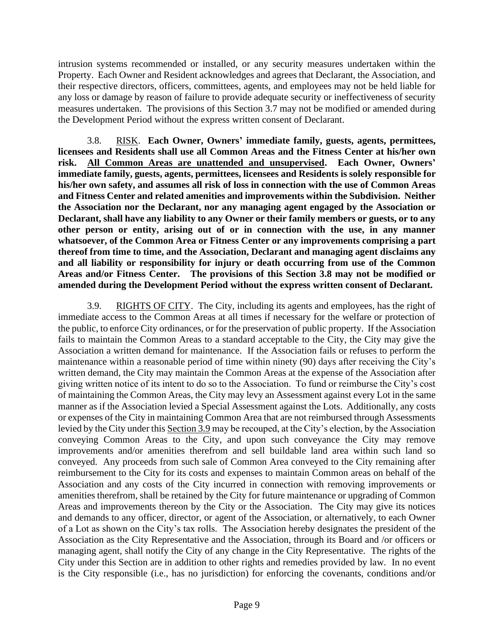intrusion systems recommended or installed, or any security measures undertaken within the Property. Each Owner and Resident acknowledges and agrees that Declarant, the Association, and their respective directors, officers, committees, agents, and employees may not be held liable for any loss or damage by reason of failure to provide adequate security or ineffectiveness of security measures undertaken. The provisions of this Section 3.7 may not be modified or amended during the Development Period without the express written consent of Declarant.

3.8. RISK. **Each Owner, Owners' immediate family, guests, agents, permittees, licensees and Residents shall use all Common Areas and the Fitness Center at his/her own risk. All Common Areas are unattended and unsupervised. Each Owner, Owners' immediate family, guests, agents, permittees, licensees and Residents is solely responsible for his/her own safety, and assumes all risk of loss in connection with the use of Common Areas and Fitness Center and related amenities and improvements within the Subdivision. Neither the Association nor the Declarant, nor any managing agent engaged by the Association or Declarant, shall have any liability to any Owner or their family members or guests, or to any other person or entity, arising out of or in connection with the use, in any manner whatsoever, of the Common Area or Fitness Center or any improvements comprising a part thereof from time to time, and the Association, Declarant and managing agent disclaims any and all liability or responsibility for injury or death occurring from use of the Common Areas and/or Fitness Center. The provisions of this Section 3.8 may not be modified or amended during the Development Period without the express written consent of Declarant.**

3.9. RIGHTS OF CITY. The City, including its agents and employees, has the right of immediate access to the Common Areas at all times if necessary for the welfare or protection of the public, to enforce City ordinances, or for the preservation of public property. If the Association fails to maintain the Common Areas to a standard acceptable to the City, the City may give the Association a written demand for maintenance. If the Association fails or refuses to perform the maintenance within a reasonable period of time within ninety (90) days after receiving the City's written demand, the City may maintain the Common Areas at the expense of the Association after giving written notice of its intent to do so to the Association. To fund or reimburse the City's cost of maintaining the Common Areas, the City may levy an Assessment against every Lot in the same manner as if the Association levied a Special Assessment against the Lots. Additionally, any costs or expenses of the City in maintaining Common Area that are not reimbursed through Assessments levied by the City under this Section 3.9 may be recouped, at the City's election, by the Association conveying Common Areas to the City, and upon such conveyance the City may remove improvements and/or amenities therefrom and sell buildable land area within such land so conveyed. Any proceeds from such sale of Common Area conveyed to the City remaining after reimbursement to the City for its costs and expenses to maintain Common areas on behalf of the Association and any costs of the City incurred in connection with removing improvements or amenities therefrom, shall be retained by the City for future maintenance or upgrading of Common Areas and improvements thereon by the City or the Association. The City may give its notices and demands to any officer, director, or agent of the Association, or alternatively, to each Owner of a Lot as shown on the City's tax rolls. The Association hereby designates the president of the Association as the City Representative and the Association, through its Board and /or officers or managing agent, shall notify the City of any change in the City Representative. The rights of the City under this Section are in addition to other rights and remedies provided by law. In no event is the City responsible (i.e., has no jurisdiction) for enforcing the covenants, conditions and/or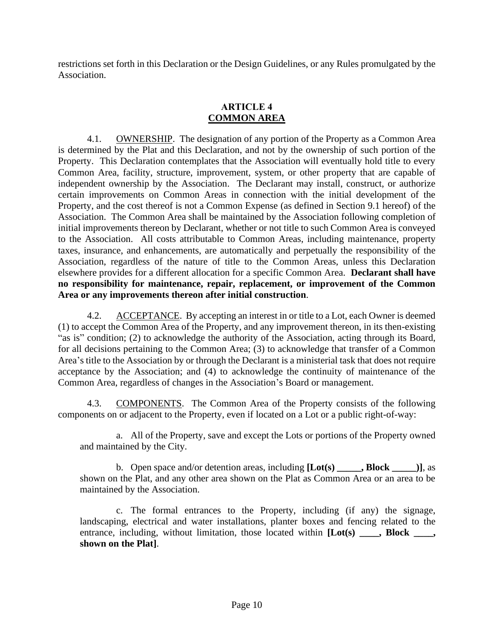restrictions set forth in this Declaration or the Design Guidelines, or any Rules promulgated by the Association.

# **ARTICLE 4 COMMON AREA**

4.1. **OWNERSHIP.** The designation of any portion of the Property as a Common Area is determined by the Plat and this Declaration, and not by the ownership of such portion of the Property. This Declaration contemplates that the Association will eventually hold title to every Common Area, facility, structure, improvement, system, or other property that are capable of independent ownership by the Association. The Declarant may install, construct, or authorize certain improvements on Common Areas in connection with the initial development of the Property, and the cost thereof is not a Common Expense (as defined in Section 9.1 hereof) of the Association. The Common Area shall be maintained by the Association following completion of initial improvements thereon by Declarant, whether or not title to such Common Area is conveyed to the Association. All costs attributable to Common Areas, including maintenance, property taxes, insurance, and enhancements, are automatically and perpetually the responsibility of the Association, regardless of the nature of title to the Common Areas, unless this Declaration elsewhere provides for a different allocation for a specific Common Area. **Declarant shall have no responsibility for maintenance, repair, replacement, or improvement of the Common Area or any improvements thereon after initial construction**.

4.2. ACCEPTANCE. By accepting an interest in or title to a Lot, each Owner is deemed (1) to accept the Common Area of the Property, and any improvement thereon, in its then-existing "as is" condition; (2) to acknowledge the authority of the Association, acting through its Board, for all decisions pertaining to the Common Area; (3) to acknowledge that transfer of a Common Area's title to the Association by or through the Declarant is a ministerial task that does not require acceptance by the Association; and (4) to acknowledge the continuity of maintenance of the Common Area, regardless of changes in the Association's Board or management.

4.3. COMPONENTS. The Common Area of the Property consists of the following components on or adjacent to the Property, even if located on a Lot or a public right-of-way:

a. All of the Property, save and except the Lots or portions of the Property owned and maintained by the City.

b. Open space and/or detention areas, including **[Lot(s) \_\_\_\_\_, Block \_\_\_\_\_)]**, as shown on the Plat, and any other area shown on the Plat as Common Area or an area to be maintained by the Association.

c. The formal entrances to the Property, including (if any) the signage, landscaping, electrical and water installations, planter boxes and fencing related to the entrance, including, without limitation, those located within [Lot(s) \_\_\_\_, Block \_\_\_\_, **shown on the Plat]**.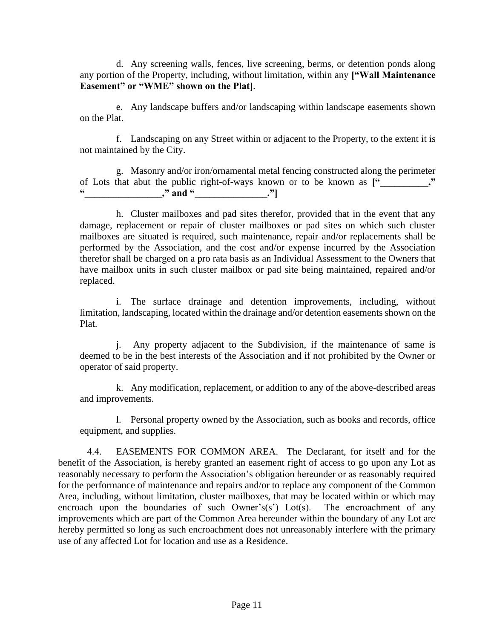d. Any screening walls, fences, live screening, berms, or detention ponds along any portion of the Property, including, without limitation, within any **["Wall Maintenance Easement" or "WME" shown on the Plat]**.

e. Any landscape buffers and/or landscaping within landscape easements shown on the Plat.

f. Landscaping on any Street within or adjacent to the Property, to the extent it is not maintained by the City.

g. Masonry and/or iron/ornamental metal fencing constructed along the perimeter of Lots that abut the public right-of-ways known or to be known as **["\_\_\_\_\_\_\_\_\_\_,"**   $\cdots$ ," and "\_\_\_\_\_\_\_\_\_\_\_\_."

h. Cluster mailboxes and pad sites therefor, provided that in the event that any damage, replacement or repair of cluster mailboxes or pad sites on which such cluster mailboxes are situated is required, such maintenance, repair and/or replacements shall be performed by the Association, and the cost and/or expense incurred by the Association therefor shall be charged on a pro rata basis as an Individual Assessment to the Owners that have mailbox units in such cluster mailbox or pad site being maintained, repaired and/or replaced.

i. The surface drainage and detention improvements, including, without limitation, landscaping, located within the drainage and/or detention easements shown on the Plat.

j. Any property adjacent to the Subdivision, if the maintenance of same is deemed to be in the best interests of the Association and if not prohibited by the Owner or operator of said property.

k. Any modification, replacement, or addition to any of the above-described areas and improvements.

l. Personal property owned by the Association, such as books and records, office equipment, and supplies.

4.4. EASEMENTS FOR COMMON AREA. The Declarant, for itself and for the benefit of the Association, is hereby granted an easement right of access to go upon any Lot as reasonably necessary to perform the Association's obligation hereunder or as reasonably required for the performance of maintenance and repairs and/or to replace any component of the Common Area, including, without limitation, cluster mailboxes, that may be located within or which may encroach upon the boundaries of such Owner's(s') Lot(s). The encroachment of any improvements which are part of the Common Area hereunder within the boundary of any Lot are hereby permitted so long as such encroachment does not unreasonably interfere with the primary use of any affected Lot for location and use as a Residence.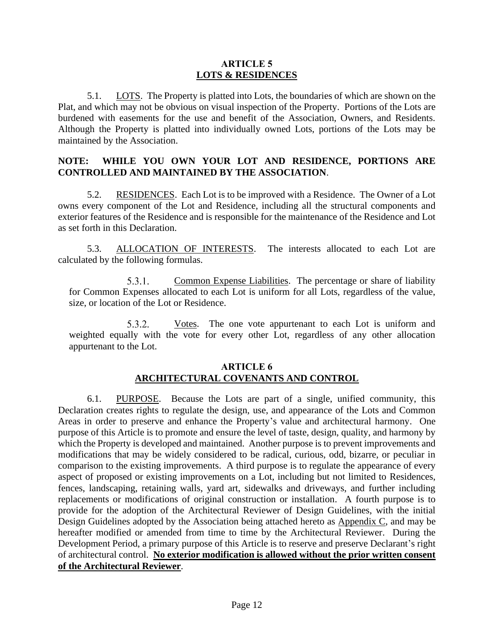## **ARTICLE 5 LOTS & RESIDENCES**

5.1. **LOTS.** The Property is platted into Lots, the boundaries of which are shown on the Plat, and which may not be obvious on visual inspection of the Property. Portions of the Lots are burdened with easements for the use and benefit of the Association, Owners, and Residents. Although the Property is platted into individually owned Lots, portions of the Lots may be maintained by the Association.

# **NOTE: WHILE YOU OWN YOUR LOT AND RESIDENCE, PORTIONS ARE CONTROLLED AND MAINTAINED BY THE ASSOCIATION**.

5.2. RESIDENCES. Each Lot is to be improved with a Residence. The Owner of a Lot owns every component of the Lot and Residence, including all the structural components and exterior features of the Residence and is responsible for the maintenance of the Residence and Lot as set forth in this Declaration.

5.3. ALLOCATION OF INTERESTS. The interests allocated to each Lot are calculated by the following formulas.

 $5.3.1.$ Common Expense Liabilities. The percentage or share of liability for Common Expenses allocated to each Lot is uniform for all Lots, regardless of the value, size, or location of the Lot or Residence.

 $5.3.2.$ Votes. The one vote appurtenant to each Lot is uniform and weighted equally with the vote for every other Lot, regardless of any other allocation appurtenant to the Lot.

# **ARTICLE 6 ARCHITECTURAL COVENANTS AND CONTROL**

6.1. PURPOSE. Because the Lots are part of a single, unified community, this Declaration creates rights to regulate the design, use, and appearance of the Lots and Common Areas in order to preserve and enhance the Property's value and architectural harmony. One purpose of this Article is to promote and ensure the level of taste, design, quality, and harmony by which the Property is developed and maintained. Another purpose is to prevent improvements and modifications that may be widely considered to be radical, curious, odd, bizarre, or peculiar in comparison to the existing improvements. A third purpose is to regulate the appearance of every aspect of proposed or existing improvements on a Lot, including but not limited to Residences, fences, landscaping, retaining walls, yard art, sidewalks and driveways, and further including replacements or modifications of original construction or installation. A fourth purpose is to provide for the adoption of the Architectural Reviewer of Design Guidelines, with the initial Design Guidelines adopted by the Association being attached hereto as Appendix C, and may be hereafter modified or amended from time to time by the Architectural Reviewer. During the Development Period, a primary purpose of this Article is to reserve and preserve Declarant's right of architectural control. **No exterior modification is allowed without the prior written consent of the Architectural Reviewer**.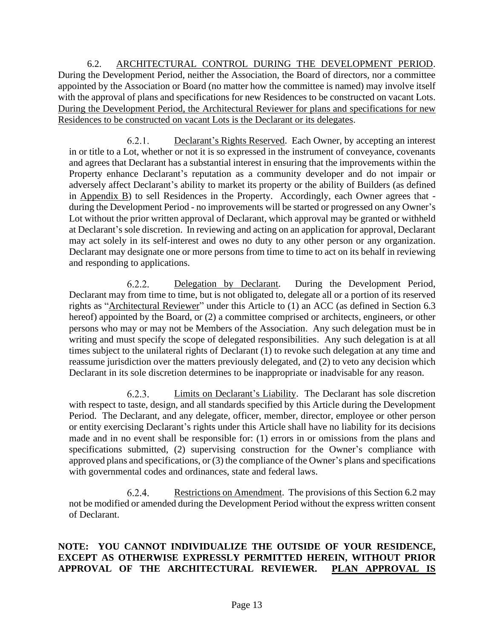6.2. ARCHITECTURAL CONTROL DURING THE DEVELOPMENT PERIOD. During the Development Period, neither the Association, the Board of directors, nor a committee appointed by the Association or Board (no matter how the committee is named) may involve itself with the approval of plans and specifications for new Residences to be constructed on vacant Lots. During the Development Period, the Architectural Reviewer for plans and specifications for new Residences to be constructed on vacant Lots is the Declarant or its delegates.

Declarant's Rights Reserved. Each Owner, by accepting an interest  $6.2.1.$ in or title to a Lot, whether or not it is so expressed in the instrument of conveyance, covenants and agrees that Declarant has a substantial interest in ensuring that the improvements within the Property enhance Declarant's reputation as a community developer and do not impair or adversely affect Declarant's ability to market its property or the ability of Builders (as defined in Appendix B) to sell Residences in the Property. Accordingly, each Owner agrees that during the Development Period - no improvements will be started or progressed on any Owner's Lot without the prior written approval of Declarant, which approval may be granted or withheld at Declarant's sole discretion. In reviewing and acting on an application for approval, Declarant may act solely in its self-interest and owes no duty to any other person or any organization. Declarant may designate one or more persons from time to time to act on its behalf in reviewing and responding to applications.

 $6.2.2.$ Delegation by Declarant. During the Development Period, Declarant may from time to time, but is not obligated to, delegate all or a portion of its reserved rights as "Architectural Reviewer" under this Article to (1) an ACC (as defined in Section 6.3 hereof) appointed by the Board, or (2) a committee comprised or architects, engineers, or other persons who may or may not be Members of the Association. Any such delegation must be in writing and must specify the scope of delegated responsibilities. Any such delegation is at all times subject to the unilateral rights of Declarant (1) to revoke such delegation at any time and reassume jurisdiction over the matters previously delegated, and (2) to veto any decision which Declarant in its sole discretion determines to be inappropriate or inadvisable for any reason.

Limits on Declarant's Liability. The Declarant has sole discretion  $6.2.3.$ with respect to taste, design, and all standards specified by this Article during the Development Period. The Declarant, and any delegate, officer, member, director, employee or other person or entity exercising Declarant's rights under this Article shall have no liability for its decisions made and in no event shall be responsible for: (1) errors in or omissions from the plans and specifications submitted, (2) supervising construction for the Owner's compliance with approved plans and specifications, or (3) the compliance of the Owner's plans and specifications with governmental codes and ordinances, state and federal laws.

 $6.2.4.$ Restrictions on Amendment. The provisions of this Section 6.2 may not be modified or amended during the Development Period without the express written consent of Declarant.

# **NOTE: YOU CANNOT INDIVIDUALIZE THE OUTSIDE OF YOUR RESIDENCE, EXCEPT AS OTHERWISE EXPRESSLY PERMITTED HEREIN, WITHOUT PRIOR APPROVAL OF THE ARCHITECTURAL REVIEWER. PLAN APPROVAL IS**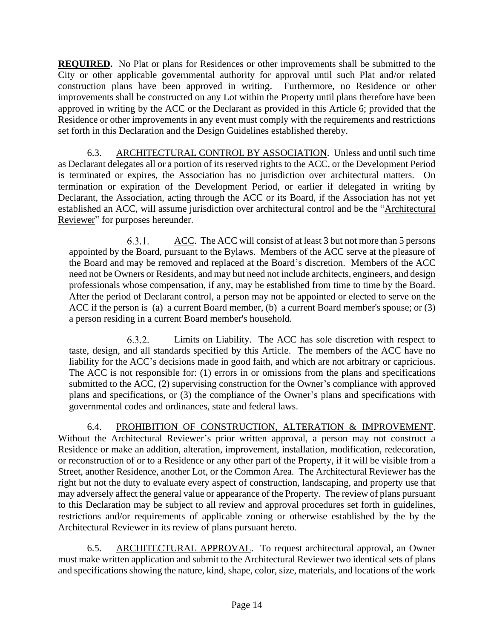**REQUIRED.** No Plat or plans for Residences or other improvements shall be submitted to the City or other applicable governmental authority for approval until such Plat and/or related construction plans have been approved in writing. Furthermore, no Residence or other improvements shall be constructed on any Lot within the Property until plans therefore have been approved in writing by the ACC or the Declarant as provided in this Article 6; provided that the Residence or other improvements in any event must comply with the requirements and restrictions set forth in this Declaration and the Design Guidelines established thereby.

6.3. ARCHITECTURAL CONTROL BY ASSOCIATION. Unless and until such time as Declarant delegates all or a portion of its reserved rights to the ACC, or the Development Period is terminated or expires, the Association has no jurisdiction over architectural matters. On termination or expiration of the Development Period, or earlier if delegated in writing by Declarant, the Association, acting through the ACC or its Board, if the Association has not yet established an ACC, will assume jurisdiction over architectural control and be the "Architectural Reviewer" for purposes hereunder.

 $6.3.1.$ ACC. The ACC will consist of at least 3 but not more than 5 persons appointed by the Board, pursuant to the Bylaws. Members of the ACC serve at the pleasure of the Board and may be removed and replaced at the Board's discretion. Members of the ACC need not be Owners or Residents, and may but need not include architects, engineers, and design professionals whose compensation, if any, may be established from time to time by the Board. After the period of Declarant control, a person may not be appointed or elected to serve on the ACC if the person is (a) a current Board member, (b) a current Board member's spouse; or (3) a person residing in a current Board member's household.

 $6.3.2.$ Limits on Liability. The ACC has sole discretion with respect to taste, design, and all standards specified by this Article. The members of the ACC have no liability for the ACC's decisions made in good faith, and which are not arbitrary or capricious. The ACC is not responsible for: (1) errors in or omissions from the plans and specifications submitted to the ACC, (2) supervising construction for the Owner's compliance with approved plans and specifications, or (3) the compliance of the Owner's plans and specifications with governmental codes and ordinances, state and federal laws.

6.4. PROHIBITION OF CONSTRUCTION, ALTERATION & IMPROVEMENT. Without the Architectural Reviewer's prior written approval, a person may not construct a Residence or make an addition, alteration, improvement, installation, modification, redecoration, or reconstruction of or to a Residence or any other part of the Property, if it will be visible from a Street, another Residence, another Lot, or the Common Area. The Architectural Reviewer has the right but not the duty to evaluate every aspect of construction, landscaping, and property use that may adversely affect the general value or appearance of the Property. The review of plans pursuant to this Declaration may be subject to all review and approval procedures set forth in guidelines, restrictions and/or requirements of applicable zoning or otherwise established by the by the Architectural Reviewer in its review of plans pursuant hereto.

6.5. ARCHITECTURAL APPROVAL. To request architectural approval, an Owner must make written application and submit to the Architectural Reviewer two identical sets of plans and specifications showing the nature, kind, shape, color, size, materials, and locations of the work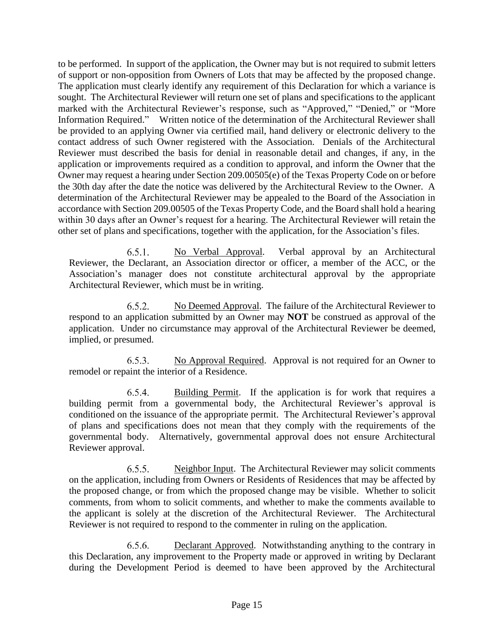to be performed. In support of the application, the Owner may but is not required to submit letters of support or non-opposition from Owners of Lots that may be affected by the proposed change. The application must clearly identify any requirement of this Declaration for which a variance is sought. The Architectural Reviewer will return one set of plans and specifications to the applicant marked with the Architectural Reviewer's response, such as "Approved," "Denied," or "More Information Required." Written notice of the determination of the Architectural Reviewer shall be provided to an applying Owner via certified mail, hand delivery or electronic delivery to the contact address of such Owner registered with the Association. Denials of the Architectural Reviewer must described the basis for denial in reasonable detail and changes, if any, in the application or improvements required as a condition to approval, and inform the Owner that the Owner may request a hearing under Section 209.00505(e) of the Texas Property Code on or before the 30th day after the date the notice was delivered by the Architectural Review to the Owner. A determination of the Architectural Reviewer may be appealed to the Board of the Association in accordance with Section 209.00505 of the Texas Property Code, and the Board shall hold a hearing within 30 days after an Owner's request for a hearing. The Architectural Reviewer will retain the other set of plans and specifications, together with the application, for the Association's files.

 $6.5.1.$ No Verbal Approval. Verbal approval by an Architectural Reviewer, the Declarant, an Association director or officer, a member of the ACC, or the Association's manager does not constitute architectural approval by the appropriate Architectural Reviewer, which must be in writing.

 $6.5.2.$ No Deemed Approval. The failure of the Architectural Reviewer to respond to an application submitted by an Owner may **NOT** be construed as approval of the application. Under no circumstance may approval of the Architectural Reviewer be deemed, implied, or presumed.

 $6.5.3.$ No Approval Required. Approval is not required for an Owner to remodel or repaint the interior of a Residence.

654 Building Permit. If the application is for work that requires a building permit from a governmental body, the Architectural Reviewer's approval is conditioned on the issuance of the appropriate permit. The Architectural Reviewer's approval of plans and specifications does not mean that they comply with the requirements of the governmental body. Alternatively, governmental approval does not ensure Architectural Reviewer approval.

 $6.5.5.$ Neighbor Input. The Architectural Reviewer may solicit comments on the application, including from Owners or Residents of Residences that may be affected by the proposed change, or from which the proposed change may be visible. Whether to solicit comments, from whom to solicit comments, and whether to make the comments available to the applicant is solely at the discretion of the Architectural Reviewer. The Architectural Reviewer is not required to respond to the commenter in ruling on the application.

 $6.5.6.$ Declarant Approved. Notwithstanding anything to the contrary in this Declaration, any improvement to the Property made or approved in writing by Declarant during the Development Period is deemed to have been approved by the Architectural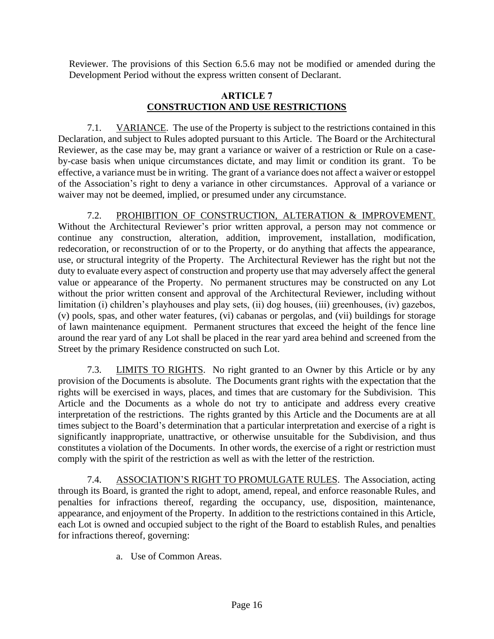Reviewer. The provisions of this Section 6.5.6 may not be modified or amended during the Development Period without the express written consent of Declarant.

# **ARTICLE 7 CONSTRUCTION AND USE RESTRICTIONS**

7.1. **VARIANCE**. The use of the Property is subject to the restrictions contained in this Declaration, and subject to Rules adopted pursuant to this Article. The Board or the Architectural Reviewer, as the case may be, may grant a variance or waiver of a restriction or Rule on a caseby-case basis when unique circumstances dictate, and may limit or condition its grant. To be effective, a variance must be in writing. The grant of a variance does not affect a waiver or estoppel of the Association's right to deny a variance in other circumstances. Approval of a variance or waiver may not be deemed, implied, or presumed under any circumstance.

7.2. PROHIBITION OF CONSTRUCTION, ALTERATION & IMPROVEMENT. Without the Architectural Reviewer's prior written approval, a person may not commence or continue any construction, alteration, addition, improvement, installation, modification, redecoration, or reconstruction of or to the Property, or do anything that affects the appearance, use, or structural integrity of the Property. The Architectural Reviewer has the right but not the duty to evaluate every aspect of construction and property use that may adversely affect the general value or appearance of the Property. No permanent structures may be constructed on any Lot without the prior written consent and approval of the Architectural Reviewer, including without limitation (i) children's playhouses and play sets, (ii) dog houses, (iii) greenhouses, (iv) gazebos, (v) pools, spas, and other water features, (vi) cabanas or pergolas, and (vii) buildings for storage of lawn maintenance equipment. Permanent structures that exceed the height of the fence line around the rear yard of any Lot shall be placed in the rear yard area behind and screened from the Street by the primary Residence constructed on such Lot.

7.3. **LIMITS TO RIGHTS**. No right granted to an Owner by this Article or by any provision of the Documents is absolute. The Documents grant rights with the expectation that the rights will be exercised in ways, places, and times that are customary for the Subdivision. This Article and the Documents as a whole do not try to anticipate and address every creative interpretation of the restrictions. The rights granted by this Article and the Documents are at all times subject to the Board's determination that a particular interpretation and exercise of a right is significantly inappropriate, unattractive, or otherwise unsuitable for the Subdivision, and thus constitutes a violation of the Documents. In other words, the exercise of a right or restriction must comply with the spirit of the restriction as well as with the letter of the restriction.

7.4. ASSOCIATION'S RIGHT TO PROMULGATE RULES. The Association, acting through its Board, is granted the right to adopt, amend, repeal, and enforce reasonable Rules, and penalties for infractions thereof, regarding the occupancy, use, disposition, maintenance, appearance, and enjoyment of the Property. In addition to the restrictions contained in this Article, each Lot is owned and occupied subject to the right of the Board to establish Rules, and penalties for infractions thereof, governing:

a. Use of Common Areas.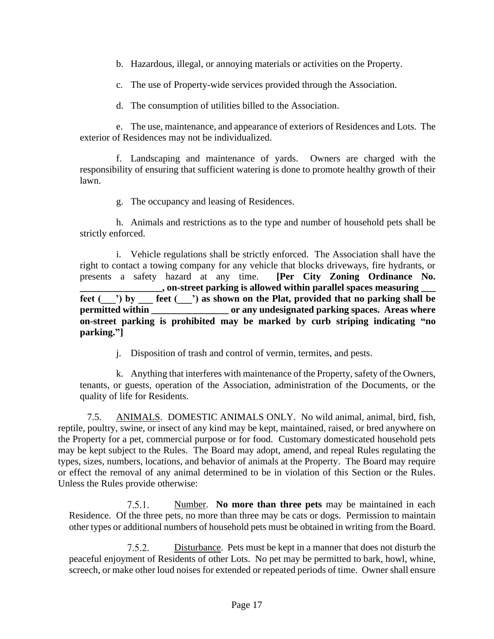b. Hazardous, illegal, or annoying materials or activities on the Property.

c. The use of Property-wide services provided through the Association.

d. The consumption of utilities billed to the Association.

e. The use, maintenance, and appearance of exteriors of Residences and Lots. The exterior of Residences may not be individualized.

f. Landscaping and maintenance of yards.Owners are charged with the responsibility of ensuring that sufficient watering is done to promote healthy growth of their lawn.

g. The occupancy and leasing of Residences.

h. Animals and restrictions as to the type and number of household pets shall be strictly enforced.

i. Vehicle regulations shall be strictly enforced. The Association shall have the right to contact a towing company for any vehicle that blocks driveways, fire hydrants, or presents a safety hazard at any time. **[Per City Zoning Ordinance No. \_\_\_\_\_\_\_\_\_\_\_\_\_\_\_\_\_, on-street parking is allowed within parallel spaces measuring \_\_\_ feet (\_\_\_') by \_\_\_ feet (\_\_\_') as shown on the Plat, provided that no parking shall be permitted within \_\_\_\_\_\_\_\_\_\_\_\_\_\_\_\_\_\_\_\_\_ or any undesignated parking spaces. Areas where on-street parking is prohibited may be marked by curb striping indicating "no parking."]**

j. Disposition of trash and control of vermin, termites, and pests.

k. Anything that interferes with maintenance of the Property, safety of the Owners, tenants, or guests, operation of the Association, administration of the Documents, or the quality of life for Residents.

7.5. ANIMALS. DOMESTIC ANIMALS ONLY. No wild animal, animal, bird, fish, reptile, poultry, swine, or insect of any kind may be kept, maintained, raised, or bred anywhere on the Property for a pet, commercial purpose or for food. Customary domesticated household pets may be kept subject to the Rules. The Board may adopt, amend, and repeal Rules regulating the types, sizes, numbers, locations, and behavior of animals at the Property. The Board may require or effect the removal of any animal determined to be in violation of this Section or the Rules. Unless the Rules provide otherwise:

 $7.5.1.$ Number. **No more than three pets** may be maintained in each Residence. Of the three pets, no more than three may be cats or dogs. Permission to maintain other types or additional numbers of household pets must be obtained in writing from the Board.

 $7.5.2$ Disturbance. Pets must be kept in a manner that does not disturb the peaceful enjoyment of Residents of other Lots. No pet may be permitted to bark, howl, whine, screech, or make other loud noises for extended or repeated periods of time. Owner shall ensure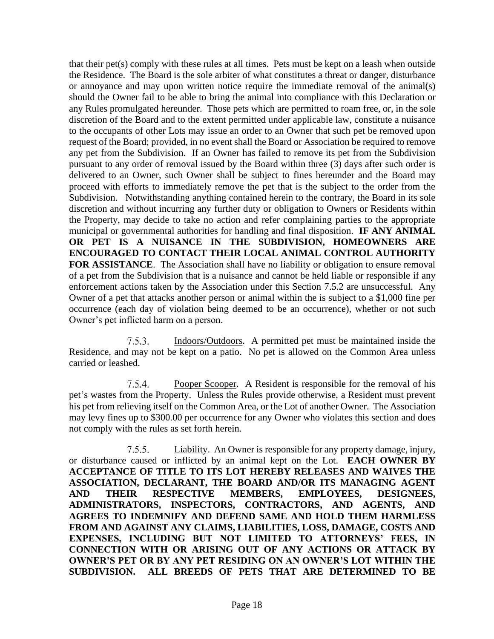that their pet(s) comply with these rules at all times. Pets must be kept on a leash when outside the Residence. The Board is the sole arbiter of what constitutes a threat or danger, disturbance or annoyance and may upon written notice require the immediate removal of the animal(s) should the Owner fail to be able to bring the animal into compliance with this Declaration or any Rules promulgated hereunder. Those pets which are permitted to roam free, or, in the sole discretion of the Board and to the extent permitted under applicable law, constitute a nuisance to the occupants of other Lots may issue an order to an Owner that such pet be removed upon request of the Board; provided, in no event shall the Board or Association be required to remove any pet from the Subdivision. If an Owner has failed to remove its pet from the Subdivision pursuant to any order of removal issued by the Board within three (3) days after such order is delivered to an Owner, such Owner shall be subject to fines hereunder and the Board may proceed with efforts to immediately remove the pet that is the subject to the order from the Subdivision. Notwithstanding anything contained herein to the contrary, the Board in its sole discretion and without incurring any further duty or obligation to Owners or Residents within the Property, may decide to take no action and refer complaining parties to the appropriate municipal or governmental authorities for handling and final disposition. **IF ANY ANIMAL OR PET IS A NUISANCE IN THE SUBDIVISION, HOMEOWNERS ARE ENCOURAGED TO CONTACT THEIR LOCAL ANIMAL CONTROL AUTHORITY FOR ASSISTANCE.** The Association shall have no liability or obligation to ensure removal of a pet from the Subdivision that is a nuisance and cannot be held liable or responsible if any enforcement actions taken by the Association under this Section 7.5.2 are unsuccessful. Any Owner of a pet that attacks another person or animal within the is subject to a \$1,000 fine per occurrence (each day of violation being deemed to be an occurrence), whether or not such Owner's pet inflicted harm on a person.

 $7.5.3.$ Indoors/Outdoors. A permitted pet must be maintained inside the Residence, and may not be kept on a patio. No pet is allowed on the Common Area unless carried or leashed.

 $7.5.4.$ Pooper Scooper. A Resident is responsible for the removal of his pet's wastes from the Property. Unless the Rules provide otherwise, a Resident must prevent his pet from relieving itself on the Common Area, or the Lot of another Owner. The Association may levy fines up to \$300.00 per occurrence for any Owner who violates this section and does not comply with the rules as set forth herein.

 $7.5.5.$ Liability. An Owner is responsible for any property damage, injury, or disturbance caused or inflicted by an animal kept on the Lot. **EACH OWNER BY ACCEPTANCE OF TITLE TO ITS LOT HEREBY RELEASES AND WAIVES THE ASSOCIATION, DECLARANT, THE BOARD AND/OR ITS MANAGING AGENT AND THEIR RESPECTIVE MEMBERS, EMPLOYEES, DESIGNEES, ADMINISTRATORS, INSPECTORS, CONTRACTORS, AND AGENTS, AND AGREES TO INDEMNIFY AND DEFEND SAME AND HOLD THEM HARMLESS FROM AND AGAINST ANY CLAIMS, LIABILITIES, LOSS, DAMAGE, COSTS AND EXPENSES, INCLUDING BUT NOT LIMITED TO ATTORNEYS' FEES, IN CONNECTION WITH OR ARISING OUT OF ANY ACTIONS OR ATTACK BY OWNER'S PET OR BY ANY PET RESIDING ON AN OWNER'S LOT WITHIN THE SUBDIVISION. ALL BREEDS OF PETS THAT ARE DETERMINED TO BE**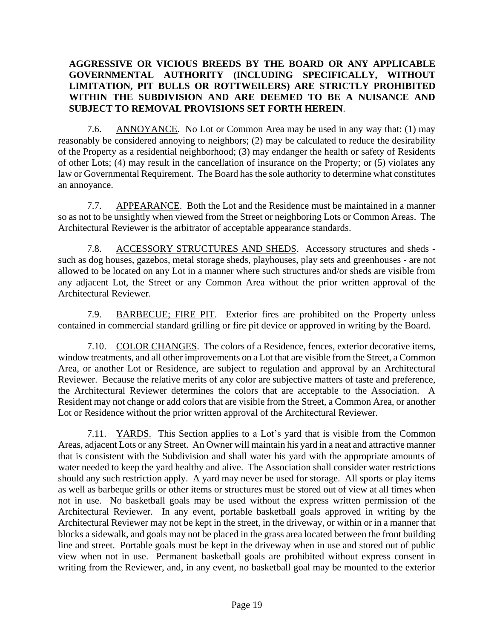# **AGGRESSIVE OR VICIOUS BREEDS BY THE BOARD OR ANY APPLICABLE GOVERNMENTAL AUTHORITY (INCLUDING SPECIFICALLY, WITHOUT LIMITATION, PIT BULLS OR ROTTWEILERS) ARE STRICTLY PROHIBITED WITHIN THE SUBDIVISION AND ARE DEEMED TO BE A NUISANCE AND SUBJECT TO REMOVAL PROVISIONS SET FORTH HEREIN**.

7.6. ANNOYANCE. No Lot or Common Area may be used in any way that: (1) may reasonably be considered annoying to neighbors; (2) may be calculated to reduce the desirability of the Property as a residential neighborhood; (3) may endanger the health or safety of Residents of other Lots; (4) may result in the cancellation of insurance on the Property; or (5) violates any law or Governmental Requirement. The Board has the sole authority to determine what constitutes an annoyance.

7.7. APPEARANCE. Both the Lot and the Residence must be maintained in a manner so as not to be unsightly when viewed from the Street or neighboring Lots or Common Areas. The Architectural Reviewer is the arbitrator of acceptable appearance standards.

7.8. ACCESSORY STRUCTURES AND SHEDS. Accessory structures and sheds such as dog houses, gazebos, metal storage sheds, playhouses, play sets and greenhouses - are not allowed to be located on any Lot in a manner where such structures and/or sheds are visible from any adjacent Lot, the Street or any Common Area without the prior written approval of the Architectural Reviewer.

7.9. BARBECUE; FIRE PIT. Exterior fires are prohibited on the Property unless contained in commercial standard grilling or fire pit device or approved in writing by the Board.

7.10. COLOR CHANGES. The colors of a Residence, fences, exterior decorative items, window treatments, and all other improvements on a Lot that are visible from the Street, a Common Area, or another Lot or Residence, are subject to regulation and approval by an Architectural Reviewer. Because the relative merits of any color are subjective matters of taste and preference, the Architectural Reviewer determines the colors that are acceptable to the Association. A Resident may not change or add colors that are visible from the Street, a Common Area, or another Lot or Residence without the prior written approval of the Architectural Reviewer.

7.11. YARDS. This Section applies to a Lot's yard that is visible from the Common Areas, adjacent Lots or any Street. An Owner will maintain his yard in a neat and attractive manner that is consistent with the Subdivision and shall water his yard with the appropriate amounts of water needed to keep the yard healthy and alive. The Association shall consider water restrictions should any such restriction apply. A yard may never be used for storage. All sports or play items as well as barbeque grills or other items or structures must be stored out of view at all times when not in use. No basketball goals may be used without the express written permission of the Architectural Reviewer. In any event, portable basketball goals approved in writing by the Architectural Reviewer may not be kept in the street, in the driveway, or within or in a manner that blocks a sidewalk, and goals may not be placed in the grass area located between the front building line and street. Portable goals must be kept in the driveway when in use and stored out of public view when not in use. Permanent basketball goals are prohibited without express consent in writing from the Reviewer, and, in any event, no basketball goal may be mounted to the exterior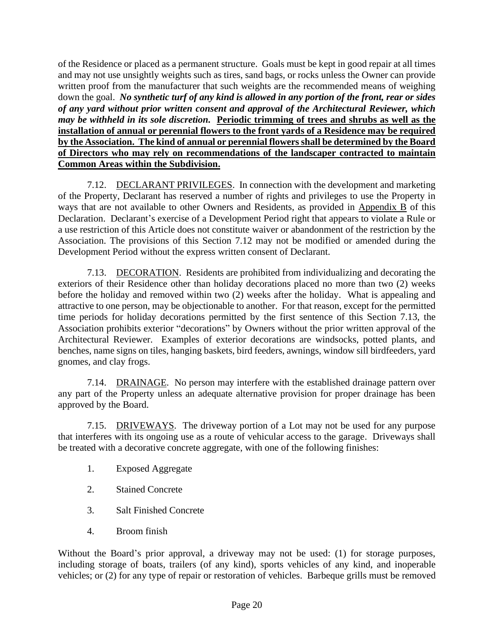of the Residence or placed as a permanent structure. Goals must be kept in good repair at all times and may not use unsightly weights such as tires, sand bags, or rocks unless the Owner can provide written proof from the manufacturer that such weights are the recommended means of weighing down the goal. *No synthetic turf of any kind is allowed in any portion of the front, rear or sides of any yard without prior written consent and approval of the Architectural Reviewer, which may be withheld in its sole discretion.* **Periodic trimming of trees and shrubs as well as the installation of annual or perennial flowers to the front yards of a Residence may be required by the Association. The kind of annual or perennial flowers shall be determined by the Board of Directors who may rely on recommendations of the landscaper contracted to maintain Common Areas within the Subdivision.**

7.12. DECLARANT PRIVILEGES. In connection with the development and marketing of the Property, Declarant has reserved a number of rights and privileges to use the Property in ways that are not available to other Owners and Residents, as provided in Appendix B of this Declaration. Declarant's exercise of a Development Period right that appears to violate a Rule or a use restriction of this Article does not constitute waiver or abandonment of the restriction by the Association. The provisions of this Section 7.12 may not be modified or amended during the Development Period without the express written consent of Declarant.

7.13. DECORATION. Residents are prohibited from individualizing and decorating the exteriors of their Residence other than holiday decorations placed no more than two (2) weeks before the holiday and removed within two (2) weeks after the holiday. What is appealing and attractive to one person, may be objectionable to another. For that reason, except for the permitted time periods for holiday decorations permitted by the first sentence of this Section 7.13, the Association prohibits exterior "decorations" by Owners without the prior written approval of the Architectural Reviewer. Examples of exterior decorations are windsocks, potted plants, and benches, name signs on tiles, hanging baskets, bird feeders, awnings, window sill birdfeeders, yard gnomes, and clay frogs.

7.14. DRAINAGE. No person may interfere with the established drainage pattern over any part of the Property unless an adequate alternative provision for proper drainage has been approved by the Board.

7.15. DRIVEWAYS. The driveway portion of a Lot may not be used for any purpose that interferes with its ongoing use as a route of vehicular access to the garage. Driveways shall be treated with a decorative concrete aggregate, with one of the following finishes:

- 1. Exposed Aggregate
- 2. Stained Concrete
- 3. Salt Finished Concrete
- 4. Broom finish

Without the Board's prior approval, a driveway may not be used: (1) for storage purposes, including storage of boats, trailers (of any kind), sports vehicles of any kind, and inoperable vehicles; or (2) for any type of repair or restoration of vehicles. Barbeque grills must be removed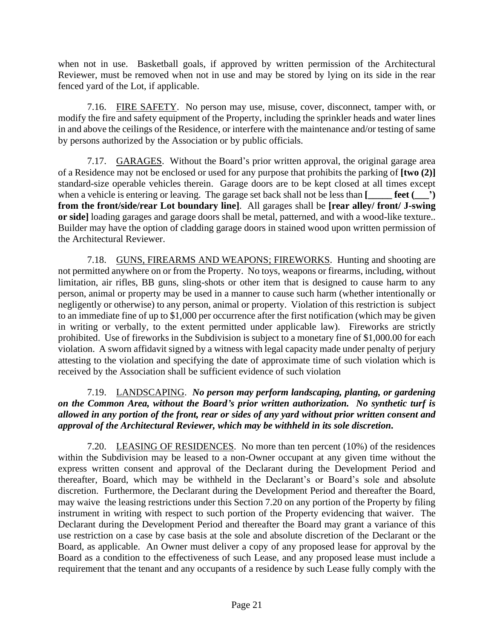when not in use. Basketball goals, if approved by written permission of the Architectural Reviewer, must be removed when not in use and may be stored by lying on its side in the rear fenced yard of the Lot, if applicable.

7.16. FIRE SAFETY. No person may use, misuse, cover, disconnect, tamper with, or modify the fire and safety equipment of the Property, including the sprinkler heads and water lines in and above the ceilings of the Residence, or interfere with the maintenance and/or testing of same by persons authorized by the Association or by public officials.

7.17. GARAGES. Without the Board's prior written approval, the original garage area of a Residence may not be enclosed or used for any purpose that prohibits the parking of **[two (2)]** standard-size operable vehicles therein. Garage doors are to be kept closed at all times except when a vehicle is entering or leaving. The garage set back shall not be less than **[\_\_\_\_\_ feet (\_\_\_') from the front/side/rear Lot boundary line]**. All garages shall be **[rear alley/ front/ J-swing or side]** loading garages and garage doors shall be metal, patterned, and with a wood-like texture.. Builder may have the option of cladding garage doors in stained wood upon written permission of the Architectural Reviewer.

7.18. GUNS, FIREARMS AND WEAPONS; FIREWORKS. Hunting and shooting are not permitted anywhere on or from the Property. No toys, weapons or firearms, including, without limitation, air rifles, BB guns, sling-shots or other item that is designed to cause harm to any person, animal or property may be used in a manner to cause such harm (whether intentionally or negligently or otherwise) to any person, animal or property. Violation of this restriction is subject to an immediate fine of up to \$1,000 per occurrence after the first notification (which may be given in writing or verbally, to the extent permitted under applicable law). Fireworks are strictly prohibited. Use of fireworks in the Subdivision is subject to a monetary fine of \$1,000.00 for each violation. A sworn affidavit signed by a witness with legal capacity made under penalty of perjury attesting to the violation and specifying the date of approximate time of such violation which is received by the Association shall be sufficient evidence of such violation

7.19. LANDSCAPING. *No person may perform landscaping, planting, or gardening on the Common Area, without the Board's prior written authorization. No synthetic turf is allowed in any portion of the front, rear or sides of any yard without prior written consent and approval of the Architectural Reviewer, which may be withheld in its sole discretion.*

7.20. LEASING OF RESIDENCES. No more than ten percent (10%) of the residences within the Subdivision may be leased to a non-Owner occupant at any given time without the express written consent and approval of the Declarant during the Development Period and thereafter, Board, which may be withheld in the Declarant's or Board's sole and absolute discretion. Furthermore, the Declarant during the Development Period and thereafter the Board, may waive the leasing restrictions under this Section 7.20 on any portion of the Property by filing instrument in writing with respect to such portion of the Property evidencing that waiver. The Declarant during the Development Period and thereafter the Board may grant a variance of this use restriction on a case by case basis at the sole and absolute discretion of the Declarant or the Board, as applicable. An Owner must deliver a copy of any proposed lease for approval by the Board as a condition to the effectiveness of such Lease, and any proposed lease must include a requirement that the tenant and any occupants of a residence by such Lease fully comply with the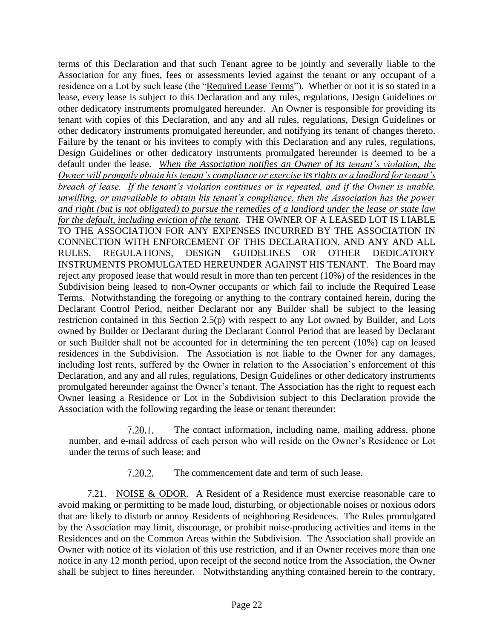terms of this Declaration and that such Tenant agree to be jointly and severally liable to the Association for any fines, fees or assessments levied against the tenant or any occupant of a residence on a Lot by such lease (the "Required Lease Terms"). Whether or not it is so stated in a lease, every lease is subject to this Declaration and any rules, regulations, Design Guidelines or other dedicatory instruments promulgated hereunder. An Owner is responsible for providing its tenant with copies of this Declaration, and any and all rules, regulations, Design Guidelines or other dedicatory instruments promulgated hereunder, and notifying its tenant of changes thereto. Failure by the tenant or his invitees to comply with this Declaration and any rules, regulations, Design Guidelines or other dedicatory instruments promulgated hereunder is deemed to be a default under the lease. *When the Association notifies an Owner of its tenant's violation, the Owner will promptly obtain his tenant's compliance or exercise its rights as a landlord for tenant's breach of lease. If the tenant's violation continues or is repeated, and if the Owner is unable, unwilling, or unavailable to obtain his tenant's compliance, then the Association has the power and right (but is not obligated) to pursue the remedies of a landlord under the lease or state law for the default, including eviction of the tenant*. THE OWNER OF A LEASED LOT IS LIABLE TO THE ASSOCIATION FOR ANY EXPENSES INCURRED BY THE ASSOCIATION IN CONNECTION WITH ENFORCEMENT OF THIS DECLARATION, AND ANY AND ALL RULES, REGULATIONS, DESIGN GUIDELINES OR OTHER DEDICATORY INSTRUMENTS PROMULGATED HEREUNDER AGAINST HIS TENANT. The Board may reject any proposed lease that would result in more than ten percent (10%) of the residences in the Subdivision being leased to non-Owner occupants or which fail to include the Required Lease Terms. Notwithstanding the foregoing or anything to the contrary contained herein, during the Declarant Control Period, neither Declarant nor any Builder shall be subject to the leasing restriction contained in this Section 2.5(p) with respect to any Lot owned by Builder, and Lots owned by Builder or Declarant during the Declarant Control Period that are leased by Declarant or such Builder shall not be accounted for in determining the ten percent (10%) cap on leased residences in the Subdivision. The Association is not liable to the Owner for any damages, including lost rents, suffered by the Owner in relation to the Association's enforcement of this Declaration, and any and all rules, regulations, Design Guidelines or other dedicatory instruments promulgated hereunder against the Owner's tenant. The Association has the right to request each Owner leasing a Residence or Lot in the Subdivision subject to this Declaration provide the Association with the following regarding the lease or tenant thereunder:

7.20.1. The contact information, including name, mailing address, phone number, and e-mail address of each person who will reside on the Owner's Residence or Lot under the terms of such lease; and

> $7.20.2.$ The commencement date and term of such lease.

7.21. NOISE & ODOR. A Resident of a Residence must exercise reasonable care to avoid making or permitting to be made loud, disturbing, or objectionable noises or noxious odors that are likely to disturb or annoy Residents of neighboring Residences. The Rules promulgated by the Association may limit, discourage, or prohibit noise-producing activities and items in the Residences and on the Common Areas within the Subdivision. The Association shall provide an Owner with notice of its violation of this use restriction, and if an Owner receives more than one notice in any 12 month period, upon receipt of the second notice from the Association, the Owner shall be subject to fines hereunder. Notwithstanding anything contained herein to the contrary,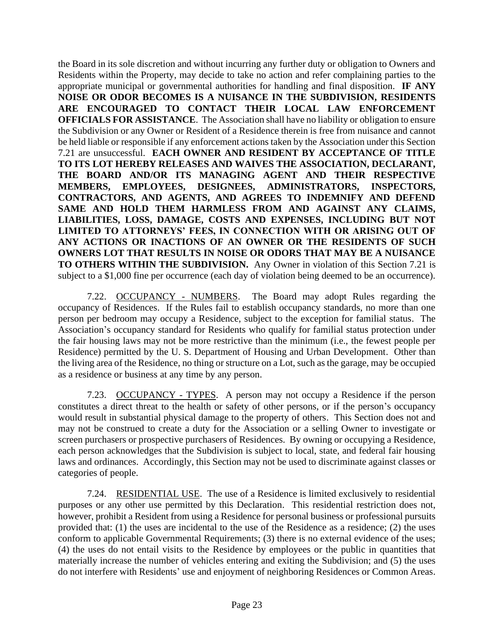the Board in its sole discretion and without incurring any further duty or obligation to Owners and Residents within the Property, may decide to take no action and refer complaining parties to the appropriate municipal or governmental authorities for handling and final disposition. **IF ANY NOISE OR ODOR BECOMES IS A NUISANCE IN THE SUBDIVISION, RESIDENTS ARE ENCOURAGED TO CONTACT THEIR LOCAL LAW ENFORCEMENT OFFICIALS FOR ASSISTANCE**. The Association shall have no liability or obligation to ensure the Subdivision or any Owner or Resident of a Residence therein is free from nuisance and cannot be held liable or responsible if any enforcement actions taken by the Association under this Section 7.21 are unsuccessful. **EACH OWNER AND RESIDENT BY ACCEPTANCE OF TITLE TO ITS LOT HEREBY RELEASES AND WAIVES THE ASSOCIATION, DECLARANT, THE BOARD AND/OR ITS MANAGING AGENT AND THEIR RESPECTIVE MEMBERS, EMPLOYEES, DESIGNEES, ADMINISTRATORS, INSPECTORS, CONTRACTORS, AND AGENTS, AND AGREES TO INDEMNIFY AND DEFEND SAME AND HOLD THEM HARMLESS FROM AND AGAINST ANY CLAIMS, LIABILITIES, LOSS, DAMAGE, COSTS AND EXPENSES, INCLUDING BUT NOT LIMITED TO ATTORNEYS' FEES, IN CONNECTION WITH OR ARISING OUT OF ANY ACTIONS OR INACTIONS OF AN OWNER OR THE RESIDENTS OF SUCH OWNERS LOT THAT RESULTS IN NOISE OR ODORS THAT MAY BE A NUISANCE TO OTHERS WITHIN THE SUBDIVISION.** Any Owner in violation of this Section 7.21 is subject to a \$1,000 fine per occurrence (each day of violation being deemed to be an occurrence).

7.22. OCCUPANCY - NUMBERS. The Board may adopt Rules regarding the occupancy of Residences. If the Rules fail to establish occupancy standards, no more than one person per bedroom may occupy a Residence, subject to the exception for familial status. The Association's occupancy standard for Residents who qualify for familial status protection under the fair housing laws may not be more restrictive than the minimum (i.e., the fewest people per Residence) permitted by the U. S. Department of Housing and Urban Development. Other than the living area of the Residence, no thing or structure on a Lot, such as the garage, may be occupied as a residence or business at any time by any person.

7.23. OCCUPANCY - TYPES. A person may not occupy a Residence if the person constitutes a direct threat to the health or safety of other persons, or if the person's occupancy would result in substantial physical damage to the property of others. This Section does not and may not be construed to create a duty for the Association or a selling Owner to investigate or screen purchasers or prospective purchasers of Residences. By owning or occupying a Residence, each person acknowledges that the Subdivision is subject to local, state, and federal fair housing laws and ordinances. Accordingly, this Section may not be used to discriminate against classes or categories of people.

7.24. RESIDENTIAL USE. The use of a Residence is limited exclusively to residential purposes or any other use permitted by this Declaration. This residential restriction does not, however, prohibit a Resident from using a Residence for personal business or professional pursuits provided that: (1) the uses are incidental to the use of the Residence as a residence; (2) the uses conform to applicable Governmental Requirements; (3) there is no external evidence of the uses; (4) the uses do not entail visits to the Residence by employees or the public in quantities that materially increase the number of vehicles entering and exiting the Subdivision; and (5) the uses do not interfere with Residents' use and enjoyment of neighboring Residences or Common Areas.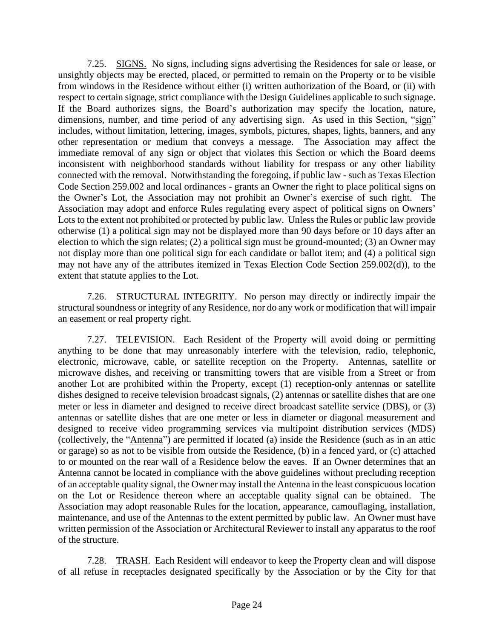7.25. SIGNS. No signs, including signs advertising the Residences for sale or lease, or unsightly objects may be erected, placed, or permitted to remain on the Property or to be visible from windows in the Residence without either (i) written authorization of the Board, or (ii) with respect to certain signage, strict compliance with the Design Guidelines applicable to such signage. If the Board authorizes signs, the Board's authorization may specify the location, nature, dimensions, number, and time period of any advertising sign. As used in this Section, "sign" includes, without limitation, lettering, images, symbols, pictures, shapes, lights, banners, and any other representation or medium that conveys a message. The Association may affect the immediate removal of any sign or object that violates this Section or which the Board deems inconsistent with neighborhood standards without liability for trespass or any other liability connected with the removal. Notwithstanding the foregoing, if public law - such as Texas Election Code Section 259.002 and local ordinances - grants an Owner the right to place political signs on the Owner's Lot, the Association may not prohibit an Owner's exercise of such right. The Association may adopt and enforce Rules regulating every aspect of political signs on Owners' Lots to the extent not prohibited or protected by public law. Unless the Rules or public law provide otherwise (1) a political sign may not be displayed more than 90 days before or 10 days after an election to which the sign relates; (2) a political sign must be ground-mounted; (3) an Owner may not display more than one political sign for each candidate or ballot item; and (4) a political sign may not have any of the attributes itemized in Texas Election Code Section 259.002(d)), to the extent that statute applies to the Lot.

7.26. STRUCTURAL INTEGRITY. No person may directly or indirectly impair the structural soundness or integrity of any Residence, nor do any work or modification that will impair an easement or real property right.

7.27. TELEVISION. Each Resident of the Property will avoid doing or permitting anything to be done that may unreasonably interfere with the television, radio, telephonic, electronic, microwave, cable, or satellite reception on the Property. Antennas, satellite or microwave dishes, and receiving or transmitting towers that are visible from a Street or from another Lot are prohibited within the Property, except (1) reception-only antennas or satellite dishes designed to receive television broadcast signals, (2) antennas or satellite dishes that are one meter or less in diameter and designed to receive direct broadcast satellite service (DBS), or (3) antennas or satellite dishes that are one meter or less in diameter or diagonal measurement and designed to receive video programming services via multipoint distribution services (MDS) (collectively, the "Antenna") are permitted if located (a) inside the Residence (such as in an attic or garage) so as not to be visible from outside the Residence, (b) in a fenced yard, or (c) attached to or mounted on the rear wall of a Residence below the eaves. If an Owner determines that an Antenna cannot be located in compliance with the above guidelines without precluding reception of an acceptable quality signal, the Owner may install the Antenna in the least conspicuous location on the Lot or Residence thereon where an acceptable quality signal can be obtained. The Association may adopt reasonable Rules for the location, appearance, camouflaging, installation, maintenance, and use of the Antennas to the extent permitted by public law. An Owner must have written permission of the Association or Architectural Reviewer to install any apparatus to the roof of the structure.

7.28. TRASH. Each Resident will endeavor to keep the Property clean and will dispose of all refuse in receptacles designated specifically by the Association or by the City for that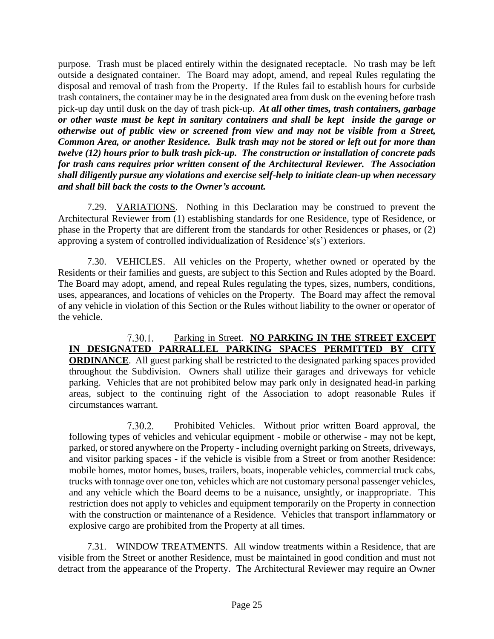purpose. Trash must be placed entirely within the designated receptacle. No trash may be left outside a designated container. The Board may adopt, amend, and repeal Rules regulating the disposal and removal of trash from the Property. If the Rules fail to establish hours for curbside trash containers, the container may be in the designated area from dusk on the evening before trash pick-up day until dusk on the day of trash pick-up. *At all other times, trash containers, garbage or other waste must be kept in sanitary containers and shall be kept inside the garage or otherwise out of public view or screened from view and may not be visible from a Street, Common Area, or another Residence. Bulk trash may not be stored or left out for more than twelve (12) hours prior to bulk trash pick-up. The construction or installation of concrete pads for trash cans requires prior written consent of the Architectural Reviewer. The Association shall diligently pursue any violations and exercise self-help to initiate clean-up when necessary and shall bill back the costs to the Owner's account.*

7.29. VARIATIONS. Nothing in this Declaration may be construed to prevent the Architectural Reviewer from (1) establishing standards for one Residence, type of Residence, or phase in the Property that are different from the standards for other Residences or phases, or (2) approving a system of controlled individualization of Residence's(s') exteriors.

7.30. VEHICLES. All vehicles on the Property, whether owned or operated by the Residents or their families and guests, are subject to this Section and Rules adopted by the Board. The Board may adopt, amend, and repeal Rules regulating the types, sizes, numbers, conditions, uses, appearances, and locations of vehicles on the Property. The Board may affect the removal of any vehicle in violation of this Section or the Rules without liability to the owner or operator of the vehicle.

Parking in Street. **NO PARKING IN THE STREET EXCEPT**   $7.30.1.$ **IN DESIGNATED PARRALLEL PARKING SPACES PERMITTED BY CITY ORDINANCE**. All guest parking shall be restricted to the designated parking spaces provided throughout the Subdivision. Owners shall utilize their garages and driveways for vehicle parking. Vehicles that are not prohibited below may park only in designated head-in parking areas, subject to the continuing right of the Association to adopt reasonable Rules if circumstances warrant.

Prohibited Vehicles. Without prior written Board approval, the 7.30.2. following types of vehicles and vehicular equipment - mobile or otherwise - may not be kept, parked, or stored anywhere on the Property - including overnight parking on Streets, driveways, and visitor parking spaces - if the vehicle is visible from a Street or from another Residence: mobile homes, motor homes, buses, trailers, boats, inoperable vehicles, commercial truck cabs, trucks with tonnage over one ton, vehicles which are not customary personal passenger vehicles, and any vehicle which the Board deems to be a nuisance, unsightly, or inappropriate. This restriction does not apply to vehicles and equipment temporarily on the Property in connection with the construction or maintenance of a Residence. Vehicles that transport inflammatory or explosive cargo are prohibited from the Property at all times.

7.31. WINDOW TREATMENTS. All window treatments within a Residence, that are visible from the Street or another Residence, must be maintained in good condition and must not detract from the appearance of the Property. The Architectural Reviewer may require an Owner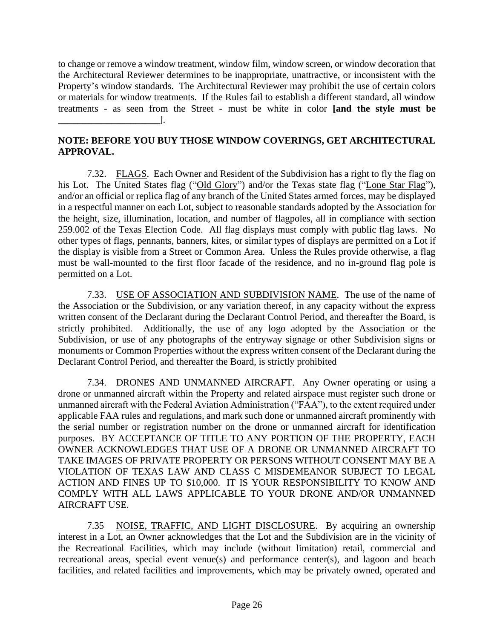to change or remove a window treatment, window film, window screen, or window decoration that the Architectural Reviewer determines to be inappropriate, unattractive, or inconsistent with the Property's window standards. The Architectural Reviewer may prohibit the use of certain colors or materials for window treatments. If the Rules fail to establish a different standard, all window treatments - as seen from the Street - must be white in color **[and the style must be \_\_\_\_\_\_\_\_\_\_\_\_\_\_\_\_\_\_\_\_\_**].

# **NOTE: BEFORE YOU BUY THOSE WINDOW COVERINGS, GET ARCHITECTURAL APPROVAL.**

7.32. FLAGS. Each Owner and Resident of the Subdivision has a right to fly the flag on his Lot. The United States flag ("Old Glory") and/or the Texas state flag ("Lone Star Flag"), and/or an official or replica flag of any branch of the United States armed forces, may be displayed in a respectful manner on each Lot, subject to reasonable standards adopted by the Association for the height, size, illumination, location, and number of flagpoles, all in compliance with section 259.002 of the Texas Election Code. All flag displays must comply with public flag laws. No other types of flags, pennants, banners, kites, or similar types of displays are permitted on a Lot if the display is visible from a Street or Common Area. Unless the Rules provide otherwise, a flag must be wall-mounted to the first floor facade of the residence, and no in-ground flag pole is permitted on a Lot.

7.33. USE OF ASSOCIATION AND SUBDIVISION NAME. The use of the name of the Association or the Subdivision, or any variation thereof, in any capacity without the express written consent of the Declarant during the Declarant Control Period, and thereafter the Board, is strictly prohibited. Additionally, the use of any logo adopted by the Association or the Subdivision, or use of any photographs of the entryway signage or other Subdivision signs or monuments or Common Properties without the express written consent of the Declarant during the Declarant Control Period, and thereafter the Board, is strictly prohibited

7.34. DRONES AND UNMANNED AIRCRAFT. Any Owner operating or using a drone or unmanned aircraft within the Property and related airspace must register such drone or unmanned aircraft with the Federal Aviation Administration ("FAA"), to the extent required under applicable FAA rules and regulations, and mark such done or unmanned aircraft prominently with the serial number or registration number on the drone or unmanned aircraft for identification purposes. BY ACCEPTANCE OF TITLE TO ANY PORTION OF THE PROPERTY, EACH OWNER ACKNOWLEDGES THAT USE OF A DRONE OR UNMANNED AIRCRAFT TO TAKE IMAGES OF PRIVATE PROPERTY OR PERSONS WITHOUT CONSENT MAY BE A VIOLATION OF TEXAS LAW AND CLASS C MISDEMEANOR SUBJECT TO LEGAL ACTION AND FINES UP TO \$10,000. IT IS YOUR RESPONSIBILITY TO KNOW AND COMPLY WITH ALL LAWS APPLICABLE TO YOUR DRONE AND/OR UNMANNED AIRCRAFT USE.

7.35 NOISE, TRAFFIC, AND LIGHT DISCLOSURE. By acquiring an ownership interest in a Lot, an Owner acknowledges that the Lot and the Subdivision are in the vicinity of the Recreational Facilities, which may include (without limitation) retail, commercial and recreational areas, special event venue(s) and performance center(s), and lagoon and beach facilities, and related facilities and improvements, which may be privately owned, operated and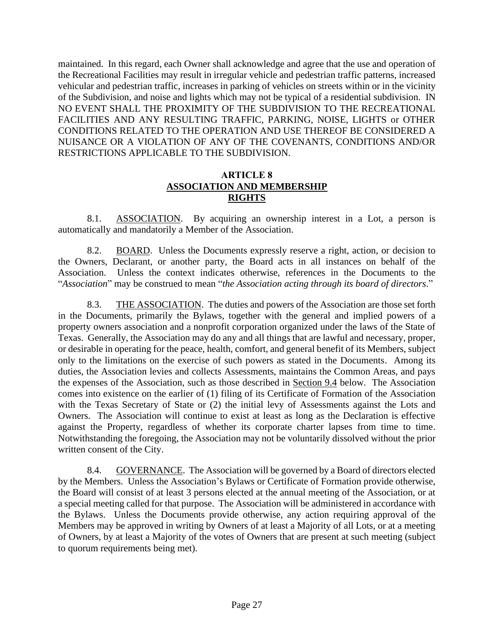maintained. In this regard, each Owner shall acknowledge and agree that the use and operation of the Recreational Facilities may result in irregular vehicle and pedestrian traffic patterns, increased vehicular and pedestrian traffic, increases in parking of vehicles on streets within or in the vicinity of the Subdivision, and noise and lights which may not be typical of a residential subdivision. IN NO EVENT SHALL THE PROXIMITY OF THE SUBDIVISION TO THE RECREATIONAL FACILITIES AND ANY RESULTING TRAFFIC, PARKING, NOISE, LIGHTS or OTHER CONDITIONS RELATED TO THE OPERATION AND USE THEREOF BE CONSIDERED A NUISANCE OR A VIOLATION OF ANY OF THE COVENANTS, CONDITIONS AND/OR RESTRICTIONS APPLICABLE TO THE SUBDIVISION.

#### **ARTICLE 8 ASSOCIATION AND MEMBERSHIP RIGHTS**

8.1. ASSOCIATION. By acquiring an ownership interest in a Lot, a person is automatically and mandatorily a Member of the Association.

8.2. BOARD. Unless the Documents expressly reserve a right, action, or decision to the Owners, Declarant, or another party, the Board acts in all instances on behalf of the Association. Unless the context indicates otherwise, references in the Documents to the "*Association*" may be construed to mean "*the Association acting through its board of directors*."

8.3. THE ASSOCIATION. The duties and powers of the Association are those set forth in the Documents, primarily the Bylaws, together with the general and implied powers of a property owners association and a nonprofit corporation organized under the laws of the State of Texas. Generally, the Association may do any and all things that are lawful and necessary, proper, or desirable in operating for the peace, health, comfort, and general benefit of its Members, subject only to the limitations on the exercise of such powers as stated in the Documents. Among its duties, the Association levies and collects Assessments, maintains the Common Areas, and pays the expenses of the Association, such as those described in Section 9.4 below. The Association comes into existence on the earlier of (1) filing of its Certificate of Formation of the Association with the Texas Secretary of State or  $(2)$  the initial levy of Assessments against the Lots and Owners. The Association will continue to exist at least as long as the Declaration is effective against the Property, regardless of whether its corporate charter lapses from time to time. Notwithstanding the foregoing, the Association may not be voluntarily dissolved without the prior written consent of the City.

8.4. GOVERNANCE. The Association will be governed by a Board of directors elected by the Members. Unless the Association's Bylaws or Certificate of Formation provide otherwise, the Board will consist of at least 3 persons elected at the annual meeting of the Association, or at a special meeting called for that purpose. The Association will be administered in accordance with the Bylaws. Unless the Documents provide otherwise, any action requiring approval of the Members may be approved in writing by Owners of at least a Majority of all Lots, or at a meeting of Owners, by at least a Majority of the votes of Owners that are present at such meeting (subject to quorum requirements being met).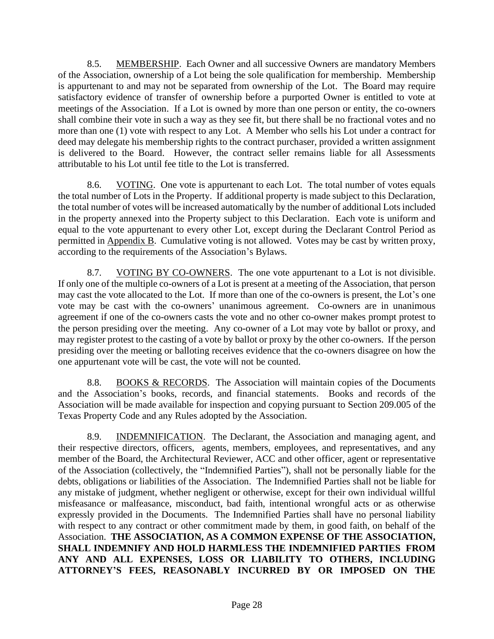8.5. MEMBERSHIP. Each Owner and all successive Owners are mandatory Members of the Association, ownership of a Lot being the sole qualification for membership. Membership is appurtenant to and may not be separated from ownership of the Lot. The Board may require satisfactory evidence of transfer of ownership before a purported Owner is entitled to vote at meetings of the Association. If a Lot is owned by more than one person or entity, the co-owners shall combine their vote in such a way as they see fit, but there shall be no fractional votes and no more than one (1) vote with respect to any Lot. A Member who sells his Lot under a contract for deed may delegate his membership rights to the contract purchaser, provided a written assignment is delivered to the Board. However, the contract seller remains liable for all Assessments attributable to his Lot until fee title to the Lot is transferred.

8.6. VOTING. One vote is appurtenant to each Lot. The total number of votes equals the total number of Lots in the Property. If additional property is made subject to this Declaration, the total number of votes will be increased automatically by the number of additional Lots included in the property annexed into the Property subject to this Declaration. Each vote is uniform and equal to the vote appurtenant to every other Lot, except during the Declarant Control Period as permitted in Appendix B. Cumulative voting is not allowed. Votes may be cast by written proxy, according to the requirements of the Association's Bylaws.

8.7. VOTING BY CO-OWNERS. The one vote appurtenant to a Lot is not divisible. If only one of the multiple co-owners of a Lot is present at a meeting of the Association, that person may cast the vote allocated to the Lot. If more than one of the co-owners is present, the Lot's one vote may be cast with the co-owners' unanimous agreement. Co-owners are in unanimous agreement if one of the co-owners casts the vote and no other co-owner makes prompt protest to the person presiding over the meeting. Any co-owner of a Lot may vote by ballot or proxy, and may register protest to the casting of a vote by ballot or proxy by the other co-owners. If the person presiding over the meeting or balloting receives evidence that the co-owners disagree on how the one appurtenant vote will be cast, the vote will not be counted.

8.8. BOOKS & RECORDS. The Association will maintain copies of the Documents and the Association's books, records, and financial statements. Books and records of the Association will be made available for inspection and copying pursuant to Section 209.005 of the Texas Property Code and any Rules adopted by the Association.

8.9. INDEMNIFICATION. The Declarant, the Association and managing agent, and their respective directors, officers, agents, members, employees, and representatives, and any member of the Board, the Architectural Reviewer, ACC and other officer, agent or representative of the Association (collectively, the "Indemnified Parties"), shall not be personally liable for the debts, obligations or liabilities of the Association. The Indemnified Parties shall not be liable for any mistake of judgment, whether negligent or otherwise, except for their own individual willful misfeasance or malfeasance, misconduct, bad faith, intentional wrongful acts or as otherwise expressly provided in the Documents. The Indemnified Parties shall have no personal liability with respect to any contract or other commitment made by them, in good faith, on behalf of the Association. **THE ASSOCIATION, AS A COMMON EXPENSE OF THE ASSOCIATION, SHALL INDEMNIFY AND HOLD HARMLESS THE INDEMNIFIED PARTIES FROM ANY AND ALL EXPENSES, LOSS OR LIABILITY TO OTHERS, INCLUDING ATTORNEY'S FEES, REASONABLY INCURRED BY OR IMPOSED ON THE**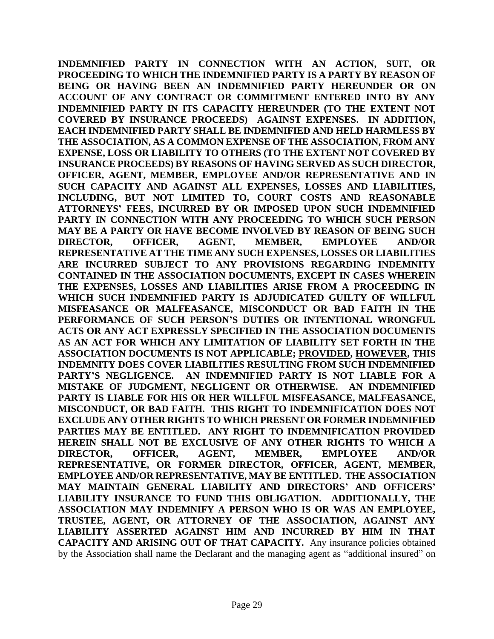**INDEMNIFIED PARTY IN CONNECTION WITH AN ACTION, SUIT, OR PROCEEDING TO WHICH THE INDEMNIFIED PARTY IS A PARTY BY REASON OF BEING OR HAVING BEEN AN INDEMNIFIED PARTY HEREUNDER OR ON ACCOUNT OF ANY CONTRACT OR COMMITMENT ENTERED INTO BY ANY INDEMNIFIED PARTY IN ITS CAPACITY HEREUNDER (TO THE EXTENT NOT COVERED BY INSURANCE PROCEEDS) AGAINST EXPENSES. IN ADDITION, EACH INDEMNIFIED PARTY SHALL BE INDEMNIFIED AND HELD HARMLESS BY THE ASSOCIATION, AS A COMMON EXPENSE OF THE ASSOCIATION, FROM ANY EXPENSE, LOSS OR LIABILITY TO OTHERS (TO THE EXTENT NOT COVERED BY INSURANCE PROCEEDS) BY REASONS OF HAVING SERVED AS SUCH DIRECTOR, OFFICER, AGENT, MEMBER, EMPLOYEE AND/OR REPRESENTATIVE AND IN SUCH CAPACITY AND AGAINST ALL EXPENSES, LOSSES AND LIABILITIES, INCLUDING, BUT NOT LIMITED TO, COURT COSTS AND REASONABLE ATTORNEYS' FEES, INCURRED BY OR IMPOSED UPON SUCH INDEMNIFIED PARTY IN CONNECTION WITH ANY PROCEEDING TO WHICH SUCH PERSON MAY BE A PARTY OR HAVE BECOME INVOLVED BY REASON OF BEING SUCH DIRECTOR, OFFICER, AGENT, MEMBER, EMPLOYEE AND/OR REPRESENTATIVE AT THE TIME ANY SUCH EXPENSES, LOSSES OR LIABILITIES ARE INCURRED SUBJECT TO ANY PROVISIONS REGARDING INDEMNITY CONTAINED IN THE ASSOCIATION DOCUMENTS, EXCEPT IN CASES WHEREIN THE EXPENSES, LOSSES AND LIABILITIES ARISE FROM A PROCEEDING IN WHICH SUCH INDEMNIFIED PARTY IS ADJUDICATED GUILTY OF WILLFUL MISFEASANCE OR MALFEASANCE, MISCONDUCT OR BAD FAITH IN THE PERFORMANCE OF SUCH PERSON'S DUTIES OR INTENTIONAL WRONGFUL ACTS OR ANY ACT EXPRESSLY SPECIFIED IN THE ASSOCIATION DOCUMENTS AS AN ACT FOR WHICH ANY LIMITATION OF LIABILITY SET FORTH IN THE ASSOCIATION DOCUMENTS IS NOT APPLICABLE; PROVIDED, HOWEVER, THIS INDEMNITY DOES COVER LIABILITIES RESULTING FROM SUCH INDEMNIFIED PARTY'S NEGLIGENCE. AN INDEMNIFIED PARTY IS NOT LIABLE FOR A MISTAKE OF JUDGMENT, NEGLIGENT OR OTHERWISE. AN INDEMNIFIED PARTY IS LIABLE FOR HIS OR HER WILLFUL MISFEASANCE, MALFEASANCE, MISCONDUCT, OR BAD FAITH. THIS RIGHT TO INDEMNIFICATION DOES NOT EXCLUDE ANY OTHER RIGHTS TO WHICH PRESENT OR FORMER INDEMNIFIED PARTIES MAY BE ENTITLED. ANY RIGHT TO INDEMNIFICATION PROVIDED HEREIN SHALL NOT BE EXCLUSIVE OF ANY OTHER RIGHTS TO WHICH A DIRECTOR, OFFICER, AGENT, MEMBER, EMPLOYEE AND/OR REPRESENTATIVE, OR FORMER DIRECTOR, OFFICER, AGENT, MEMBER, EMPLOYEE AND/OR REPRESENTATIVE, MAY BE ENTITLED. THE ASSOCIATION MAY MAINTAIN GENERAL LIABILITY AND DIRECTORS' AND OFFICERS' LIABILITY INSURANCE TO FUND THIS OBLIGATION. ADDITIONALLY, THE ASSOCIATION MAY INDEMNIFY A PERSON WHO IS OR WAS AN EMPLOYEE, TRUSTEE, AGENT, OR ATTORNEY OF THE ASSOCIATION, AGAINST ANY LIABILITY ASSERTED AGAINST HIM AND INCURRED BY HIM IN THAT CAPACITY AND ARISING OUT OF THAT CAPACITY.** Any insurance policies obtained by the Association shall name the Declarant and the managing agent as "additional insured" on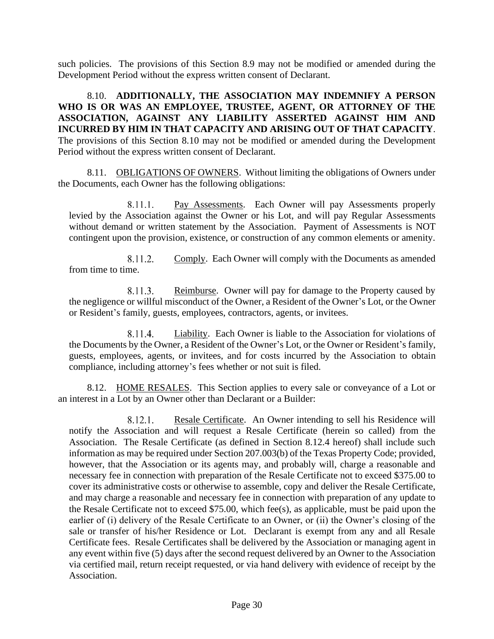such policies. The provisions of this Section 8.9 may not be modified or amended during the Development Period without the express written consent of Declarant.

8.10. **ADDITIONALLY, THE ASSOCIATION MAY INDEMNIFY A PERSON WHO IS OR WAS AN EMPLOYEE, TRUSTEE, AGENT, OR ATTORNEY OF THE ASSOCIATION, AGAINST ANY LIABILITY ASSERTED AGAINST HIM AND INCURRED BY HIM IN THAT CAPACITY AND ARISING OUT OF THAT CAPACITY**. The provisions of this Section 8.10 may not be modified or amended during the Development Period without the express written consent of Declarant.

8.11. OBLIGATIONS OF OWNERS. Without limiting the obligations of Owners under the Documents, each Owner has the following obligations:

8.11.1. Pay Assessments. Each Owner will pay Assessments properly levied by the Association against the Owner or his Lot, and will pay Regular Assessments without demand or written statement by the Association. Payment of Assessments is NOT contingent upon the provision, existence, or construction of any common elements or amenity.

8.11.2. Comply. Each Owner will comply with the Documents as amended from time to time.

Reimburse. Owner will pay for damage to the Property caused by 8.11.3. the negligence or willful misconduct of the Owner, a Resident of the Owner's Lot, or the Owner or Resident's family, guests, employees, contractors, agents, or invitees.

8.11.4. Liability. Each Owner is liable to the Association for violations of the Documents by the Owner, a Resident of the Owner's Lot, or the Owner or Resident's family, guests, employees, agents, or invitees, and for costs incurred by the Association to obtain compliance, including attorney's fees whether or not suit is filed.

8.12. HOME RESALES. This Section applies to every sale or conveyance of a Lot or an interest in a Lot by an Owner other than Declarant or a Builder:

8.12.1. Resale Certificate. An Owner intending to sell his Residence will notify the Association and will request a Resale Certificate (herein so called) from the Association. The Resale Certificate (as defined in Section 8.12.4 hereof) shall include such information as may be required under Section 207.003(b) of the Texas Property Code; provided, however, that the Association or its agents may, and probably will, charge a reasonable and necessary fee in connection with preparation of the Resale Certificate not to exceed \$375.00 to cover its administrative costs or otherwise to assemble, copy and deliver the Resale Certificate, and may charge a reasonable and necessary fee in connection with preparation of any update to the Resale Certificate not to exceed \$75.00, which fee(s), as applicable, must be paid upon the earlier of (i) delivery of the Resale Certificate to an Owner, or (ii) the Owner's closing of the sale or transfer of his/her Residence or Lot. Declarant is exempt from any and all Resale Certificate fees. Resale Certificates shall be delivered by the Association or managing agent in any event within five (5) days after the second request delivered by an Owner to the Association via certified mail, return receipt requested, or via hand delivery with evidence of receipt by the Association.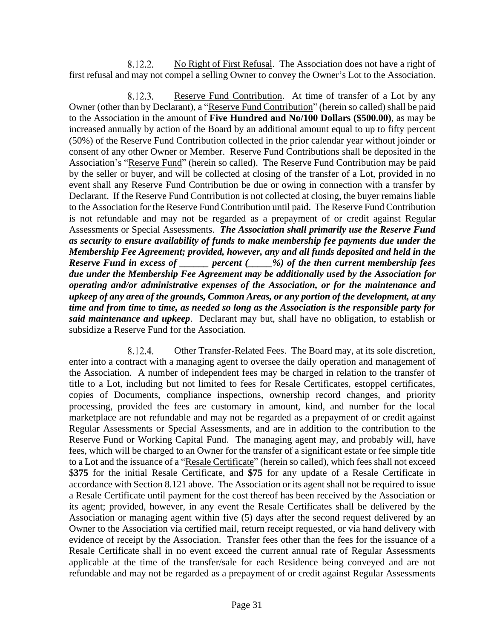8.12.2. No Right of First Refusal. The Association does not have a right of first refusal and may not compel a selling Owner to convey the Owner's Lot to the Association.

Reserve Fund Contribution. At time of transfer of a Lot by any 8.12.3. Owner (other than by Declarant), a "Reserve Fund Contribution" (herein so called) shall be paid to the Association in the amount of **Five Hundred and No/100 Dollars (\$500.00)**, as may be increased annually by action of the Board by an additional amount equal to up to fifty percent (50%) of the Reserve Fund Contribution collected in the prior calendar year without joinder or consent of any other Owner or Member. Reserve Fund Contributions shall be deposited in the Association's "Reserve Fund" (herein so called). The Reserve Fund Contribution may be paid by the seller or buyer, and will be collected at closing of the transfer of a Lot, provided in no event shall any Reserve Fund Contribution be due or owing in connection with a transfer by Declarant. If the Reserve Fund Contribution is not collected at closing, the buyer remains liable to the Association for the Reserve Fund Contribution until paid. The Reserve Fund Contribution is not refundable and may not be regarded as a prepayment of or credit against Regular Assessments or Special Assessments. *The Association shall primarily use the Reserve Fund as security to ensure availability of funds to make membership fee payments due under the Membership Fee Agreement; provided, however, any and all funds deposited and held in the Reserve Fund in excess of \_\_\_\_\_\_ percent (\_\_\_\_\_%) of the then current membership fees due under the Membership Fee Agreement may be additionally used by the Association for operating and/or administrative expenses of the Association, or for the maintenance and upkeep of any area of the grounds, Common Areas, or any portion of the development, at any time and from time to time, as needed so long as the Association is the responsible party for said maintenance and upkeep*. Declarant may but, shall have no obligation, to establish or subsidize a Reserve Fund for the Association.

8.12.4. Other Transfer-Related Fees. The Board may, at its sole discretion, enter into a contract with a managing agent to oversee the daily operation and management of the Association. A number of independent fees may be charged in relation to the transfer of title to a Lot, including but not limited to fees for Resale Certificates, estoppel certificates, copies of Documents, compliance inspections, ownership record changes, and priority processing, provided the fees are customary in amount, kind, and number for the local marketplace are not refundable and may not be regarded as a prepayment of or credit against Regular Assessments or Special Assessments, and are in addition to the contribution to the Reserve Fund or Working Capital Fund. The managing agent may, and probably will, have fees, which will be charged to an Owner for the transfer of a significant estate or fee simple title to a Lot and the issuance of a "Resale Certificate" (herein so called), which fees shall not exceed \$**375** for the initial Resale Certificate, and **\$75** for any update of a Resale Certificate in accordance with Section 8.121 above. The Association or its agent shall not be required to issue a Resale Certificate until payment for the cost thereof has been received by the Association or its agent; provided, however, in any event the Resale Certificates shall be delivered by the Association or managing agent within five (5) days after the second request delivered by an Owner to the Association via certified mail, return receipt requested, or via hand delivery with evidence of receipt by the Association. Transfer fees other than the fees for the issuance of a Resale Certificate shall in no event exceed the current annual rate of Regular Assessments applicable at the time of the transfer/sale for each Residence being conveyed and are not refundable and may not be regarded as a prepayment of or credit against Regular Assessments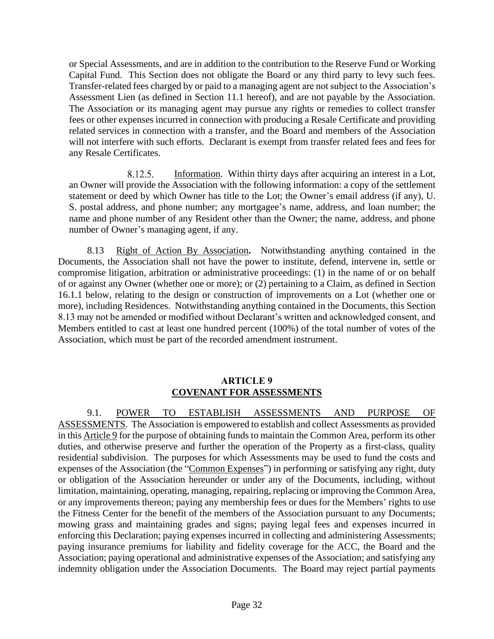or Special Assessments, and are in addition to the contribution to the Reserve Fund or Working Capital Fund. This Section does not obligate the Board or any third party to levy such fees. Transfer-related fees charged by or paid to a managing agent are not subject to the Association's Assessment Lien (as defined in Section 11.1 hereof), and are not payable by the Association. The Association or its managing agent may pursue any rights or remedies to collect transfer fees or other expenses incurred in connection with producing a Resale Certificate and providing related services in connection with a transfer, and the Board and members of the Association will not interfere with such efforts. Declarant is exempt from transfer related fees and fees for any Resale Certificates.

8.12.5. Information. Within thirty days after acquiring an interest in a Lot, an Owner will provide the Association with the following information: a copy of the settlement statement or deed by which Owner has title to the Lot; the Owner's email address (if any), U. S. postal address, and phone number; any mortgagee's name, address, and loan number; the name and phone number of any Resident other than the Owner; the name, address, and phone number of Owner's managing agent, if any.

8.13 Right of Action By Association**.** Notwithstanding anything contained in the Documents, the Association shall not have the power to institute, defend, intervene in, settle or compromise litigation, arbitration or administrative proceedings: (1) in the name of or on behalf of or against any Owner (whether one or more); or (2) pertaining to a Claim, as defined in Section 16.1.1 below, relating to the design or construction of improvements on a Lot (whether one or more), including Residences. Notwithstanding anything contained in the Documents, this Section 8.13 may not be amended or modified without Declarant's written and acknowledged consent, and Members entitled to cast at least one hundred percent (100%) of the total number of votes of the Association, which must be part of the recorded amendment instrument.

#### **ARTICLE 9 COVENANT FOR ASSESSMENTS**

9.1. POWER TO ESTABLISH ASSESSMENTS AND PURPOSE OF ASSESSMENTS. The Association is empowered to establish and collect Assessments as provided in this Article 9 for the purpose of obtaining funds to maintain the Common Area, perform its other duties, and otherwise preserve and further the operation of the Property as a first-class, quality residential subdivision. The purposes for which Assessments may be used to fund the costs and expenses of the Association (the "Common Expenses") in performing or satisfying any right, duty or obligation of the Association hereunder or under any of the Documents, including, without limitation, maintaining, operating, managing, repairing, replacing or improving the Common Area, or any improvements thereon; paying any membership fees or dues for the Members' rights to use the Fitness Center for the benefit of the members of the Association pursuant to any Documents; mowing grass and maintaining grades and signs; paying legal fees and expenses incurred in enforcing this Declaration; paying expenses incurred in collecting and administering Assessments; paying insurance premiums for liability and fidelity coverage for the ACC, the Board and the Association; paying operational and administrative expenses of the Association; and satisfying any indemnity obligation under the Association Documents. The Board may reject partial payments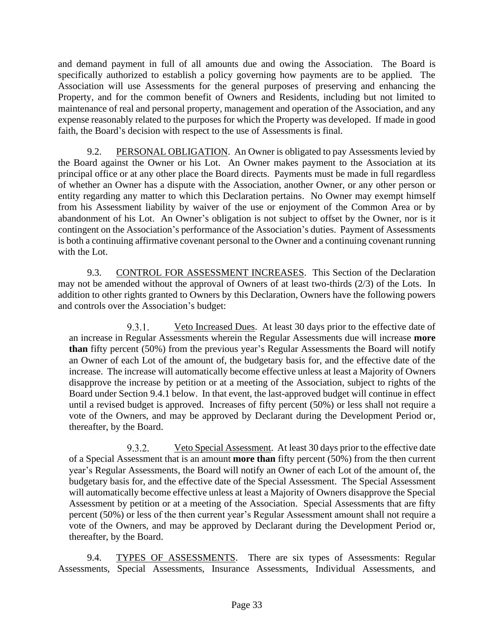and demand payment in full of all amounts due and owing the Association. The Board is specifically authorized to establish a policy governing how payments are to be applied. The Association will use Assessments for the general purposes of preserving and enhancing the Property, and for the common benefit of Owners and Residents, including but not limited to maintenance of real and personal property, management and operation of the Association, and any expense reasonably related to the purposes for which the Property was developed. If made in good faith, the Board's decision with respect to the use of Assessments is final.

9.2. PERSONAL OBLIGATION. An Owner is obligated to pay Assessments levied by the Board against the Owner or his Lot. An Owner makes payment to the Association at its principal office or at any other place the Board directs. Payments must be made in full regardless of whether an Owner has a dispute with the Association, another Owner, or any other person or entity regarding any matter to which this Declaration pertains. No Owner may exempt himself from his Assessment liability by waiver of the use or enjoyment of the Common Area or by abandonment of his Lot. An Owner's obligation is not subject to offset by the Owner, nor is it contingent on the Association's performance of the Association's duties. Payment of Assessments is both a continuing affirmative covenant personal to the Owner and a continuing covenant running with the Lot.

9.3. CONTROL FOR ASSESSMENT INCREASES. This Section of the Declaration may not be amended without the approval of Owners of at least two-thirds (2/3) of the Lots. In addition to other rights granted to Owners by this Declaration, Owners have the following powers and controls over the Association's budget:

Veto Increased Dues. At least 30 days prior to the effective date of  $9.3.1.$ an increase in Regular Assessments wherein the Regular Assessments due will increase **more than** fifty percent (50%) from the previous year's Regular Assessments the Board will notify an Owner of each Lot of the amount of, the budgetary basis for, and the effective date of the increase. The increase will automatically become effective unless at least a Majority of Owners disapprove the increase by petition or at a meeting of the Association, subject to rights of the Board under Section 9.4.1 below. In that event, the last-approved budget will continue in effect until a revised budget is approved. Increases of fifty percent (50%) or less shall not require a vote of the Owners, and may be approved by Declarant during the Development Period or, thereafter, by the Board.

 $9.3.2.$ Veto Special Assessment. At least 30 days prior to the effective date of a Special Assessment that is an amount **more than** fifty percent (50%) from the then current year's Regular Assessments, the Board will notify an Owner of each Lot of the amount of, the budgetary basis for, and the effective date of the Special Assessment. The Special Assessment will automatically become effective unless at least a Majority of Owners disapprove the Special Assessment by petition or at a meeting of the Association. Special Assessments that are fifty percent (50%) or less of the then current year's Regular Assessment amount shall not require a vote of the Owners, and may be approved by Declarant during the Development Period or, thereafter, by the Board.

9.4. TYPES OF ASSESSMENTS. There are six types of Assessments: Regular Assessments, Special Assessments, Insurance Assessments, Individual Assessments, and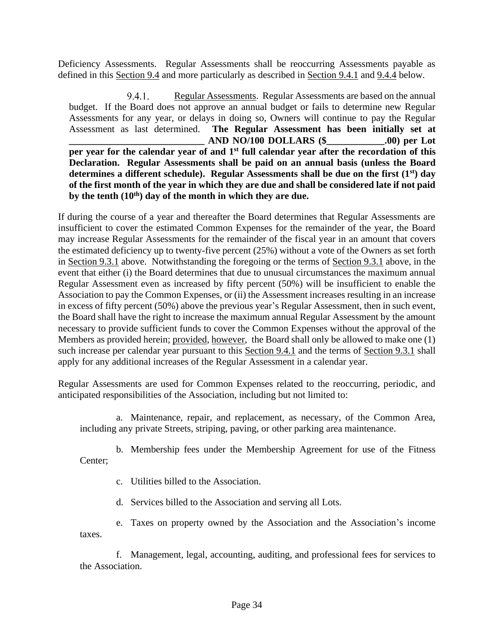Deficiency Assessments. Regular Assessments shall be reoccurring Assessments payable as defined in this Section 9.4 and more particularly as described in Section 9.4.1 and 9.4.4 below.

9.4.1. Regular Assessments. Regular Assessments are based on the annual budget. If the Board does not approve an annual budget or fails to determine new Regular Assessments for any year, or delays in doing so, Owners will continue to pay the Regular Assessment as last determined. **The Regular Assessment has been initially set at \_\_\_\_\_\_\_\_\_\_\_\_\_\_\_\_\_\_\_\_\_\_\_\_\_\_\_\_ AND NO/100 DOLLARS (\$\_\_\_\_\_\_\_\_\_\_\_\_.00) per Lot per year for the calendar year of and 1st full calendar year after the recordation of this Declaration. Regular Assessments shall be paid on an annual basis (unless the Board determines a different schedule). Regular Assessments shall be due on the first (1st) day of the first month of the year in which they are due and shall be considered late if not paid by the tenth (10th) day of the month in which they are due.**

If during the course of a year and thereafter the Board determines that Regular Assessments are insufficient to cover the estimated Common Expenses for the remainder of the year, the Board may increase Regular Assessments for the remainder of the fiscal year in an amount that covers the estimated deficiency up to twenty-five percent (25%) without a vote of the Owners as set forth in Section 9.3.1 above. Notwithstanding the foregoing or the terms of Section 9.3.1 above, in the event that either (i) the Board determines that due to unusual circumstances the maximum annual Regular Assessment even as increased by fifty percent (50%) will be insufficient to enable the Association to pay the Common Expenses, or (ii) the Assessment increases resulting in an increase in excess of fifty percent (50%) above the previous year's Regular Assessment, then in such event, the Board shall have the right to increase the maximum annual Regular Assessment by the amount necessary to provide sufficient funds to cover the Common Expenses without the approval of the Members as provided herein; provided, however, the Board shall only be allowed to make one (1) such increase per calendar year pursuant to this Section 9.4.1 and the terms of Section 9.3.1 shall apply for any additional increases of the Regular Assessment in a calendar year.

Regular Assessments are used for Common Expenses related to the reoccurring, periodic, and anticipated responsibilities of the Association, including but not limited to:

a. Maintenance, repair, and replacement, as necessary, of the Common Area, including any private Streets, striping, paving, or other parking area maintenance.

b. Membership fees under the Membership Agreement for use of the Fitness Center;

c. Utilities billed to the Association.

d. Services billed to the Association and serving all Lots.

e. Taxes on property owned by the Association and the Association's income taxes.

f. Management, legal, accounting, auditing, and professional fees for services to the Association.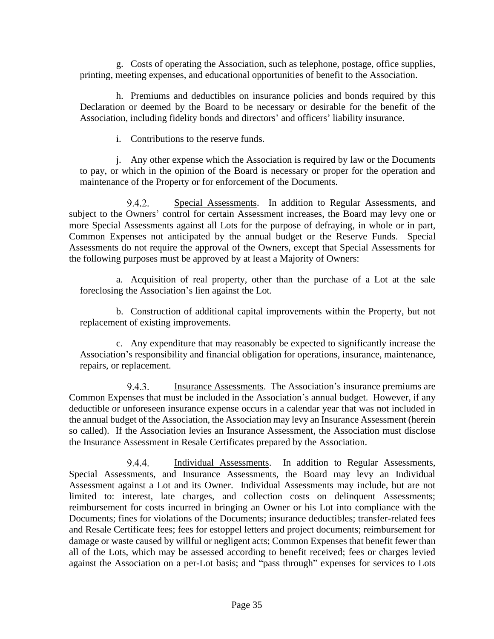g. Costs of operating the Association, such as telephone, postage, office supplies, printing, meeting expenses, and educational opportunities of benefit to the Association.

h. Premiums and deductibles on insurance policies and bonds required by this Declaration or deemed by the Board to be necessary or desirable for the benefit of the Association, including fidelity bonds and directors' and officers' liability insurance.

i. Contributions to the reserve funds.

j. Any other expense which the Association is required by law or the Documents to pay, or which in the opinion of the Board is necessary or proper for the operation and maintenance of the Property or for enforcement of the Documents.

9.4.2. Special Assessments. In addition to Regular Assessments, and subject to the Owners' control for certain Assessment increases, the Board may levy one or more Special Assessments against all Lots for the purpose of defraying, in whole or in part, Common Expenses not anticipated by the annual budget or the Reserve Funds. Special Assessments do not require the approval of the Owners, except that Special Assessments for the following purposes must be approved by at least a Majority of Owners:

a. Acquisition of real property, other than the purchase of a Lot at the sale foreclosing the Association's lien against the Lot.

b. Construction of additional capital improvements within the Property, but not replacement of existing improvements.

c. Any expenditure that may reasonably be expected to significantly increase the Association's responsibility and financial obligation for operations, insurance, maintenance, repairs, or replacement.

9.4.3. Insurance Assessments. The Association's insurance premiums are Common Expenses that must be included in the Association's annual budget. However, if any deductible or unforeseen insurance expense occurs in a calendar year that was not included in the annual budget of the Association, the Association may levy an Insurance Assessment (herein so called). If the Association levies an Insurance Assessment, the Association must disclose the Insurance Assessment in Resale Certificates prepared by the Association.

9.4.4. Individual Assessments. In addition to Regular Assessments, Special Assessments, and Insurance Assessments, the Board may levy an Individual Assessment against a Lot and its Owner. Individual Assessments may include, but are not limited to: interest, late charges, and collection costs on delinquent Assessments; reimbursement for costs incurred in bringing an Owner or his Lot into compliance with the Documents; fines for violations of the Documents; insurance deductibles; transfer-related fees and Resale Certificate fees; fees for estoppel letters and project documents; reimbursement for damage or waste caused by willful or negligent acts; Common Expenses that benefit fewer than all of the Lots, which may be assessed according to benefit received; fees or charges levied against the Association on a per-Lot basis; and "pass through" expenses for services to Lots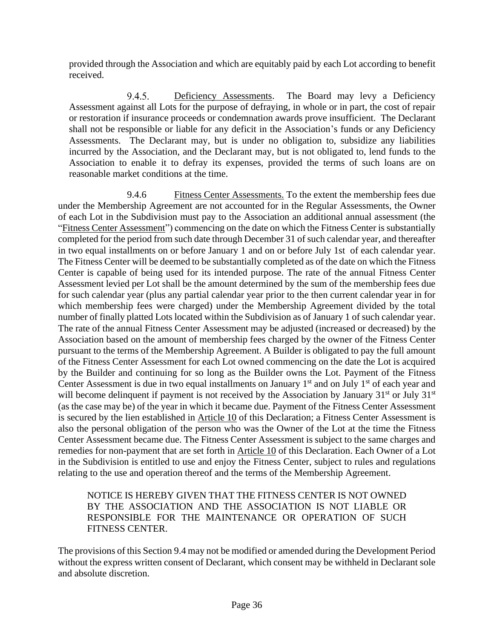provided through the Association and which are equitably paid by each Lot according to benefit received.

 $9.4.5.$ Deficiency Assessments. The Board may levy a Deficiency Assessment against all Lots for the purpose of defraying, in whole or in part, the cost of repair or restoration if insurance proceeds or condemnation awards prove insufficient. The Declarant shall not be responsible or liable for any deficit in the Association's funds or any Deficiency Assessments. The Declarant may, but is under no obligation to, subsidize any liabilities incurred by the Association, and the Declarant may, but is not obligated to, lend funds to the Association to enable it to defray its expenses, provided the terms of such loans are on reasonable market conditions at the time.

9.4.6 Fitness Center Assessments. To the extent the membership fees due under the Membership Agreement are not accounted for in the Regular Assessments, the Owner of each Lot in the Subdivision must pay to the Association an additional annual assessment (the "Fitness Center Assessment") commencing on the date on which the Fitness Center is substantially completed for the period from such date through December 31 of such calendar year, and thereafter in two equal installments on or before January 1 and on or before July 1st of each calendar year. The Fitness Center will be deemed to be substantially completed as of the date on which the Fitness Center is capable of being used for its intended purpose. The rate of the annual Fitness Center Assessment levied per Lot shall be the amount determined by the sum of the membership fees due for such calendar year (plus any partial calendar year prior to the then current calendar year in for which membership fees were charged) under the Membership Agreement divided by the total number of finally platted Lots located within the Subdivision as of January 1 of such calendar year. The rate of the annual Fitness Center Assessment may be adjusted (increased or decreased) by the Association based on the amount of membership fees charged by the owner of the Fitness Center pursuant to the terms of the Membership Agreement. A Builder is obligated to pay the full amount of the Fitness Center Assessment for each Lot owned commencing on the date the Lot is acquired by the Builder and continuing for so long as the Builder owns the Lot. Payment of the Fitness Center Assessment is due in two equal installments on January  $1<sup>st</sup>$  and on July  $1<sup>st</sup>$  of each year and will become delinquent if payment is not received by the Association by January 31<sup>st</sup> or July 31<sup>st</sup> (as the case may be) of the year in which it became due. Payment of the Fitness Center Assessment is secured by the lien established in Article 10 of this Declaration; a Fitness Center Assessment is also the personal obligation of the person who was the Owner of the Lot at the time the Fitness Center Assessment became due. The Fitness Center Assessment is subject to the same charges and remedies for non-payment that are set forth in Article 10 of this Declaration. Each Owner of a Lot in the Subdivision is entitled to use and enjoy the Fitness Center, subject to rules and regulations relating to the use and operation thereof and the terms of the Membership Agreement.

## NOTICE IS HEREBY GIVEN THAT THE FITNESS CENTER IS NOT OWNED BY THE ASSOCIATION AND THE ASSOCIATION IS NOT LIABLE OR RESPONSIBLE FOR THE MAINTENANCE OR OPERATION OF SUCH FITNESS CENTER.

The provisions of this Section 9.4 may not be modified or amended during the Development Period without the express written consent of Declarant, which consent may be withheld in Declarant sole and absolute discretion.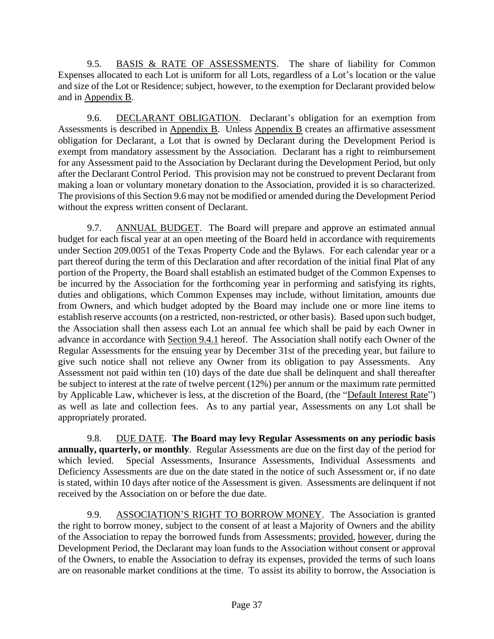9.5. BASIS & RATE OF ASSESSMENTS. The share of liability for Common Expenses allocated to each Lot is uniform for all Lots, regardless of a Lot's location or the value and size of the Lot or Residence; subject, however, to the exemption for Declarant provided below and in Appendix B.

9.6. DECLARANT OBLIGATION. Declarant's obligation for an exemption from Assessments is described in Appendix B. Unless Appendix B creates an affirmative assessment obligation for Declarant, a Lot that is owned by Declarant during the Development Period is exempt from mandatory assessment by the Association. Declarant has a right to reimbursement for any Assessment paid to the Association by Declarant during the Development Period, but only after the Declarant Control Period. This provision may not be construed to prevent Declarant from making a loan or voluntary monetary donation to the Association, provided it is so characterized. The provisions of this Section 9.6 may not be modified or amended during the Development Period without the express written consent of Declarant.

9.7. ANNUAL BUDGET. The Board will prepare and approve an estimated annual budget for each fiscal year at an open meeting of the Board held in accordance with requirements under Section 209.0051 of the Texas Property Code and the Bylaws. For each calendar year or a part thereof during the term of this Declaration and after recordation of the initial final Plat of any portion of the Property, the Board shall establish an estimated budget of the Common Expenses to be incurred by the Association for the forthcoming year in performing and satisfying its rights, duties and obligations, which Common Expenses may include, without limitation, amounts due from Owners, and which budget adopted by the Board may include one or more line items to establish reserve accounts (on a restricted, non-restricted, or other basis). Based upon such budget, the Association shall then assess each Lot an annual fee which shall be paid by each Owner in advance in accordance with Section 9.4.1 hereof. The Association shall notify each Owner of the Regular Assessments for the ensuing year by December 31st of the preceding year, but failure to give such notice shall not relieve any Owner from its obligation to pay Assessments. Any Assessment not paid within ten (10) days of the date due shall be delinquent and shall thereafter be subject to interest at the rate of twelve percent (12%) per annum or the maximum rate permitted by Applicable Law, whichever is less, at the discretion of the Board, (the "Default Interest Rate") as well as late and collection fees. As to any partial year, Assessments on any Lot shall be appropriately prorated.

9.8. DUE DATE. **The Board may levy Regular Assessments on any periodic basis annually, quarterly, or monthly**. Regular Assessments are due on the first day of the period for which levied. Special Assessments, Insurance Assessments, Individual Assessments and Deficiency Assessments are due on the date stated in the notice of such Assessment or, if no date is stated, within 10 days after notice of the Assessment is given. Assessments are delinquent if not received by the Association on or before the due date.

9.9. ASSOCIATION'S RIGHT TO BORROW MONEY. The Association is granted the right to borrow money, subject to the consent of at least a Majority of Owners and the ability of the Association to repay the borrowed funds from Assessments; provided, however, during the Development Period, the Declarant may loan funds to the Association without consent or approval of the Owners, to enable the Association to defray its expenses, provided the terms of such loans are on reasonable market conditions at the time. To assist its ability to borrow, the Association is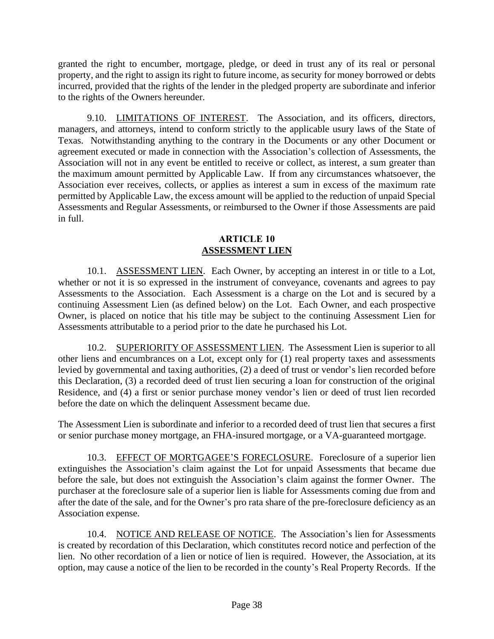granted the right to encumber, mortgage, pledge, or deed in trust any of its real or personal property, and the right to assign its right to future income, as security for money borrowed or debts incurred, provided that the rights of the lender in the pledged property are subordinate and inferior to the rights of the Owners hereunder.

9.10. LIMITATIONS OF INTEREST. The Association, and its officers, directors, managers, and attorneys, intend to conform strictly to the applicable usury laws of the State of Texas. Notwithstanding anything to the contrary in the Documents or any other Document or agreement executed or made in connection with the Association's collection of Assessments, the Association will not in any event be entitled to receive or collect, as interest, a sum greater than the maximum amount permitted by Applicable Law. If from any circumstances whatsoever, the Association ever receives, collects, or applies as interest a sum in excess of the maximum rate permitted by Applicable Law, the excess amount will be applied to the reduction of unpaid Special Assessments and Regular Assessments, or reimbursed to the Owner if those Assessments are paid in full.

### **ARTICLE 10 ASSESSMENT LIEN**

10.1. ASSESSMENT LIEN. Each Owner, by accepting an interest in or title to a Lot, whether or not it is so expressed in the instrument of conveyance, covenants and agrees to pay Assessments to the Association. Each Assessment is a charge on the Lot and is secured by a continuing Assessment Lien (as defined below) on the Lot. Each Owner, and each prospective Owner, is placed on notice that his title may be subject to the continuing Assessment Lien for Assessments attributable to a period prior to the date he purchased his Lot.

10.2. SUPERIORITY OF ASSESSMENT LIEN. The Assessment Lien is superior to all other liens and encumbrances on a Lot, except only for (1) real property taxes and assessments levied by governmental and taxing authorities, (2) a deed of trust or vendor's lien recorded before this Declaration, (3) a recorded deed of trust lien securing a loan for construction of the original Residence, and (4) a first or senior purchase money vendor's lien or deed of trust lien recorded before the date on which the delinquent Assessment became due.

The Assessment Lien is subordinate and inferior to a recorded deed of trust lien that secures a first or senior purchase money mortgage, an FHA-insured mortgage, or a VA-guaranteed mortgage.

10.3. EFFECT OF MORTGAGEE'S FORECLOSURE. Foreclosure of a superior lien extinguishes the Association's claim against the Lot for unpaid Assessments that became due before the sale, but does not extinguish the Association's claim against the former Owner. The purchaser at the foreclosure sale of a superior lien is liable for Assessments coming due from and after the date of the sale, and for the Owner's pro rata share of the pre-foreclosure deficiency as an Association expense.

10.4. NOTICE AND RELEASE OF NOTICE. The Association's lien for Assessments is created by recordation of this Declaration, which constitutes record notice and perfection of the lien. No other recordation of a lien or notice of lien is required. However, the Association, at its option, may cause a notice of the lien to be recorded in the county's Real Property Records. If the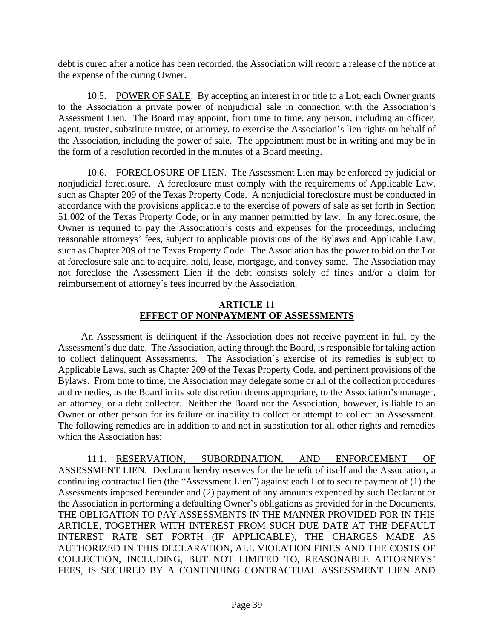debt is cured after a notice has been recorded, the Association will record a release of the notice at the expense of the curing Owner.

10.5. POWER OF SALE. By accepting an interest in or title to a Lot, each Owner grants to the Association a private power of nonjudicial sale in connection with the Association's Assessment Lien. The Board may appoint, from time to time, any person, including an officer, agent, trustee, substitute trustee, or attorney, to exercise the Association's lien rights on behalf of the Association, including the power of sale. The appointment must be in writing and may be in the form of a resolution recorded in the minutes of a Board meeting.

10.6. FORECLOSURE OF LIEN. The Assessment Lien may be enforced by judicial or nonjudicial foreclosure. A foreclosure must comply with the requirements of Applicable Law, such as Chapter 209 of the Texas Property Code. A nonjudicial foreclosure must be conducted in accordance with the provisions applicable to the exercise of powers of sale as set forth in Section 51.002 of the Texas Property Code, or in any manner permitted by law. In any foreclosure, the Owner is required to pay the Association's costs and expenses for the proceedings, including reasonable attorneys' fees, subject to applicable provisions of the Bylaws and Applicable Law, such as Chapter 209 of the Texas Property Code. The Association has the power to bid on the Lot at foreclosure sale and to acquire, hold, lease, mortgage, and convey same. The Association may not foreclose the Assessment Lien if the debt consists solely of fines and/or a claim for reimbursement of attorney's fees incurred by the Association.

## **ARTICLE 11 EFFECT OF NONPAYMENT OF ASSESSMENTS**

An Assessment is delinquent if the Association does not receive payment in full by the Assessment's due date. The Association, acting through the Board, is responsible for taking action to collect delinquent Assessments. The Association's exercise of its remedies is subject to Applicable Laws, such as Chapter 209 of the Texas Property Code, and pertinent provisions of the Bylaws. From time to time, the Association may delegate some or all of the collection procedures and remedies, as the Board in its sole discretion deems appropriate, to the Association's manager, an attorney, or a debt collector. Neither the Board nor the Association, however, is liable to an Owner or other person for its failure or inability to collect or attempt to collect an Assessment. The following remedies are in addition to and not in substitution for all other rights and remedies which the Association has:

11.1. RESERVATION, SUBORDINATION, AND ENFORCEMENT OF ASSESSMENT LIEN. Declarant hereby reserves for the benefit of itself and the Association, a continuing contractual lien (the "Assessment Lien") against each Lot to secure payment of (1) the Assessments imposed hereunder and (2) payment of any amounts expended by such Declarant or the Association in performing a defaulting Owner's obligations as provided for in the Documents. THE OBLIGATION TO PAY ASSESSMENTS IN THE MANNER PROVIDED FOR IN THIS ARTICLE, TOGETHER WITH INTEREST FROM SUCH DUE DATE AT THE DEFAULT INTEREST RATE SET FORTH (IF APPLICABLE), THE CHARGES MADE AS AUTHORIZED IN THIS DECLARATION, ALL VIOLATION FINES AND THE COSTS OF COLLECTION, INCLUDING, BUT NOT LIMITED TO, REASONABLE ATTORNEYS' FEES, IS SECURED BY A CONTINUING CONTRACTUAL ASSESSMENT LIEN AND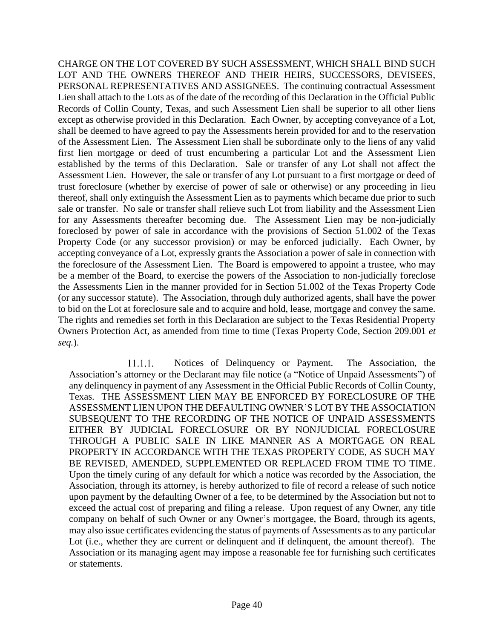CHARGE ON THE LOT COVERED BY SUCH ASSESSMENT, WHICH SHALL BIND SUCH LOT AND THE OWNERS THEREOF AND THEIR HEIRS, SUCCESSORS, DEVISEES, PERSONAL REPRESENTATIVES AND ASSIGNEES. The continuing contractual Assessment Lien shall attach to the Lots as of the date of the recording of this Declaration in the Official Public Records of Collin County, Texas, and such Assessment Lien shall be superior to all other liens except as otherwise provided in this Declaration. Each Owner, by accepting conveyance of a Lot, shall be deemed to have agreed to pay the Assessments herein provided for and to the reservation of the Assessment Lien. The Assessment Lien shall be subordinate only to the liens of any valid first lien mortgage or deed of trust encumbering a particular Lot and the Assessment Lien established by the terms of this Declaration. Sale or transfer of any Lot shall not affect the Assessment Lien. However, the sale or transfer of any Lot pursuant to a first mortgage or deed of trust foreclosure (whether by exercise of power of sale or otherwise) or any proceeding in lieu thereof, shall only extinguish the Assessment Lien as to payments which became due prior to such sale or transfer. No sale or transfer shall relieve such Lot from liability and the Assessment Lien for any Assessments thereafter becoming due. The Assessment Lien may be non-judicially foreclosed by power of sale in accordance with the provisions of Section 51.002 of the Texas Property Code (or any successor provision) or may be enforced judicially. Each Owner, by accepting conveyance of a Lot, expressly grants the Association a power of sale in connection with the foreclosure of the Assessment Lien. The Board is empowered to appoint a trustee, who may be a member of the Board, to exercise the powers of the Association to non-judicially foreclose the Assessments Lien in the manner provided for in Section 51.002 of the Texas Property Code (or any successor statute). The Association, through duly authorized agents, shall have the power to bid on the Lot at foreclosure sale and to acquire and hold, lease, mortgage and convey the same. The rights and remedies set forth in this Declaration are subject to the Texas Residential Property Owners Protection Act, as amended from time to time (Texas Property Code, Section 209.001 *et seq.*).

Notices of Delinquency or Payment. The Association, the  $11.1.1.$ Association's attorney or the Declarant may file notice (a "Notice of Unpaid Assessments") of any delinquency in payment of any Assessment in the Official Public Records of Collin County, Texas. THE ASSESSMENT LIEN MAY BE ENFORCED BY FORECLOSURE OF THE ASSESSMENT LIEN UPON THE DEFAULTING OWNER'S LOT BY THE ASSOCIATION SUBSEQUENT TO THE RECORDING OF THE NOTICE OF UNPAID ASSESSMENTS EITHER BY JUDICIAL FORECLOSURE OR BY NONJUDICIAL FORECLOSURE THROUGH A PUBLIC SALE IN LIKE MANNER AS A MORTGAGE ON REAL PROPERTY IN ACCORDANCE WITH THE TEXAS PROPERTY CODE, AS SUCH MAY BE REVISED, AMENDED, SUPPLEMENTED OR REPLACED FROM TIME TO TIME. Upon the timely curing of any default for which a notice was recorded by the Association, the Association, through its attorney, is hereby authorized to file of record a release of such notice upon payment by the defaulting Owner of a fee, to be determined by the Association but not to exceed the actual cost of preparing and filing a release. Upon request of any Owner, any title company on behalf of such Owner or any Owner's mortgagee, the Board, through its agents, may also issue certificates evidencing the status of payments of Assessments as to any particular Lot (i.e., whether they are current or delinquent and if delinquent, the amount thereof). The Association or its managing agent may impose a reasonable fee for furnishing such certificates or statements.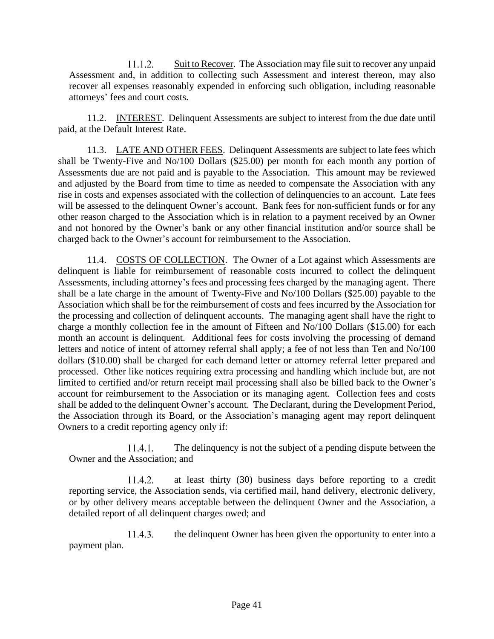$11.1.2.$ Suit to Recover. The Association may file suit to recover any unpaid Assessment and, in addition to collecting such Assessment and interest thereon, may also recover all expenses reasonably expended in enforcing such obligation, including reasonable attorneys' fees and court costs.

11.2. **INTEREST.** Delinquent Assessments are subject to interest from the due date until paid, at the Default Interest Rate.

11.3. LATE AND OTHER FEES. Delinquent Assessments are subject to late fees which shall be Twenty-Five and No/100 Dollars (\$25.00) per month for each month any portion of Assessments due are not paid and is payable to the Association. This amount may be reviewed and adjusted by the Board from time to time as needed to compensate the Association with any rise in costs and expenses associated with the collection of delinquencies to an account. Late fees will be assessed to the delinquent Owner's account. Bank fees for non-sufficient funds or for any other reason charged to the Association which is in relation to a payment received by an Owner and not honored by the Owner's bank or any other financial institution and/or source shall be charged back to the Owner's account for reimbursement to the Association.

11.4. COSTS OF COLLECTION. The Owner of a Lot against which Assessments are delinquent is liable for reimbursement of reasonable costs incurred to collect the delinquent Assessments, including attorney's fees and processing fees charged by the managing agent. There shall be a late charge in the amount of Twenty-Five and No/100 Dollars (\$25.00) payable to the Association which shall be for the reimbursement of costs and fees incurred by the Association for the processing and collection of delinquent accounts. The managing agent shall have the right to charge a monthly collection fee in the amount of Fifteen and No/100 Dollars (\$15.00) for each month an account is delinquent. Additional fees for costs involving the processing of demand letters and notice of intent of attorney referral shall apply; a fee of not less than Ten and No/100 dollars (\$10.00) shall be charged for each demand letter or attorney referral letter prepared and processed. Other like notices requiring extra processing and handling which include but, are not limited to certified and/or return receipt mail processing shall also be billed back to the Owner's account for reimbursement to the Association or its managing agent. Collection fees and costs shall be added to the delinquent Owner's account. The Declarant, during the Development Period, the Association through its Board, or the Association's managing agent may report delinquent Owners to a credit reporting agency only if:

The delinquency is not the subject of a pending dispute between the  $11.4.1.$ Owner and the Association; and

 $11.4.2.$ at least thirty (30) business days before reporting to a credit reporting service, the Association sends, via certified mail, hand delivery, electronic delivery, or by other delivery means acceptable between the delinquent Owner and the Association, a detailed report of all delinquent charges owed; and

 $11.4.3.$ the delinquent Owner has been given the opportunity to enter into a payment plan.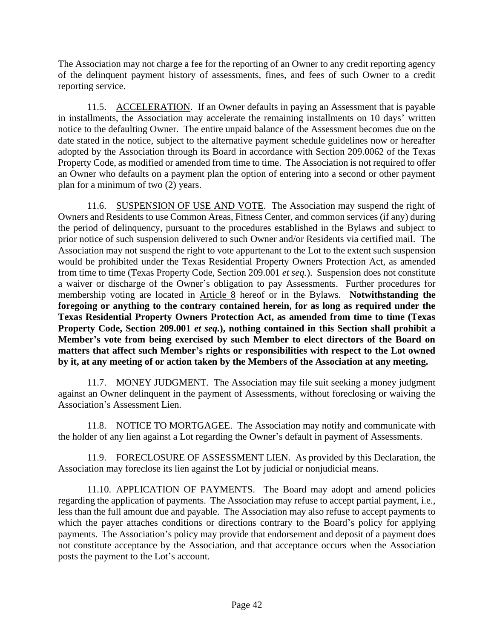The Association may not charge a fee for the reporting of an Owner to any credit reporting agency of the delinquent payment history of assessments, fines, and fees of such Owner to a credit reporting service.

11.5. ACCELERATION. If an Owner defaults in paying an Assessment that is payable in installments, the Association may accelerate the remaining installments on 10 days' written notice to the defaulting Owner. The entire unpaid balance of the Assessment becomes due on the date stated in the notice, subject to the alternative payment schedule guidelines now or hereafter adopted by the Association through its Board in accordance with Section 209.0062 of the Texas Property Code, as modified or amended from time to time. The Association is not required to offer an Owner who defaults on a payment plan the option of entering into a second or other payment plan for a minimum of two (2) years.

11.6. SUSPENSION OF USE AND VOTE. The Association may suspend the right of Owners and Residents to use Common Areas, Fitness Center, and common services (if any) during the period of delinquency, pursuant to the procedures established in the Bylaws and subject to prior notice of such suspension delivered to such Owner and/or Residents via certified mail. The Association may not suspend the right to vote appurtenant to the Lot to the extent such suspension would be prohibited under the Texas Residential Property Owners Protection Act, as amended from time to time (Texas Property Code, Section 209.001 *et seq.*). Suspension does not constitute a waiver or discharge of the Owner's obligation to pay Assessments. Further procedures for membership voting are located in Article 8 hereof or in the Bylaws. **Notwithstanding the foregoing or anything to the contrary contained herein, for as long as required under the Texas Residential Property Owners Protection Act, as amended from time to time (Texas Property Code, Section 209.001** *et seq.***), nothing contained in this Section shall prohibit a Member's vote from being exercised by such Member to elect directors of the Board on matters that affect such Member's rights or responsibilities with respect to the Lot owned by it, at any meeting of or action taken by the Members of the Association at any meeting.**

11.7. MONEY JUDGMENT. The Association may file suit seeking a money judgment against an Owner delinquent in the payment of Assessments, without foreclosing or waiving the Association's Assessment Lien.

11.8. NOTICE TO MORTGAGEE. The Association may notify and communicate with the holder of any lien against a Lot regarding the Owner's default in payment of Assessments.

11.9. FORECLOSURE OF ASSESSMENT LIEN. As provided by this Declaration, the Association may foreclose its lien against the Lot by judicial or nonjudicial means.

11.10. APPLICATION OF PAYMENTS. The Board may adopt and amend policies regarding the application of payments. The Association may refuse to accept partial payment, i.e., less than the full amount due and payable. The Association may also refuse to accept payments to which the payer attaches conditions or directions contrary to the Board's policy for applying payments. The Association's policy may provide that endorsement and deposit of a payment does not constitute acceptance by the Association, and that acceptance occurs when the Association posts the payment to the Lot's account.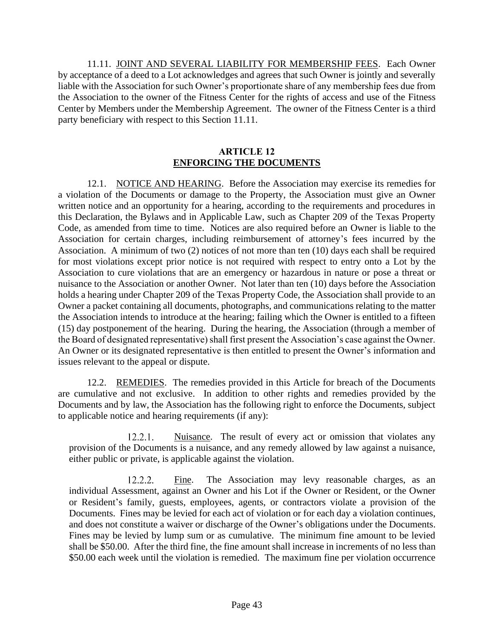11.11. JOINT AND SEVERAL LIABILITY FOR MEMBERSHIP FEES. Each Owner by acceptance of a deed to a Lot acknowledges and agrees that such Owner is jointly and severally liable with the Association for such Owner's proportionate share of any membership fees due from the Association to the owner of the Fitness Center for the rights of access and use of the Fitness Center by Members under the Membership Agreement. The owner of the Fitness Center is a third party beneficiary with respect to this Section 11.11.

### **ARTICLE 12 ENFORCING THE DOCUMENTS**

12.1. NOTICE AND HEARING. Before the Association may exercise its remedies for a violation of the Documents or damage to the Property, the Association must give an Owner written notice and an opportunity for a hearing, according to the requirements and procedures in this Declaration, the Bylaws and in Applicable Law, such as Chapter 209 of the Texas Property Code, as amended from time to time. Notices are also required before an Owner is liable to the Association for certain charges, including reimbursement of attorney's fees incurred by the Association. A minimum of two (2) notices of not more than ten (10) days each shall be required for most violations except prior notice is not required with respect to entry onto a Lot by the Association to cure violations that are an emergency or hazardous in nature or pose a threat or nuisance to the Association or another Owner. Not later than ten (10) days before the Association holds a hearing under Chapter 209 of the Texas Property Code, the Association shall provide to an Owner a packet containing all documents, photographs, and communications relating to the matter the Association intends to introduce at the hearing; failing which the Owner is entitled to a fifteen (15) day postponement of the hearing. During the hearing, the Association (through a member of the Board of designated representative) shall first present the Association's case against the Owner. An Owner or its designated representative is then entitled to present the Owner's information and issues relevant to the appeal or dispute.

12.2. REMEDIES. The remedies provided in this Article for breach of the Documents are cumulative and not exclusive. In addition to other rights and remedies provided by the Documents and by law, the Association has the following right to enforce the Documents, subject to applicable notice and hearing requirements (if any):

 $12.2.1.$ Nuisance. The result of every act or omission that violates any provision of the Documents is a nuisance, and any remedy allowed by law against a nuisance, either public or private, is applicable against the violation.

 $12.2.2.$ Fine. The Association may levy reasonable charges, as an individual Assessment, against an Owner and his Lot if the Owner or Resident, or the Owner or Resident's family, guests, employees, agents, or contractors violate a provision of the Documents. Fines may be levied for each act of violation or for each day a violation continues, and does not constitute a waiver or discharge of the Owner's obligations under the Documents. Fines may be levied by lump sum or as cumulative. The minimum fine amount to be levied shall be \$50.00. After the third fine, the fine amount shall increase in increments of no less than \$50.00 each week until the violation is remedied. The maximum fine per violation occurrence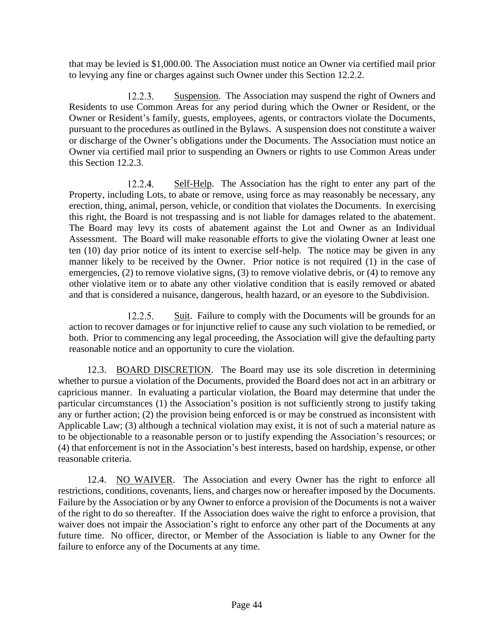that may be levied is \$1,000.00. The Association must notice an Owner via certified mail prior to levying any fine or charges against such Owner under this Section 12.2.2.

 $12.2.3.$ Suspension. The Association may suspend the right of Owners and Residents to use Common Areas for any period during which the Owner or Resident, or the Owner or Resident's family, guests, employees, agents, or contractors violate the Documents, pursuant to the procedures as outlined in the Bylaws. A suspension does not constitute a waiver or discharge of the Owner's obligations under the Documents. The Association must notice an Owner via certified mail prior to suspending an Owners or rights to use Common Areas under this Section 12.2.3.

Self-Help. The Association has the right to enter any part of the  $12.2.4.$ Property, including Lots, to abate or remove, using force as may reasonably be necessary, any erection, thing, animal, person, vehicle, or condition that violates the Documents. In exercising this right, the Board is not trespassing and is not liable for damages related to the abatement. The Board may levy its costs of abatement against the Lot and Owner as an Individual Assessment. The Board will make reasonable efforts to give the violating Owner at least one ten (10) day prior notice of its intent to exercise self-help. The notice may be given in any manner likely to be received by the Owner. Prior notice is not required (1) in the case of emergencies, (2) to remove violative signs, (3) to remove violative debris, or (4) to remove any other violative item or to abate any other violative condition that is easily removed or abated and that is considered a nuisance, dangerous, health hazard, or an eyesore to the Subdivision.

 $12.2.5.$ Suit. Failure to comply with the Documents will be grounds for an action to recover damages or for injunctive relief to cause any such violation to be remedied, or both. Prior to commencing any legal proceeding, the Association will give the defaulting party reasonable notice and an opportunity to cure the violation.

12.3. BOARD DISCRETION. The Board may use its sole discretion in determining whether to pursue a violation of the Documents, provided the Board does not act in an arbitrary or capricious manner. In evaluating a particular violation, the Board may determine that under the particular circumstances (1) the Association's position is not sufficiently strong to justify taking any or further action; (2) the provision being enforced is or may be construed as inconsistent with Applicable Law; (3) although a technical violation may exist, it is not of such a material nature as to be objectionable to a reasonable person or to justify expending the Association's resources; or (4) that enforcement is not in the Association's best interests, based on hardship, expense, or other reasonable criteria.

12.4. NO WAIVER. The Association and every Owner has the right to enforce all restrictions, conditions, covenants, liens, and charges now or hereafter imposed by the Documents. Failure by the Association or by any Owner to enforce a provision of the Documents is not a waiver of the right to do so thereafter. If the Association does waive the right to enforce a provision, that waiver does not impair the Association's right to enforce any other part of the Documents at any future time. No officer, director, or Member of the Association is liable to any Owner for the failure to enforce any of the Documents at any time.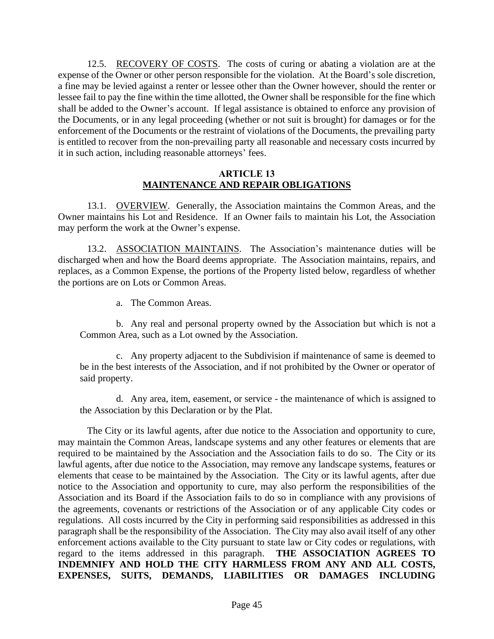12.5. RECOVERY OF COSTS. The costs of curing or abating a violation are at the expense of the Owner or other person responsible for the violation. At the Board's sole discretion, a fine may be levied against a renter or lessee other than the Owner however, should the renter or lessee fail to pay the fine within the time allotted, the Owner shall be responsible for the fine which shall be added to the Owner's account. If legal assistance is obtained to enforce any provision of the Documents, or in any legal proceeding (whether or not suit is brought) for damages or for the enforcement of the Documents or the restraint of violations of the Documents, the prevailing party is entitled to recover from the non-prevailing party all reasonable and necessary costs incurred by it in such action, including reasonable attorneys' fees.

#### **ARTICLE 13 MAINTENANCE AND REPAIR OBLIGATIONS**

13.1. OVERVIEW. Generally, the Association maintains the Common Areas, and the Owner maintains his Lot and Residence. If an Owner fails to maintain his Lot, the Association may perform the work at the Owner's expense.

13.2. ASSOCIATION MAINTAINS. The Association's maintenance duties will be discharged when and how the Board deems appropriate. The Association maintains, repairs, and replaces, as a Common Expense, the portions of the Property listed below, regardless of whether the portions are on Lots or Common Areas.

a. The Common Areas.

b. Any real and personal property owned by the Association but which is not a Common Area, such as a Lot owned by the Association.

c. Any property adjacent to the Subdivision if maintenance of same is deemed to be in the best interests of the Association, and if not prohibited by the Owner or operator of said property.

d. Any area, item, easement, or service - the maintenance of which is assigned to the Association by this Declaration or by the Plat.

The City or its lawful agents, after due notice to the Association and opportunity to cure, may maintain the Common Areas, landscape systems and any other features or elements that are required to be maintained by the Association and the Association fails to do so. The City or its lawful agents, after due notice to the Association, may remove any landscape systems, features or elements that cease to be maintained by the Association. The City or its lawful agents, after due notice to the Association and opportunity to cure, may also perform the responsibilities of the Association and its Board if the Association fails to do so in compliance with any provisions of the agreements, covenants or restrictions of the Association or of any applicable City codes or regulations. All costs incurred by the City in performing said responsibilities as addressed in this paragraph shall be the responsibility of the Association. The City may also avail itself of any other enforcement actions available to the City pursuant to state law or City codes or regulations, with regard to the items addressed in this paragraph. **THE ASSOCIATION AGREES TO INDEMNIFY AND HOLD THE CITY HARMLESS FROM ANY AND ALL COSTS, EXPENSES, SUITS, DEMANDS, LIABILITIES OR DAMAGES INCLUDING**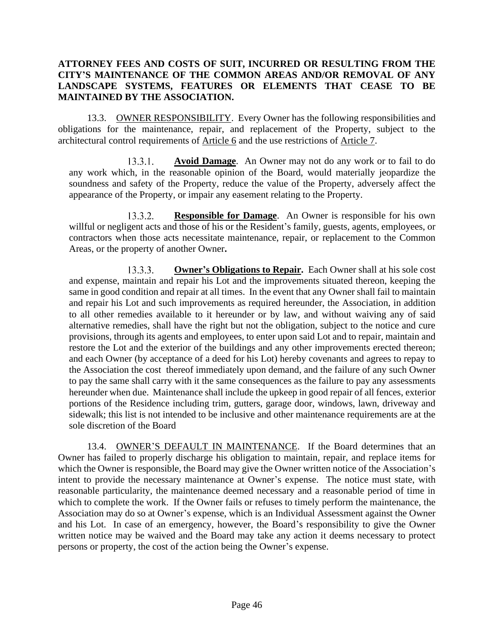## **ATTORNEY FEES AND COSTS OF SUIT, INCURRED OR RESULTING FROM THE CITY'S MAINTENANCE OF THE COMMON AREAS AND/OR REMOVAL OF ANY LANDSCAPE SYSTEMS, FEATURES OR ELEMENTS THAT CEASE TO BE MAINTAINED BY THE ASSOCIATION.**

13.3. OWNER RESPONSIBILITY. Every Owner has the following responsibilities and obligations for the maintenance, repair, and replacement of the Property, subject to the architectural control requirements of Article 6 and the use restrictions of Article 7.

 $13.3.1.$ **Avoid Damage**. An Owner may not do any work or to fail to do any work which, in the reasonable opinion of the Board, would materially jeopardize the soundness and safety of the Property, reduce the value of the Property, adversely affect the appearance of the Property, or impair any easement relating to the Property.

 $13.3.2.$ **Responsible for Damage**. An Owner is responsible for his own willful or negligent acts and those of his or the Resident's family, guests, agents, employees, or contractors when those acts necessitate maintenance, repair, or replacement to the Common Areas, or the property of another Owner**.**

 $13.3.3.$ **Owner's Obligations to Repair.** Each Owner shall at his sole cost and expense, maintain and repair his Lot and the improvements situated thereon, keeping the same in good condition and repair at all times. In the event that any Owner shall fail to maintain and repair his Lot and such improvements as required hereunder, the Association, in addition to all other remedies available to it hereunder or by law, and without waiving any of said alternative remedies, shall have the right but not the obligation, subject to the notice and cure provisions, through its agents and employees, to enter upon said Lot and to repair, maintain and restore the Lot and the exterior of the buildings and any other improvements erected thereon; and each Owner (by acceptance of a deed for his Lot) hereby covenants and agrees to repay to the Association the cost thereof immediately upon demand, and the failure of any such Owner to pay the same shall carry with it the same consequences as the failure to pay any assessments hereunder when due. Maintenance shall include the upkeep in good repair of all fences, exterior portions of the Residence including trim, gutters, garage door, windows, lawn, driveway and sidewalk; this list is not intended to be inclusive and other maintenance requirements are at the sole discretion of the Board

13.4. OWNER'S DEFAULT IN MAINTENANCE. If the Board determines that an Owner has failed to properly discharge his obligation to maintain, repair, and replace items for which the Owner is responsible, the Board may give the Owner written notice of the Association's intent to provide the necessary maintenance at Owner's expense. The notice must state, with reasonable particularity, the maintenance deemed necessary and a reasonable period of time in which to complete the work. If the Owner fails or refuses to timely perform the maintenance, the Association may do so at Owner's expense, which is an Individual Assessment against the Owner and his Lot. In case of an emergency, however, the Board's responsibility to give the Owner written notice may be waived and the Board may take any action it deems necessary to protect persons or property, the cost of the action being the Owner's expense.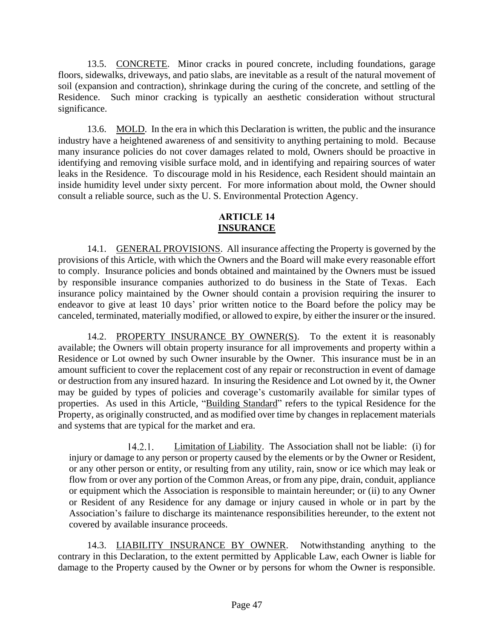13.5. CONCRETE. Minor cracks in poured concrete, including foundations, garage floors, sidewalks, driveways, and patio slabs, are inevitable as a result of the natural movement of soil (expansion and contraction), shrinkage during the curing of the concrete, and settling of the Residence. Such minor cracking is typically an aesthetic consideration without structural significance.

13.6. MOLD. In the era in which this Declaration is written, the public and the insurance industry have a heightened awareness of and sensitivity to anything pertaining to mold. Because many insurance policies do not cover damages related to mold, Owners should be proactive in identifying and removing visible surface mold, and in identifying and repairing sources of water leaks in the Residence. To discourage mold in his Residence, each Resident should maintain an inside humidity level under sixty percent. For more information about mold, the Owner should consult a reliable source, such as the U. S. Environmental Protection Agency.

# **ARTICLE 14 INSURANCE**

14.1. GENERAL PROVISIONS. All insurance affecting the Property is governed by the provisions of this Article, with which the Owners and the Board will make every reasonable effort to comply. Insurance policies and bonds obtained and maintained by the Owners must be issued by responsible insurance companies authorized to do business in the State of Texas. Each insurance policy maintained by the Owner should contain a provision requiring the insurer to endeavor to give at least 10 days' prior written notice to the Board before the policy may be canceled, terminated, materially modified, or allowed to expire, by either the insurer or the insured.

14.2. PROPERTY INSURANCE BY OWNER(S). To the extent it is reasonably available; the Owners will obtain property insurance for all improvements and property within a Residence or Lot owned by such Owner insurable by the Owner. This insurance must be in an amount sufficient to cover the replacement cost of any repair or reconstruction in event of damage or destruction from any insured hazard. In insuring the Residence and Lot owned by it, the Owner may be guided by types of policies and coverage's customarily available for similar types of properties. As used in this Article, "Building Standard" refers to the typical Residence for the Property, as originally constructed, and as modified over time by changes in replacement materials and systems that are typical for the market and era.

 $14.2.1.$ Limitation of Liability. The Association shall not be liable: (i) for injury or damage to any person or property caused by the elements or by the Owner or Resident, or any other person or entity, or resulting from any utility, rain, snow or ice which may leak or flow from or over any portion of the Common Areas, or from any pipe, drain, conduit, appliance or equipment which the Association is responsible to maintain hereunder; or (ii) to any Owner or Resident of any Residence for any damage or injury caused in whole or in part by the Association's failure to discharge its maintenance responsibilities hereunder, to the extent not covered by available insurance proceeds.

14.3. LIABILITY INSURANCE BY OWNER. Notwithstanding anything to the contrary in this Declaration, to the extent permitted by Applicable Law, each Owner is liable for damage to the Property caused by the Owner or by persons for whom the Owner is responsible.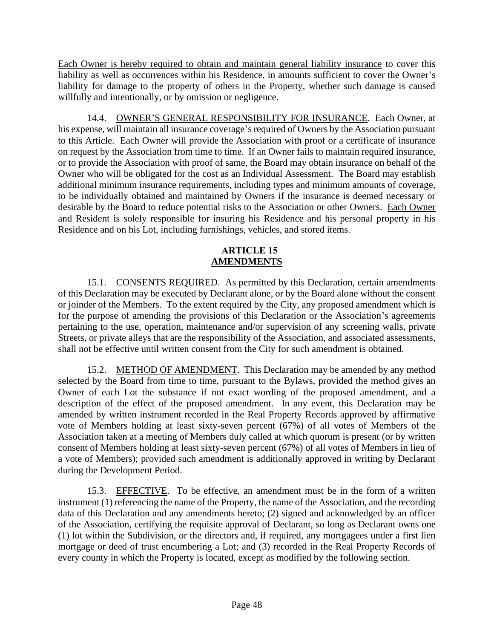Each Owner is hereby required to obtain and maintain general liability insurance to cover this liability as well as occurrences within his Residence, in amounts sufficient to cover the Owner's liability for damage to the property of others in the Property, whether such damage is caused willfully and intentionally, or by omission or negligence.

14.4. OWNER'S GENERAL RESPONSIBILITY FOR INSURANCE. Each Owner, at his expense, will maintain all insurance coverage's required of Owners by the Association pursuant to this Article. Each Owner will provide the Association with proof or a certificate of insurance on request by the Association from time to time. If an Owner fails to maintain required insurance, or to provide the Association with proof of same, the Board may obtain insurance on behalf of the Owner who will be obligated for the cost as an Individual Assessment. The Board may establish additional minimum insurance requirements, including types and minimum amounts of coverage, to be individually obtained and maintained by Owners if the insurance is deemed necessary or desirable by the Board to reduce potential risks to the Association or other Owners. Each Owner and Resident is solely responsible for insuring his Residence and his personal property in his Residence and on his Lot, including furnishings, vehicles, and stored items.

# **ARTICLE 15 AMENDMENTS**

15.1. CONSENTS REQUIRED. As permitted by this Declaration, certain amendments of this Declaration may be executed by Declarant alone, or by the Board alone without the consent or joinder of the Members. To the extent required by the City, any proposed amendment which is for the purpose of amending the provisions of this Declaration or the Association's agreements pertaining to the use, operation, maintenance and/or supervision of any screening walls, private Streets, or private alleys that are the responsibility of the Association, and associated assessments, shall not be effective until written consent from the City for such amendment is obtained.

15.2. METHOD OF AMENDMENT. This Declaration may be amended by any method selected by the Board from time to time, pursuant to the Bylaws, provided the method gives an Owner of each Lot the substance if not exact wording of the proposed amendment, and a description of the effect of the proposed amendment. In any event, this Declaration may be amended by written instrument recorded in the Real Property Records approved by affirmative vote of Members holding at least sixty-seven percent (67%) of all votes of Members of the Association taken at a meeting of Members duly called at which quorum is present (or by written consent of Members holding at least sixty-seven percent (67%) of all votes of Members in lieu of a vote of Members); provided such amendment is additionally approved in writing by Declarant during the Development Period.

15.3. EFFECTIVE. To be effective, an amendment must be in the form of a written instrument (1) referencing the name of the Property, the name of the Association, and the recording data of this Declaration and any amendments hereto; (2) signed and acknowledged by an officer of the Association, certifying the requisite approval of Declarant, so long as Declarant owns one (1) lot within the Subdivision, or the directors and, if required, any mortgagees under a first lien mortgage or deed of trust encumbering a Lot; and (3) recorded in the Real Property Records of every county in which the Property is located, except as modified by the following section.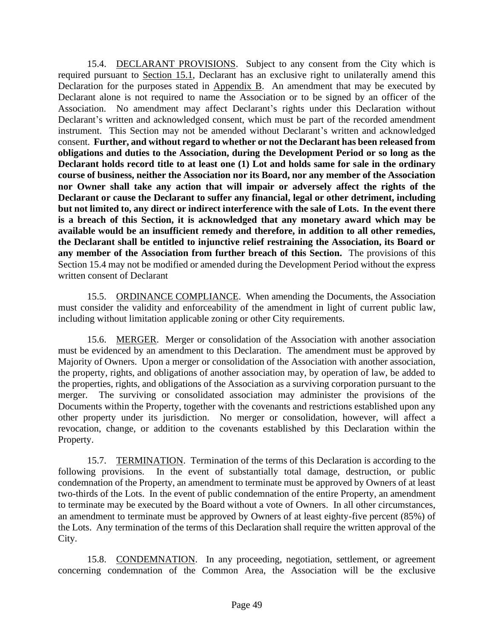15.4. DECLARANT PROVISIONS. Subject to any consent from the City which is required pursuant to Section 15.1, Declarant has an exclusive right to unilaterally amend this Declaration for the purposes stated in Appendix B. An amendment that may be executed by Declarant alone is not required to name the Association or to be signed by an officer of the Association. No amendment may affect Declarant's rights under this Declaration without Declarant's written and acknowledged consent, which must be part of the recorded amendment instrument. This Section may not be amended without Declarant's written and acknowledged consent. **Further, and without regard to whether or not the Declarant has been released from obligations and duties to the Association, during the Development Period or so long as the Declarant holds record title to at least one (1) Lot and holds same for sale in the ordinary course of business, neither the Association nor its Board, nor any member of the Association nor Owner shall take any action that will impair or adversely affect the rights of the Declarant or cause the Declarant to suffer any financial, legal or other detriment, including but not limited to, any direct or indirect interference with the sale of Lots. In the event there is a breach of this Section, it is acknowledged that any monetary award which may be available would be an insufficient remedy and therefore, in addition to all other remedies, the Declarant shall be entitled to injunctive relief restraining the Association, its Board or any member of the Association from further breach of this Section.** The provisions of this Section 15.4 may not be modified or amended during the Development Period without the express written consent of Declarant

15.5. ORDINANCE COMPLIANCE. When amending the Documents, the Association must consider the validity and enforceability of the amendment in light of current public law, including without limitation applicable zoning or other City requirements.

15.6. MERGER. Merger or consolidation of the Association with another association must be evidenced by an amendment to this Declaration. The amendment must be approved by Majority of Owners. Upon a merger or consolidation of the Association with another association, the property, rights, and obligations of another association may, by operation of law, be added to the properties, rights, and obligations of the Association as a surviving corporation pursuant to the merger. The surviving or consolidated association may administer the provisions of the Documents within the Property, together with the covenants and restrictions established upon any other property under its jurisdiction. No merger or consolidation, however, will affect a revocation, change, or addition to the covenants established by this Declaration within the Property.

15.7. TERMINATION. Termination of the terms of this Declaration is according to the following provisions. In the event of substantially total damage, destruction, or public condemnation of the Property, an amendment to terminate must be approved by Owners of at least two-thirds of the Lots. In the event of public condemnation of the entire Property, an amendment to terminate may be executed by the Board without a vote of Owners. In all other circumstances, an amendment to terminate must be approved by Owners of at least eighty-five percent (85%) of the Lots. Any termination of the terms of this Declaration shall require the written approval of the City.

15.8. CONDEMNATION. In any proceeding, negotiation, settlement, or agreement concerning condemnation of the Common Area, the Association will be the exclusive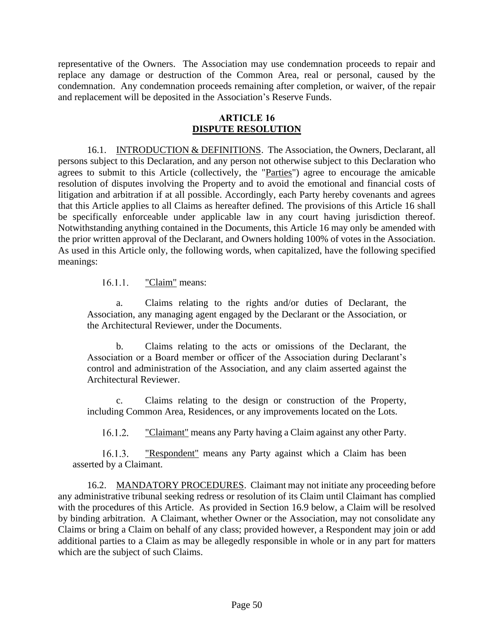representative of the Owners. The Association may use condemnation proceeds to repair and replace any damage or destruction of the Common Area, real or personal, caused by the condemnation. Any condemnation proceeds remaining after completion, or waiver, of the repair and replacement will be deposited in the Association's Reserve Funds.

#### **ARTICLE 16 DISPUTE RESOLUTION**

16.1. INTRODUCTION & DEFINITIONS. The Association, the Owners, Declarant, all persons subject to this Declaration, and any person not otherwise subject to this Declaration who agrees to submit to this Article (collectively, the "Parties") agree to encourage the amicable resolution of disputes involving the Property and to avoid the emotional and financial costs of litigation and arbitration if at all possible. Accordingly, each Party hereby covenants and agrees that this Article applies to all Claims as hereafter defined. The provisions of this Article 16 shall be specifically enforceable under applicable law in any court having jurisdiction thereof. Notwithstanding anything contained in the Documents, this Article 16 may only be amended with the prior written approval of the Declarant, and Owners holding 100% of votes in the Association. As used in this Article only, the following words, when capitalized, have the following specified meanings:

> $16.1.1.$ "Claim" means:

a. Claims relating to the rights and/or duties of Declarant, the Association, any managing agent engaged by the Declarant or the Association, or the Architectural Reviewer, under the Documents.

b. Claims relating to the acts or omissions of the Declarant, the Association or a Board member or officer of the Association during Declarant's control and administration of the Association, and any claim asserted against the Architectural Reviewer.

c. Claims relating to the design or construction of the Property, including Common Area, Residences, or any improvements located on the Lots.

 $16.1.2.$ "Claimant" means any Party having a Claim against any other Party.

"Respondent" means any Party against which a Claim has been  $16.1.3.$ asserted by a Claimant.

16.2. MANDATORY PROCEDURES. Claimant may not initiate any proceeding before any administrative tribunal seeking redress or resolution of its Claim until Claimant has complied with the procedures of this Article. As provided in Section 16.9 below, a Claim will be resolved by binding arbitration. A Claimant, whether Owner or the Association, may not consolidate any Claims or bring a Claim on behalf of any class; provided however, a Respondent may join or add additional parties to a Claim as may be allegedly responsible in whole or in any part for matters which are the subject of such Claims.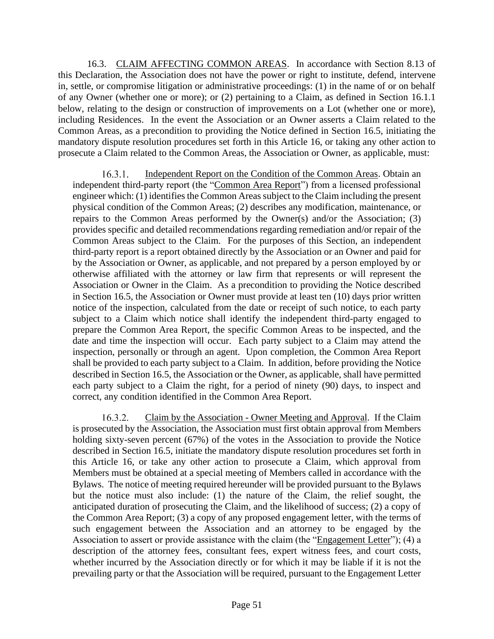16.3. CLAIM AFFECTING COMMON AREAS. In accordance with Section 8.13 of this Declaration, the Association does not have the power or right to institute, defend, intervene in, settle, or compromise litigation or administrative proceedings: (1) in the name of or on behalf of any Owner (whether one or more); or (2) pertaining to a Claim, as defined in Section 16.1.1 below, relating to the design or construction of improvements on a Lot (whether one or more), including Residences. In the event the Association or an Owner asserts a Claim related to the Common Areas, as a precondition to providing the Notice defined in Section 16.5, initiating the mandatory dispute resolution procedures set forth in this Article 16, or taking any other action to prosecute a Claim related to the Common Areas, the Association or Owner, as applicable, must:

Independent Report on the Condition of the Common Areas. Obtain an  $16.3.1.$ independent third-party report (the "Common Area Report") from a licensed professional engineer which: (1) identifies the Common Areas subject to the Claim including the present physical condition of the Common Areas; (2) describes any modification, maintenance, or repairs to the Common Areas performed by the Owner(s) and/or the Association; (3) provides specific and detailed recommendations regarding remediation and/or repair of the Common Areas subject to the Claim. For the purposes of this Section, an independent third-party report is a report obtained directly by the Association or an Owner and paid for by the Association or Owner, as applicable, and not prepared by a person employed by or otherwise affiliated with the attorney or law firm that represents or will represent the Association or Owner in the Claim. As a precondition to providing the Notice described in Section 16.5, the Association or Owner must provide at least ten (10) days prior written notice of the inspection, calculated from the date or receipt of such notice, to each party subject to a Claim which notice shall identify the independent third-party engaged to prepare the Common Area Report, the specific Common Areas to be inspected, and the date and time the inspection will occur. Each party subject to a Claim may attend the inspection, personally or through an agent. Upon completion, the Common Area Report shall be provided to each party subject to a Claim. In addition, before providing the Notice described in Section 16.5, the Association or the Owner, as applicable, shall have permitted each party subject to a Claim the right, for a period of ninety (90) days, to inspect and correct, any condition identified in the Common Area Report.

 $16.3.2.$ Claim by the Association - Owner Meeting and Approval. If the Claim is prosecuted by the Association, the Association must first obtain approval from Members holding sixty-seven percent (67%) of the votes in the Association to provide the Notice described in Section 16.5, initiate the mandatory dispute resolution procedures set forth in this Article 16, or take any other action to prosecute a Claim, which approval from Members must be obtained at a special meeting of Members called in accordance with the Bylaws. The notice of meeting required hereunder will be provided pursuant to the Bylaws but the notice must also include: (1) the nature of the Claim, the relief sought, the anticipated duration of prosecuting the Claim, and the likelihood of success; (2) a copy of the Common Area Report; (3) a copy of any proposed engagement letter, with the terms of such engagement between the Association and an attorney to be engaged by the Association to assert or provide assistance with the claim (the "Engagement Letter"); (4) a description of the attorney fees, consultant fees, expert witness fees, and court costs, whether incurred by the Association directly or for which it may be liable if it is not the prevailing party or that the Association will be required, pursuant to the Engagement Letter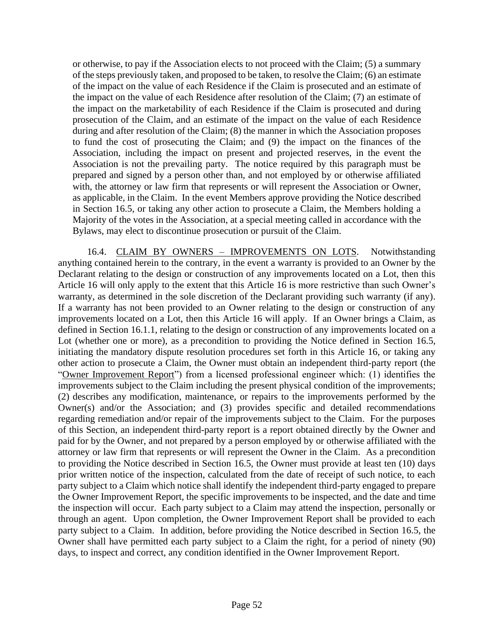or otherwise, to pay if the Association elects to not proceed with the Claim; (5) a summary of the steps previously taken, and proposed to be taken, to resolve the Claim; (6) an estimate of the impact on the value of each Residence if the Claim is prosecuted and an estimate of the impact on the value of each Residence after resolution of the Claim; (7) an estimate of the impact on the marketability of each Residence if the Claim is prosecuted and during prosecution of the Claim, and an estimate of the impact on the value of each Residence during and after resolution of the Claim; (8) the manner in which the Association proposes to fund the cost of prosecuting the Claim; and (9) the impact on the finances of the Association, including the impact on present and projected reserves, in the event the Association is not the prevailing party. The notice required by this paragraph must be prepared and signed by a person other than, and not employed by or otherwise affiliated with, the attorney or law firm that represents or will represent the Association or Owner, as applicable, in the Claim. In the event Members approve providing the Notice described in Section 16.5, or taking any other action to prosecute a Claim, the Members holding a Majority of the votes in the Association, at a special meeting called in accordance with the Bylaws, may elect to discontinue prosecution or pursuit of the Claim.

16.4. CLAIM BY OWNERS – IMPROVEMENTS ON LOTS. Notwithstanding anything contained herein to the contrary, in the event a warranty is provided to an Owner by the Declarant relating to the design or construction of any improvements located on a Lot, then this Article 16 will only apply to the extent that this Article 16 is more restrictive than such Owner's warranty, as determined in the sole discretion of the Declarant providing such warranty (if any). If a warranty has not been provided to an Owner relating to the design or construction of any improvements located on a Lot, then this Article 16 will apply. If an Owner brings a Claim, as defined in Section 16.1.1, relating to the design or construction of any improvements located on a Lot (whether one or more), as a precondition to providing the Notice defined in Section 16.5, initiating the mandatory dispute resolution procedures set forth in this Article 16, or taking any other action to prosecute a Claim, the Owner must obtain an independent third-party report (the "Owner Improvement Report") from a licensed professional engineer which: (1) identifies the improvements subject to the Claim including the present physical condition of the improvements; (2) describes any modification, maintenance, or repairs to the improvements performed by the Owner(s) and/or the Association; and (3) provides specific and detailed recommendations regarding remediation and/or repair of the improvements subject to the Claim. For the purposes of this Section, an independent third-party report is a report obtained directly by the Owner and paid for by the Owner, and not prepared by a person employed by or otherwise affiliated with the attorney or law firm that represents or will represent the Owner in the Claim. As a precondition to providing the Notice described in Section 16.5, the Owner must provide at least ten (10) days prior written notice of the inspection, calculated from the date of receipt of such notice, to each party subject to a Claim which notice shall identify the independent third-party engaged to prepare the Owner Improvement Report, the specific improvements to be inspected, and the date and time the inspection will occur. Each party subject to a Claim may attend the inspection, personally or through an agent. Upon completion, the Owner Improvement Report shall be provided to each party subject to a Claim. In addition, before providing the Notice described in Section 16.5, the Owner shall have permitted each party subject to a Claim the right, for a period of ninety (90) days, to inspect and correct, any condition identified in the Owner Improvement Report.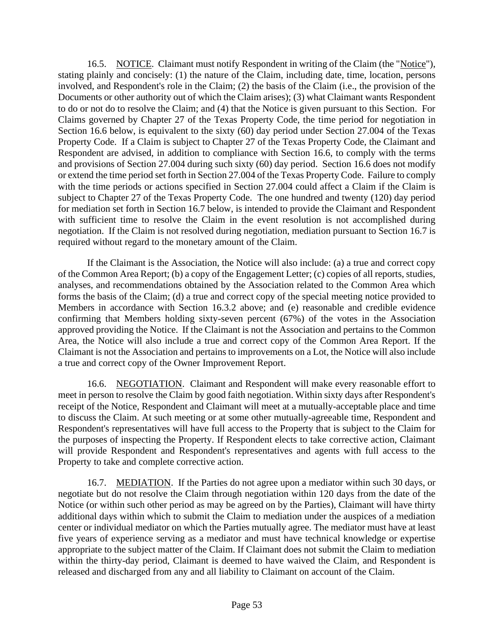16.5. NOTICE. Claimant must notify Respondent in writing of the Claim (the "Notice"), stating plainly and concisely: (1) the nature of the Claim, including date, time, location, persons involved, and Respondent's role in the Claim; (2) the basis of the Claim (i.e., the provision of the Documents or other authority out of which the Claim arises); (3) what Claimant wants Respondent to do or not do to resolve the Claim; and (4) that the Notice is given pursuant to this Section. For Claims governed by Chapter 27 of the Texas Property Code, the time period for negotiation in Section 16.6 below, is equivalent to the sixty (60) day period under Section 27.004 of the Texas Property Code. If a Claim is subject to Chapter 27 of the Texas Property Code, the Claimant and Respondent are advised, in addition to compliance with Section 16.6, to comply with the terms and provisions of Section 27.004 during such sixty (60) day period. Section 16.6 does not modify or extend the time period set forth in Section 27.004 of the Texas Property Code. Failure to comply with the time periods or actions specified in Section 27.004 could affect a Claim if the Claim is subject to Chapter 27 of the Texas Property Code. The one hundred and twenty (120) day period for mediation set forth in Section 16.7 below, is intended to provide the Claimant and Respondent with sufficient time to resolve the Claim in the event resolution is not accomplished during negotiation. If the Claim is not resolved during negotiation, mediation pursuant to Section 16.7 is required without regard to the monetary amount of the Claim.

If the Claimant is the Association, the Notice will also include: (a) a true and correct copy of the Common Area Report; (b) a copy of the Engagement Letter; (c) copies of all reports, studies, analyses, and recommendations obtained by the Association related to the Common Area which forms the basis of the Claim; (d) a true and correct copy of the special meeting notice provided to Members in accordance with Section 16.3.2 above; and (e) reasonable and credible evidence confirming that Members holding sixty-seven percent (67%) of the votes in the Association approved providing the Notice. If the Claimant is not the Association and pertains to the Common Area, the Notice will also include a true and correct copy of the Common Area Report. If the Claimant is not the Association and pertains to improvements on a Lot, the Notice will also include a true and correct copy of the Owner Improvement Report.

16.6. NEGOTIATION. Claimant and Respondent will make every reasonable effort to meet in person to resolve the Claim by good faith negotiation. Within sixty days after Respondent's receipt of the Notice, Respondent and Claimant will meet at a mutually-acceptable place and time to discuss the Claim. At such meeting or at some other mutually-agreeable time, Respondent and Respondent's representatives will have full access to the Property that is subject to the Claim for the purposes of inspecting the Property. If Respondent elects to take corrective action, Claimant will provide Respondent and Respondent's representatives and agents with full access to the Property to take and complete corrective action.

16.7. MEDIATION. If the Parties do not agree upon a mediator within such 30 days, or negotiate but do not resolve the Claim through negotiation within 120 days from the date of the Notice (or within such other period as may be agreed on by the Parties), Claimant will have thirty additional days within which to submit the Claim to mediation under the auspices of a mediation center or individual mediator on which the Parties mutually agree. The mediator must have at least five years of experience serving as a mediator and must have technical knowledge or expertise appropriate to the subject matter of the Claim. If Claimant does not submit the Claim to mediation within the thirty-day period, Claimant is deemed to have waived the Claim, and Respondent is released and discharged from any and all liability to Claimant on account of the Claim.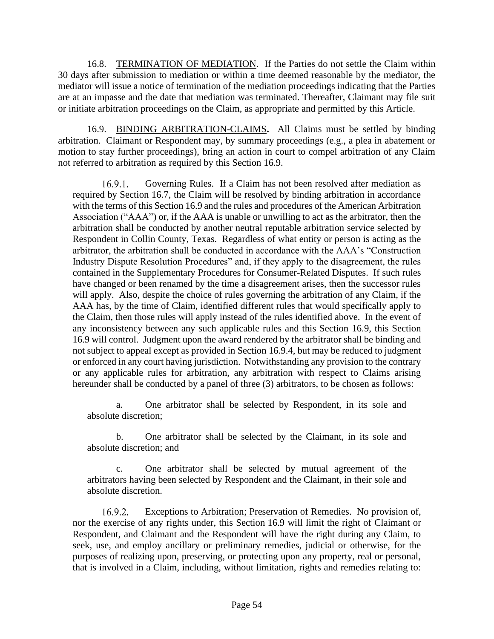16.8. TERMINATION OF MEDIATION. If the Parties do not settle the Claim within 30 days after submission to mediation or within a time deemed reasonable by the mediator, the mediator will issue a notice of termination of the mediation proceedings indicating that the Parties are at an impasse and the date that mediation was terminated. Thereafter, Claimant may file suit or initiate arbitration proceedings on the Claim, as appropriate and permitted by this Article.

16.9. BINDING ARBITRATION-CLAIMS**.** All Claims must be settled by binding arbitration. Claimant or Respondent may, by summary proceedings (e.g., a plea in abatement or motion to stay further proceedings), bring an action in court to compel arbitration of any Claim not referred to arbitration as required by this Section 16.9.

 $16.9.1.$ Governing Rules. If a Claim has not been resolved after mediation as required by Section 16.7, the Claim will be resolved by binding arbitration in accordance with the terms of this Section 16.9 and the rules and procedures of the American Arbitration Association ("AAA") or, if the AAA is unable or unwilling to act as the arbitrator, then the arbitration shall be conducted by another neutral reputable arbitration service selected by Respondent in Collin County, Texas. Regardless of what entity or person is acting as the arbitrator, the arbitration shall be conducted in accordance with the AAA's "Construction Industry Dispute Resolution Procedures" and, if they apply to the disagreement, the rules contained in the Supplementary Procedures for Consumer-Related Disputes. If such rules have changed or been renamed by the time a disagreement arises, then the successor rules will apply. Also, despite the choice of rules governing the arbitration of any Claim, if the AAA has, by the time of Claim, identified different rules that would specifically apply to the Claim, then those rules will apply instead of the rules identified above. In the event of any inconsistency between any such applicable rules and this Section 16.9, this Section 16.9 will control. Judgment upon the award rendered by the arbitrator shall be binding and not subject to appeal except as provided in Section 16.9.4, but may be reduced to judgment or enforced in any court having jurisdiction. Notwithstanding any provision to the contrary or any applicable rules for arbitration, any arbitration with respect to Claims arising hereunder shall be conducted by a panel of three (3) arbitrators, to be chosen as follows:

a. One arbitrator shall be selected by Respondent, in its sole and absolute discretion;

b. One arbitrator shall be selected by the Claimant, in its sole and absolute discretion; and

c. One arbitrator shall be selected by mutual agreement of the arbitrators having been selected by Respondent and the Claimant, in their sole and absolute discretion.

 $16.9.2$ Exceptions to Arbitration; Preservation of Remedies. No provision of, nor the exercise of any rights under, this Section 16.9 will limit the right of Claimant or Respondent, and Claimant and the Respondent will have the right during any Claim, to seek, use, and employ ancillary or preliminary remedies, judicial or otherwise, for the purposes of realizing upon, preserving, or protecting upon any property, real or personal, that is involved in a Claim, including, without limitation, rights and remedies relating to: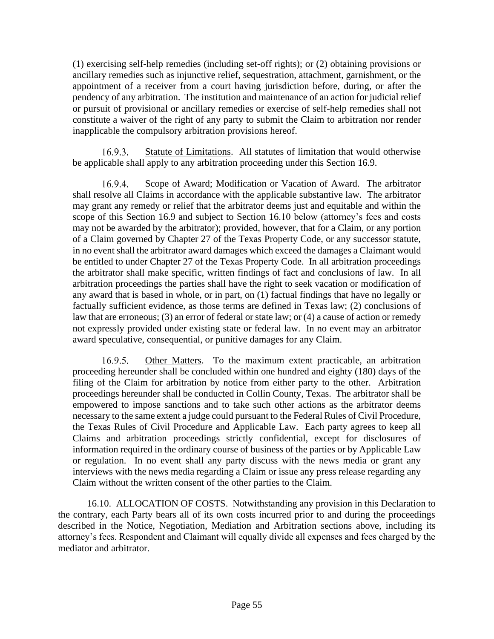(1) exercising self-help remedies (including set-off rights); or (2) obtaining provisions or ancillary remedies such as injunctive relief, sequestration, attachment, garnishment, or the appointment of a receiver from a court having jurisdiction before, during, or after the pendency of any arbitration. The institution and maintenance of an action for judicial relief or pursuit of provisional or ancillary remedies or exercise of self-help remedies shall not constitute a waiver of the right of any party to submit the Claim to arbitration nor render inapplicable the compulsory arbitration provisions hereof.

 $16.9.3.$ Statute of Limitations. All statutes of limitation that would otherwise be applicable shall apply to any arbitration proceeding under this Section 16.9.

16.9.4. Scope of Award; Modification or Vacation of Award. The arbitrator shall resolve all Claims in accordance with the applicable substantive law. The arbitrator may grant any remedy or relief that the arbitrator deems just and equitable and within the scope of this Section 16.9 and subject to Section 16.10 below (attorney's fees and costs may not be awarded by the arbitrator); provided, however, that for a Claim, or any portion of a Claim governed by Chapter 27 of the Texas Property Code, or any successor statute, in no event shall the arbitrator award damages which exceed the damages a Claimant would be entitled to under Chapter 27 of the Texas Property Code. In all arbitration proceedings the arbitrator shall make specific, written findings of fact and conclusions of law. In all arbitration proceedings the parties shall have the right to seek vacation or modification of any award that is based in whole, or in part, on (1) factual findings that have no legally or factually sufficient evidence, as those terms are defined in Texas law; (2) conclusions of law that are erroneous; (3) an error of federal or state law; or (4) a cause of action or remedy not expressly provided under existing state or federal law. In no event may an arbitrator award speculative, consequential, or punitive damages for any Claim.

 $16.9.5.$ Other Matters. To the maximum extent practicable, an arbitration proceeding hereunder shall be concluded within one hundred and eighty (180) days of the filing of the Claim for arbitration by notice from either party to the other. Arbitration proceedings hereunder shall be conducted in Collin County, Texas. The arbitrator shall be empowered to impose sanctions and to take such other actions as the arbitrator deems necessary to the same extent a judge could pursuant to the Federal Rules of Civil Procedure, the Texas Rules of Civil Procedure and Applicable Law. Each party agrees to keep all Claims and arbitration proceedings strictly confidential, except for disclosures of information required in the ordinary course of business of the parties or by Applicable Law or regulation. In no event shall any party discuss with the news media or grant any interviews with the news media regarding a Claim or issue any press release regarding any Claim without the written consent of the other parties to the Claim.

16.10. ALLOCATION OF COSTS. Notwithstanding any provision in this Declaration to the contrary, each Party bears all of its own costs incurred prior to and during the proceedings described in the Notice, Negotiation, Mediation and Arbitration sections above, including its attorney's fees. Respondent and Claimant will equally divide all expenses and fees charged by the mediator and arbitrator.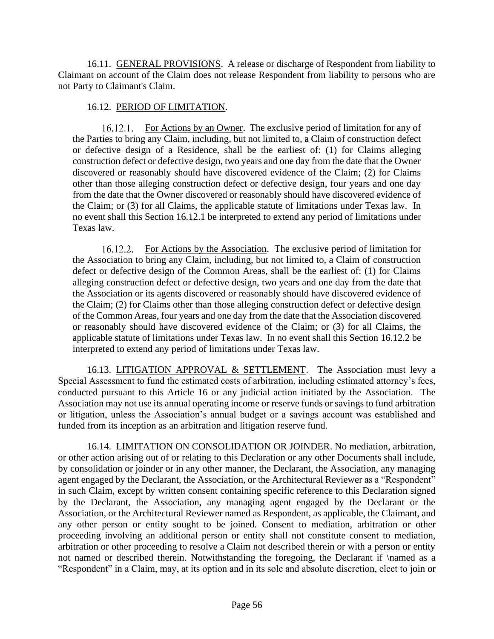16.11. GENERAL PROVISIONS. A release or discharge of Respondent from liability to Claimant on account of the Claim does not release Respondent from liability to persons who are not Party to Claimant's Claim.

### 16.12. PERIOD OF LIMITATION.

16.12.1. For Actions by an Owner. The exclusive period of limitation for any of the Parties to bring any Claim, including, but not limited to, a Claim of construction defect or defective design of a Residence, shall be the earliest of: (1) for Claims alleging construction defect or defective design, two years and one day from the date that the Owner discovered or reasonably should have discovered evidence of the Claim; (2) for Claims other than those alleging construction defect or defective design, four years and one day from the date that the Owner discovered or reasonably should have discovered evidence of the Claim; or (3) for all Claims, the applicable statute of limitations under Texas law. In no event shall this Section 16.12.1 be interpreted to extend any period of limitations under Texas law.

16.12.2. For Actions by the Association. The exclusive period of limitation for the Association to bring any Claim, including, but not limited to, a Claim of construction defect or defective design of the Common Areas, shall be the earliest of: (1) for Claims alleging construction defect or defective design, two years and one day from the date that the Association or its agents discovered or reasonably should have discovered evidence of the Claim; (2) for Claims other than those alleging construction defect or defective design of the Common Areas, four years and one day from the date that the Association discovered or reasonably should have discovered evidence of the Claim; or (3) for all Claims, the applicable statute of limitations under Texas law. In no event shall this Section 16.12.2 be interpreted to extend any period of limitations under Texas law.

16.13. LITIGATION APPROVAL & SETTLEMENT. The Association must levy a Special Assessment to fund the estimated costs of arbitration, including estimated attorney's fees, conducted pursuant to this Article 16 or any judicial action initiated by the Association. The Association may not use its annual operating income or reserve funds or savings to fund arbitration or litigation, unless the Association's annual budget or a savings account was established and funded from its inception as an arbitration and litigation reserve fund.

16.14. LIMITATION ON CONSOLIDATION OR JOINDER. No mediation, arbitration, or other action arising out of or relating to this Declaration or any other Documents shall include, by consolidation or joinder or in any other manner, the Declarant, the Association, any managing agent engaged by the Declarant, the Association, or the Architectural Reviewer as a "Respondent" in such Claim, except by written consent containing specific reference to this Declaration signed by the Declarant, the Association, any managing agent engaged by the Declarant or the Association, or the Architectural Reviewer named as Respondent, as applicable, the Claimant, and any other person or entity sought to be joined. Consent to mediation, arbitration or other proceeding involving an additional person or entity shall not constitute consent to mediation, arbitration or other proceeding to resolve a Claim not described therein or with a person or entity not named or described therein. Notwithstanding the foregoing, the Declarant if \named as a "Respondent" in a Claim, may, at its option and in its sole and absolute discretion, elect to join or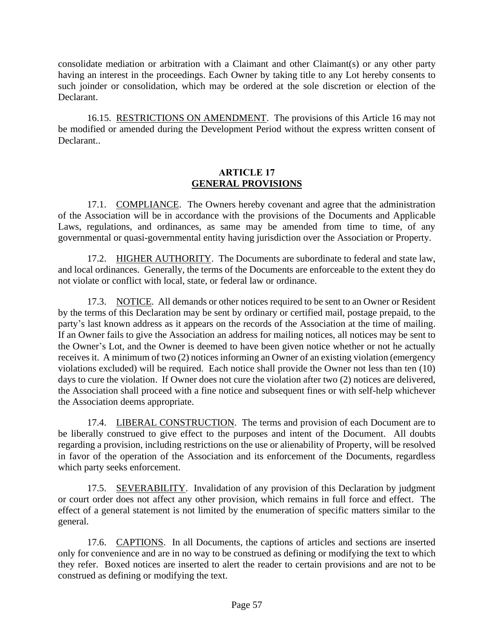consolidate mediation or arbitration with a Claimant and other Claimant(s) or any other party having an interest in the proceedings. Each Owner by taking title to any Lot hereby consents to such joinder or consolidation, which may be ordered at the sole discretion or election of the Declarant.

16.15. RESTRICTIONS ON AMENDMENT. The provisions of this Article 16 may not be modified or amended during the Development Period without the express written consent of Declarant.

### **ARTICLE 17 GENERAL PROVISIONS**

17.1. COMPLIANCE. The Owners hereby covenant and agree that the administration of the Association will be in accordance with the provisions of the Documents and Applicable Laws, regulations, and ordinances, as same may be amended from time to time, of any governmental or quasi-governmental entity having jurisdiction over the Association or Property.

17.2. HIGHER AUTHORITY. The Documents are subordinate to federal and state law, and local ordinances. Generally, the terms of the Documents are enforceable to the extent they do not violate or conflict with local, state, or federal law or ordinance.

17.3. NOTICE. All demands or other notices required to be sent to an Owner or Resident by the terms of this Declaration may be sent by ordinary or certified mail, postage prepaid, to the party's last known address as it appears on the records of the Association at the time of mailing. If an Owner fails to give the Association an address for mailing notices, all notices may be sent to the Owner's Lot, and the Owner is deemed to have been given notice whether or not he actually receives it. A minimum of two (2) notices informing an Owner of an existing violation (emergency violations excluded) will be required. Each notice shall provide the Owner not less than ten (10) days to cure the violation. If Owner does not cure the violation after two (2) notices are delivered, the Association shall proceed with a fine notice and subsequent fines or with self-help whichever the Association deems appropriate.

17.4. LIBERAL CONSTRUCTION. The terms and provision of each Document are to be liberally construed to give effect to the purposes and intent of the Document. All doubts regarding a provision, including restrictions on the use or alienability of Property, will be resolved in favor of the operation of the Association and its enforcement of the Documents, regardless which party seeks enforcement.

17.5. SEVERABILITY. Invalidation of any provision of this Declaration by judgment or court order does not affect any other provision, which remains in full force and effect. The effect of a general statement is not limited by the enumeration of specific matters similar to the general.

17.6. CAPTIONS. In all Documents, the captions of articles and sections are inserted only for convenience and are in no way to be construed as defining or modifying the text to which they refer. Boxed notices are inserted to alert the reader to certain provisions and are not to be construed as defining or modifying the text.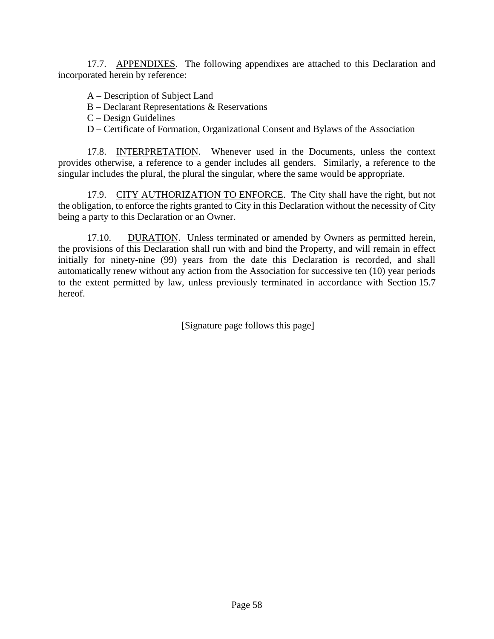17.7. APPENDIXES. The following appendixes are attached to this Declaration and incorporated herein by reference:

A – Description of Subject Land

- B Declarant Representations & Reservations
- C Design Guidelines
- D Certificate of Formation, Organizational Consent and Bylaws of the Association

17.8. INTERPRETATION. Whenever used in the Documents, unless the context provides otherwise, a reference to a gender includes all genders. Similarly, a reference to the singular includes the plural, the plural the singular, where the same would be appropriate.

17.9. CITY AUTHORIZATION TO ENFORCE. The City shall have the right, but not the obligation, to enforce the rights granted to City in this Declaration without the necessity of City being a party to this Declaration or an Owner.

17.10. DURATION. Unless terminated or amended by Owners as permitted herein, the provisions of this Declaration shall run with and bind the Property, and will remain in effect initially for ninety-nine (99) years from the date this Declaration is recorded, and shall automatically renew without any action from the Association for successive ten (10) year periods to the extent permitted by law, unless previously terminated in accordance with Section 15.7 hereof.

[Signature page follows this page]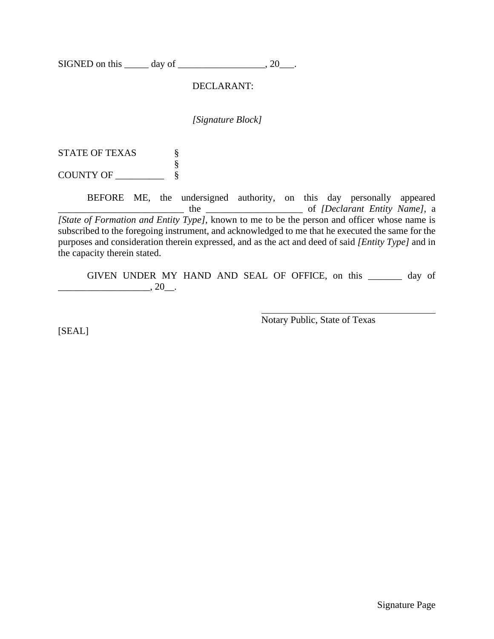SIGNED on this  $\_\_\_\_\$  day of  $\_\_\_\_\_\_\_\_\$  20 $\_\_\_\_\$ .

### DECLARANT:

*[Signature Block]*

STATE OF TEXAS  $\S$ § COUNTY OF \_\_\_\_\_\_\_\_\_\_ §

BEFORE ME, the undersigned authority, on this day personally appeared the <u>contract of</u> the contract of *[Declarant Entity Name]*, a *[State of Formation and Entity Type]*, known to me to be the person and officer whose name is subscribed to the foregoing instrument, and acknowledged to me that he executed the same for the purposes and consideration therein expressed, and as the act and deed of said *[Entity Type]* and in the capacity therein stated.

GIVEN UNDER MY HAND AND SEAL OF OFFICE, on this \_\_\_\_\_\_\_ day of  $\frac{1}{20}$ , 20\_.

Notary Public, State of Texas

[SEAL]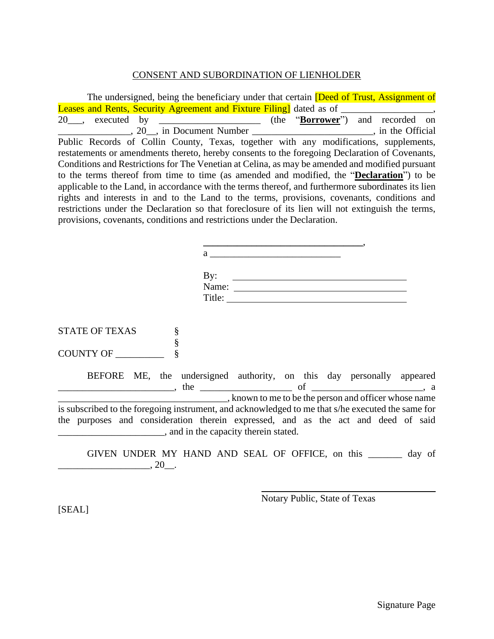### CONSENT AND SUBORDINATION OF LIENHOLDER

| The undersigned, being the beneficiary under that certain <i>Deed of Trust</i> , Assignment of      |  |  |  |  |  |
|-----------------------------------------------------------------------------------------------------|--|--|--|--|--|
| <b>Leases and Rents, Security Agreement and Fixture Filing</b> dated as of                          |  |  |  |  |  |
|                                                                                                     |  |  |  |  |  |
| 20, in Document Number _______________________________, in the Official                             |  |  |  |  |  |
| Public Records of Collin County, Texas, together with any modifications, supplements,               |  |  |  |  |  |
| restatements or amendments thereto, hereby consents to the foregoing Declaration of Covenants,      |  |  |  |  |  |
| Conditions and Restrictions for The Venetian at Celina, as may be amended and modified pursuant     |  |  |  |  |  |
| to the terms thereof from time to time (as amended and modified, the " <b>Declaration</b> ") to be  |  |  |  |  |  |
| applicable to the Land, in accordance with the terms thereof, and furthermore subordinates its lien |  |  |  |  |  |
| rights and interests in and to the Land to the terms, provisions, covenants, conditions and         |  |  |  |  |  |
| restrictions under the Declaration so that foreclosure of its lien will not extinguish the terms,   |  |  |  |  |  |
| provisions, covenants, conditions and restrictions under the Declaration.                           |  |  |  |  |  |

| By:<br>Name: |  |
|--------------|--|
| Title:       |  |

**\_\_\_\_\_\_\_\_\_\_\_\_\_\_\_\_\_\_\_\_\_\_\_\_\_\_\_\_\_\_\_\_\_**,

STATE OF TEXAS \ § COUNTY OF \_\_\_\_\_\_\_\_\_\_ §

BEFORE ME, the undersigned authority, on this day personally appeared  $\Box$ , the  $\Box$ \_\_\_\_\_\_\_\_\_\_\_\_\_\_\_\_\_\_\_\_\_\_\_\_\_\_\_\_\_\_\_\_\_\_\_, known to me to be the person and officer whose name is subscribed to the foregoing instrument, and acknowledged to me that s/he executed the same for the purposes and consideration therein expressed, and as the act and deed of said **EXECUTE:** And in the capacity therein stated.

GIVEN UNDER MY HAND AND SEAL OF OFFICE, on this \_\_\_\_\_\_\_ day of  $\frac{1}{20}$ , 20\_.

Notary Public, State of Texas

[SEAL]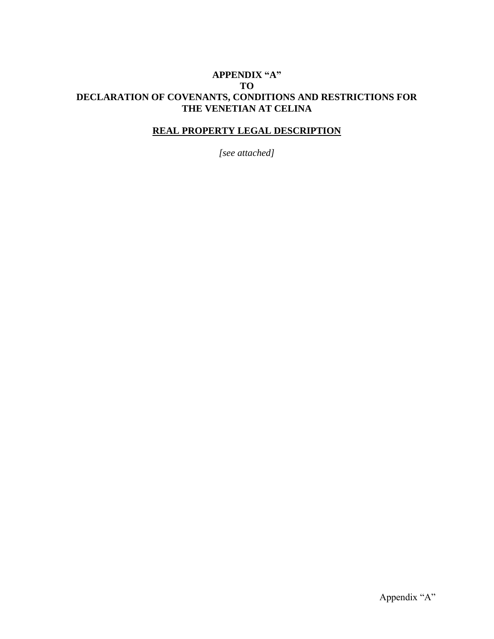### **APPENDIX "A" TO DECLARATION OF COVENANTS, CONDITIONS AND RESTRICTIONS FOR THE VENETIAN AT CELINA**

### **REAL PROPERTY LEGAL DESCRIPTION**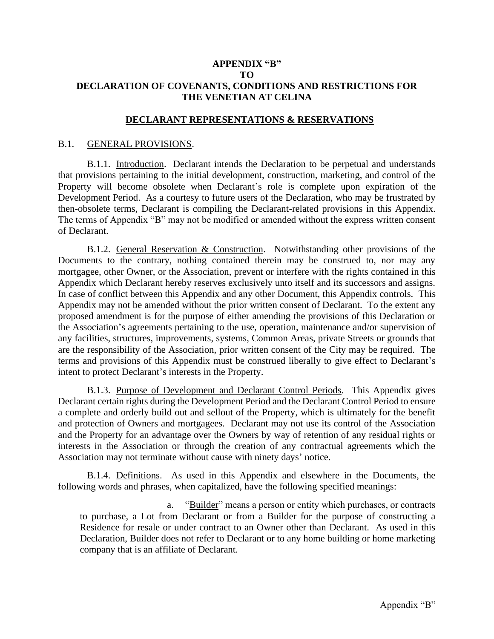### **APPENDIX "B" TO DECLARATION OF COVENANTS, CONDITIONS AND RESTRICTIONS FOR THE VENETIAN AT CELINA**

#### **DECLARANT REPRESENTATIONS & RESERVATIONS**

#### B.1. GENERAL PROVISIONS.

B.1.1. Introduction. Declarant intends the Declaration to be perpetual and understands that provisions pertaining to the initial development, construction, marketing, and control of the Property will become obsolete when Declarant's role is complete upon expiration of the Development Period. As a courtesy to future users of the Declaration, who may be frustrated by then-obsolete terms, Declarant is compiling the Declarant-related provisions in this Appendix. The terms of Appendix "B" may not be modified or amended without the express written consent of Declarant.

B.1.2. General Reservation & Construction. Notwithstanding other provisions of the Documents to the contrary, nothing contained therein may be construed to, nor may any mortgagee, other Owner, or the Association, prevent or interfere with the rights contained in this Appendix which Declarant hereby reserves exclusively unto itself and its successors and assigns. In case of conflict between this Appendix and any other Document, this Appendix controls. This Appendix may not be amended without the prior written consent of Declarant. To the extent any proposed amendment is for the purpose of either amending the provisions of this Declaration or the Association's agreements pertaining to the use, operation, maintenance and/or supervision of any facilities, structures, improvements, systems, Common Areas, private Streets or grounds that are the responsibility of the Association, prior written consent of the City may be required. The terms and provisions of this Appendix must be construed liberally to give effect to Declarant's intent to protect Declarant's interests in the Property.

B.1.3. Purpose of Development and Declarant Control Periods. This Appendix gives Declarant certain rights during the Development Period and the Declarant Control Period to ensure a complete and orderly build out and sellout of the Property, which is ultimately for the benefit and protection of Owners and mortgagees. Declarant may not use its control of the Association and the Property for an advantage over the Owners by way of retention of any residual rights or interests in the Association or through the creation of any contractual agreements which the Association may not terminate without cause with ninety days' notice.

B.1.4. Definitions. As used in this Appendix and elsewhere in the Documents, the following words and phrases, when capitalized, have the following specified meanings:

a. "Builder" means a person or entity which purchases, or contracts to purchase, a Lot from Declarant or from a Builder for the purpose of constructing a Residence for resale or under contract to an Owner other than Declarant. As used in this Declaration, Builder does not refer to Declarant or to any home building or home marketing company that is an affiliate of Declarant.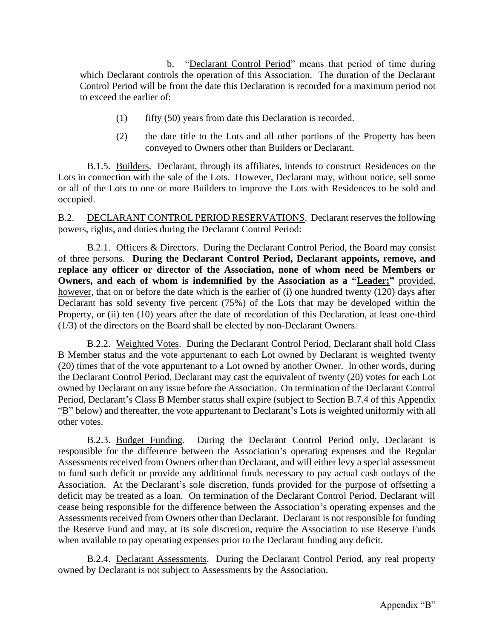b. "Declarant Control Period" means that period of time during which Declarant controls the operation of this Association. The duration of the Declarant Control Period will be from the date this Declaration is recorded for a maximum period not to exceed the earlier of:

- (1) fifty (50) years from date this Declaration is recorded.
- (2) the date title to the Lots and all other portions of the Property has been conveyed to Owners other than Builders or Declarant.

B.1.5. Builders. Declarant, through its affiliates, intends to construct Residences on the Lots in connection with the sale of the Lots. However, Declarant may, without notice, sell some or all of the Lots to one or more Builders to improve the Lots with Residences to be sold and occupied.

B.2. DECLARANT CONTROL PERIOD RESERVATIONS. Declarant reserves the following powers, rights, and duties during the Declarant Control Period:

B.2.1. Officers & Directors. During the Declarant Control Period, the Board may consist of three persons. **During the Declarant Control Period, Declarant appoints, remove, and replace any officer or director of the Association, none of whom need be Members or Owners, and each of whom is indemnified by the Association as a "Leader;"** provided, however, that on or before the date which is the earlier of (i) one hundred twenty (120) days after Declarant has sold seventy five percent (75%) of the Lots that may be developed within the Property, or (ii) ten (10) years after the date of recordation of this Declaration, at least one-third (1/3) of the directors on the Board shall be elected by non-Declarant Owners.

B.2.2. Weighted Votes. During the Declarant Control Period, Declarant shall hold Class B Member status and the vote appurtenant to each Lot owned by Declarant is weighted twenty (20) times that of the vote appurtenant to a Lot owned by another Owner. In other words, during the Declarant Control Period, Declarant may cast the equivalent of twenty (20) votes for each Lot owned by Declarant on any issue before the Association. On termination of the Declarant Control Period, Declarant's Class B Member status shall expire (subject to Section B.7.4 of this Appendix "B" below) and thereafter, the vote appurtenant to Declarant's Lots is weighted uniformly with all other votes.

B.2.3. Budget Funding. During the Declarant Control Period only, Declarant is responsible for the difference between the Association's operating expenses and the Regular Assessments received from Owners other than Declarant, and will either levy a special assessment to fund such deficit or provide any additional funds necessary to pay actual cash outlays of the Association. At the Declarant's sole discretion, funds provided for the purpose of offsetting a deficit may be treated as a loan. On termination of the Declarant Control Period, Declarant will cease being responsible for the difference between the Association's operating expenses and the Assessments received from Owners other than Declarant. Declarant is not responsible for funding the Reserve Fund and may, at its sole discretion, require the Association to use Reserve Funds when available to pay operating expenses prior to the Declarant funding any deficit.

B.2.4. Declarant Assessments. During the Declarant Control Period, any real property owned by Declarant is not subject to Assessments by the Association.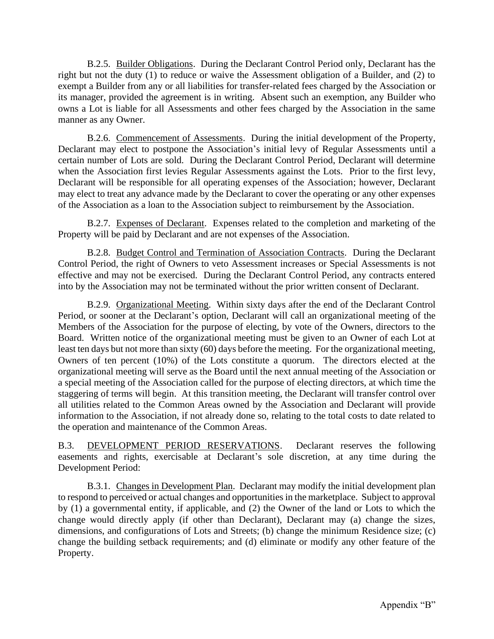B.2.5. Builder Obligations. During the Declarant Control Period only, Declarant has the right but not the duty (1) to reduce or waive the Assessment obligation of a Builder, and (2) to exempt a Builder from any or all liabilities for transfer-related fees charged by the Association or its manager, provided the agreement is in writing. Absent such an exemption, any Builder who owns a Lot is liable for all Assessments and other fees charged by the Association in the same manner as any Owner.

B.2.6. Commencement of Assessments. During the initial development of the Property, Declarant may elect to postpone the Association's initial levy of Regular Assessments until a certain number of Lots are sold. During the Declarant Control Period, Declarant will determine when the Association first levies Regular Assessments against the Lots. Prior to the first levy, Declarant will be responsible for all operating expenses of the Association; however, Declarant may elect to treat any advance made by the Declarant to cover the operating or any other expenses of the Association as a loan to the Association subject to reimbursement by the Association.

B.2.7. Expenses of Declarant. Expenses related to the completion and marketing of the Property will be paid by Declarant and are not expenses of the Association.

B.2.8. Budget Control and Termination of Association Contracts. During the Declarant Control Period, the right of Owners to veto Assessment increases or Special Assessments is not effective and may not be exercised. During the Declarant Control Period, any contracts entered into by the Association may not be terminated without the prior written consent of Declarant.

B.2.9. Organizational Meeting. Within sixty days after the end of the Declarant Control Period, or sooner at the Declarant's option, Declarant will call an organizational meeting of the Members of the Association for the purpose of electing, by vote of the Owners, directors to the Board. Written notice of the organizational meeting must be given to an Owner of each Lot at least ten days but not more than sixty (60) days before the meeting. For the organizational meeting, Owners of ten percent (10%) of the Lots constitute a quorum. The directors elected at the organizational meeting will serve as the Board until the next annual meeting of the Association or a special meeting of the Association called for the purpose of electing directors, at which time the staggering of terms will begin. At this transition meeting, the Declarant will transfer control over all utilities related to the Common Areas owned by the Association and Declarant will provide information to the Association, if not already done so, relating to the total costs to date related to the operation and maintenance of the Common Areas.

B.3. DEVELOPMENT PERIOD RESERVATIONS. Declarant reserves the following easements and rights, exercisable at Declarant's sole discretion, at any time during the Development Period:

B.3.1. Changes in Development Plan. Declarant may modify the initial development plan to respond to perceived or actual changes and opportunities in the marketplace. Subject to approval by (1) a governmental entity, if applicable, and (2) the Owner of the land or Lots to which the change would directly apply (if other than Declarant), Declarant may (a) change the sizes, dimensions, and configurations of Lots and Streets; (b) change the minimum Residence size; (c) change the building setback requirements; and (d) eliminate or modify any other feature of the Property.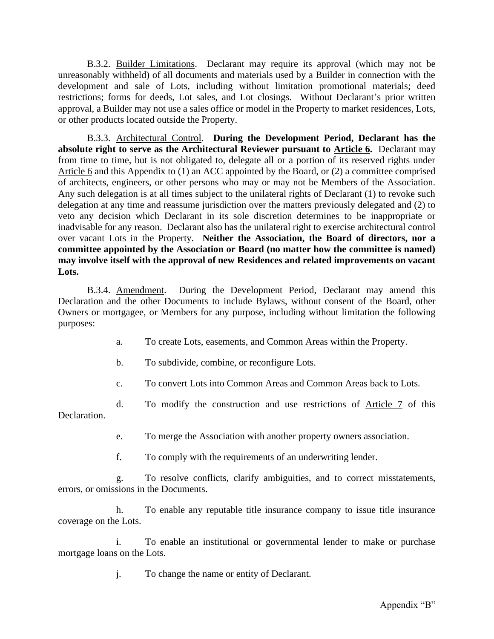B.3.2. Builder Limitations. Declarant may require its approval (which may not be unreasonably withheld) of all documents and materials used by a Builder in connection with the development and sale of Lots, including without limitation promotional materials; deed restrictions; forms for deeds, Lot sales, and Lot closings. Without Declarant's prior written approval, a Builder may not use a sales office or model in the Property to market residences, Lots, or other products located outside the Property.

B.3.3. Architectural Control. **During the Development Period, Declarant has the absolute right to serve as the Architectural Reviewer pursuant to Article 6.** Declarant may from time to time, but is not obligated to, delegate all or a portion of its reserved rights under Article 6 and this Appendix to (1) an ACC appointed by the Board, or (2) a committee comprised of architects, engineers, or other persons who may or may not be Members of the Association. Any such delegation is at all times subject to the unilateral rights of Declarant (1) to revoke such delegation at any time and reassume jurisdiction over the matters previously delegated and (2) to veto any decision which Declarant in its sole discretion determines to be inappropriate or inadvisable for any reason. Declarant also has the unilateral right to exercise architectural control over vacant Lots in the Property. **Neither the Association, the Board of directors, nor a committee appointed by the Association or Board (no matter how the committee is named) may involve itself with the approval of new Residences and related improvements on vacant Lots.**

B.3.4. Amendment. During the Development Period, Declarant may amend this Declaration and the other Documents to include Bylaws, without consent of the Board, other Owners or mortgagee, or Members for any purpose, including without limitation the following purposes:

- a. To create Lots, easements, and Common Areas within the Property.
- b. To subdivide, combine, or reconfigure Lots.

c. To convert Lots into Common Areas and Common Areas back to Lots.

d. To modify the construction and use restrictions of Article 7 of this Declaration.

e. To merge the Association with another property owners association.

f. To comply with the requirements of an underwriting lender.

g. To resolve conflicts, clarify ambiguities, and to correct misstatements, errors, or omissions in the Documents.

h. To enable any reputable title insurance company to issue title insurance coverage on the Lots.

i. To enable an institutional or governmental lender to make or purchase mortgage loans on the Lots.

j. To change the name or entity of Declarant.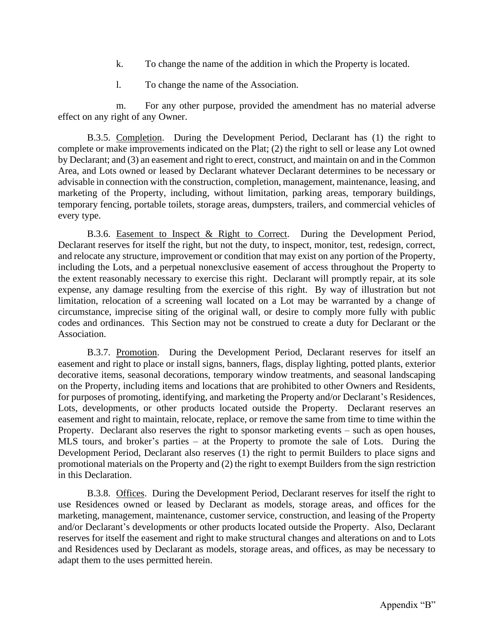- k. To change the name of the addition in which the Property is located.
- l. To change the name of the Association.

m. For any other purpose, provided the amendment has no material adverse effect on any right of any Owner.

B.3.5. Completion. During the Development Period, Declarant has (1) the right to complete or make improvements indicated on the Plat; (2) the right to sell or lease any Lot owned by Declarant; and (3) an easement and right to erect, construct, and maintain on and in the Common Area, and Lots owned or leased by Declarant whatever Declarant determines to be necessary or advisable in connection with the construction, completion, management, maintenance, leasing, and marketing of the Property, including, without limitation, parking areas, temporary buildings, temporary fencing, portable toilets, storage areas, dumpsters, trailers, and commercial vehicles of every type.

B.3.6. Easement to Inspect & Right to Correct. During the Development Period, Declarant reserves for itself the right, but not the duty, to inspect, monitor, test, redesign, correct, and relocate any structure, improvement or condition that may exist on any portion of the Property, including the Lots, and a perpetual nonexclusive easement of access throughout the Property to the extent reasonably necessary to exercise this right. Declarant will promptly repair, at its sole expense, any damage resulting from the exercise of this right. By way of illustration but not limitation, relocation of a screening wall located on a Lot may be warranted by a change of circumstance, imprecise siting of the original wall, or desire to comply more fully with public codes and ordinances. This Section may not be construed to create a duty for Declarant or the Association.

B.3.7. Promotion. During the Development Period, Declarant reserves for itself an easement and right to place or install signs, banners, flags, display lighting, potted plants, exterior decorative items, seasonal decorations, temporary window treatments, and seasonal landscaping on the Property, including items and locations that are prohibited to other Owners and Residents, for purposes of promoting, identifying, and marketing the Property and/or Declarant's Residences, Lots, developments, or other products located outside the Property. Declarant reserves an easement and right to maintain, relocate, replace, or remove the same from time to time within the Property. Declarant also reserves the right to sponsor marketing events – such as open houses, MLS tours, and broker's parties – at the Property to promote the sale of Lots. During the Development Period, Declarant also reserves (1) the right to permit Builders to place signs and promotional materials on the Property and (2) the right to exempt Builders from the sign restriction in this Declaration.

B.3.8. Offices. During the Development Period, Declarant reserves for itself the right to use Residences owned or leased by Declarant as models, storage areas, and offices for the marketing, management, maintenance, customer service, construction, and leasing of the Property and/or Declarant's developments or other products located outside the Property. Also, Declarant reserves for itself the easement and right to make structural changes and alterations on and to Lots and Residences used by Declarant as models, storage areas, and offices, as may be necessary to adapt them to the uses permitted herein.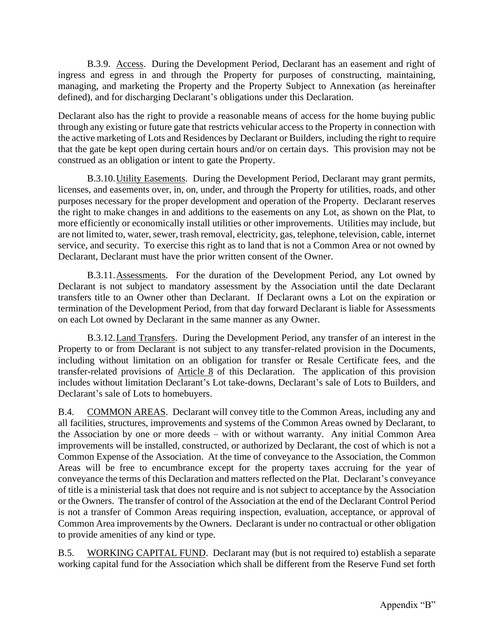B.3.9. Access. During the Development Period, Declarant has an easement and right of ingress and egress in and through the Property for purposes of constructing, maintaining, managing, and marketing the Property and the Property Subject to Annexation (as hereinafter defined), and for discharging Declarant's obligations under this Declaration.

Declarant also has the right to provide a reasonable means of access for the home buying public through any existing or future gate that restricts vehicular access to the Property in connection with the active marketing of Lots and Residences by Declarant or Builders, including the right to require that the gate be kept open during certain hours and/or on certain days. This provision may not be construed as an obligation or intent to gate the Property.

B.3.10.Utility Easements. During the Development Period, Declarant may grant permits, licenses, and easements over, in, on, under, and through the Property for utilities, roads, and other purposes necessary for the proper development and operation of the Property. Declarant reserves the right to make changes in and additions to the easements on any Lot, as shown on the Plat, to more efficiently or economically install utilities or other improvements. Utilities may include, but are not limited to, water, sewer, trash removal, electricity, gas, telephone, television, cable, internet service, and security. To exercise this right as to land that is not a Common Area or not owned by Declarant, Declarant must have the prior written consent of the Owner.

B.3.11.Assessments. For the duration of the Development Period, any Lot owned by Declarant is not subject to mandatory assessment by the Association until the date Declarant transfers title to an Owner other than Declarant. If Declarant owns a Lot on the expiration or termination of the Development Period, from that day forward Declarant is liable for Assessments on each Lot owned by Declarant in the same manner as any Owner.

B.3.12.Land Transfers. During the Development Period, any transfer of an interest in the Property to or from Declarant is not subject to any transfer-related provision in the Documents, including without limitation on an obligation for transfer or Resale Certificate fees, and the transfer-related provisions of Article 8 of this Declaration. The application of this provision includes without limitation Declarant's Lot take-downs, Declarant's sale of Lots to Builders, and Declarant's sale of Lots to homebuyers.

B.4. COMMON AREAS. Declarant will convey title to the Common Areas, including any and all facilities, structures, improvements and systems of the Common Areas owned by Declarant, to the Association by one or more deeds – with or without warranty. Any initial Common Area improvements will be installed, constructed, or authorized by Declarant, the cost of which is not a Common Expense of the Association. At the time of conveyance to the Association, the Common Areas will be free to encumbrance except for the property taxes accruing for the year of conveyance the terms of this Declaration and matters reflected on the Plat. Declarant's conveyance of title is a ministerial task that does not require and is not subject to acceptance by the Association or the Owners. The transfer of control of the Association at the end of the Declarant Control Period is not a transfer of Common Areas requiring inspection, evaluation, acceptance, or approval of Common Area improvements by the Owners. Declarant is under no contractual or other obligation to provide amenities of any kind or type.

B.5. WORKING CAPITAL FUND. Declarant may (but is not required to) establish a separate working capital fund for the Association which shall be different from the Reserve Fund set forth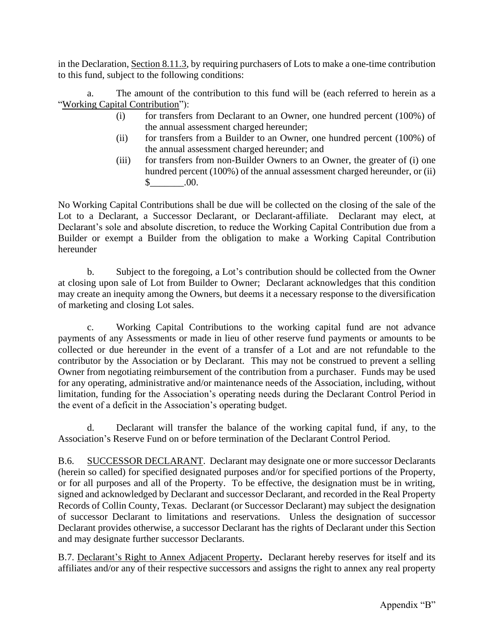in the Declaration, Section 8.11.3, by requiring purchasers of Lots to make a one-time contribution to this fund, subject to the following conditions:

a. The amount of the contribution to this fund will be (each referred to herein as a "Working Capital Contribution"):

- (i) for transfers from Declarant to an Owner, one hundred percent (100%) of the annual assessment charged hereunder;
- (ii) for transfers from a Builder to an Owner, one hundred percent (100%) of the annual assessment charged hereunder; and
- (iii) for transfers from non-Builder Owners to an Owner, the greater of (i) one hundred percent (100%) of the annual assessment charged hereunder, or (ii)  $\$\,$  .00.

No Working Capital Contributions shall be due will be collected on the closing of the sale of the Lot to a Declarant, a Successor Declarant, or Declarant-affiliate. Declarant may elect, at Declarant's sole and absolute discretion, to reduce the Working Capital Contribution due from a Builder or exempt a Builder from the obligation to make a Working Capital Contribution hereunder

b. Subject to the foregoing, a Lot's contribution should be collected from the Owner at closing upon sale of Lot from Builder to Owner; Declarant acknowledges that this condition may create an inequity among the Owners, but deems it a necessary response to the diversification of marketing and closing Lot sales.

c. Working Capital Contributions to the working capital fund are not advance payments of any Assessments or made in lieu of other reserve fund payments or amounts to be collected or due hereunder in the event of a transfer of a Lot and are not refundable to the contributor by the Association or by Declarant. This may not be construed to prevent a selling Owner from negotiating reimbursement of the contribution from a purchaser. Funds may be used for any operating, administrative and/or maintenance needs of the Association, including, without limitation, funding for the Association's operating needs during the Declarant Control Period in the event of a deficit in the Association's operating budget.

d. Declarant will transfer the balance of the working capital fund, if any, to the Association's Reserve Fund on or before termination of the Declarant Control Period.

B.6. SUCCESSOR DECLARANT. Declarant may designate one or more successor Declarants (herein so called) for specified designated purposes and/or for specified portions of the Property, or for all purposes and all of the Property. To be effective, the designation must be in writing, signed and acknowledged by Declarant and successor Declarant, and recorded in the Real Property Records of Collin County, Texas. Declarant (or Successor Declarant) may subject the designation of successor Declarant to limitations and reservations. Unless the designation of successor Declarant provides otherwise, a successor Declarant has the rights of Declarant under this Section and may designate further successor Declarants.

B.7. Declarant's Right to Annex Adjacent Property**.** Declarant hereby reserves for itself and its affiliates and/or any of their respective successors and assigns the right to annex any real property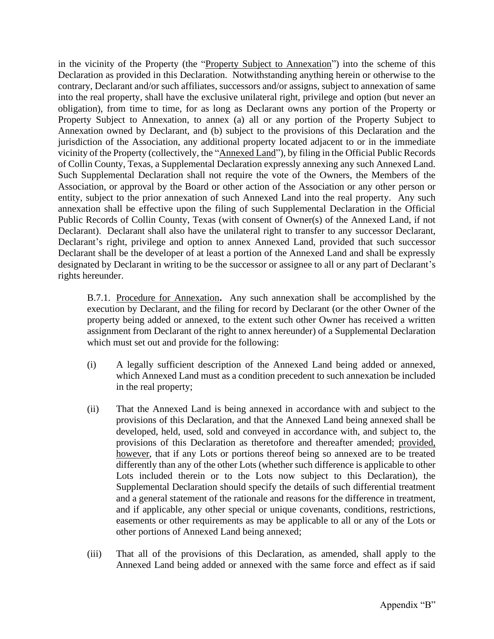in the vicinity of the Property (the "Property Subject to Annexation") into the scheme of this Declaration as provided in this Declaration. Notwithstanding anything herein or otherwise to the contrary, Declarant and/or such affiliates, successors and/or assigns, subject to annexation of same into the real property, shall have the exclusive unilateral right, privilege and option (but never an obligation), from time to time, for as long as Declarant owns any portion of the Property or Property Subject to Annexation, to annex (a) all or any portion of the Property Subject to Annexation owned by Declarant, and (b) subject to the provisions of this Declaration and the jurisdiction of the Association, any additional property located adjacent to or in the immediate vicinity of the Property (collectively, the "Annexed Land"), by filing in the Official Public Records of Collin County, Texas, a Supplemental Declaration expressly annexing any such Annexed Land. Such Supplemental Declaration shall not require the vote of the Owners, the Members of the Association, or approval by the Board or other action of the Association or any other person or entity, subject to the prior annexation of such Annexed Land into the real property. Any such annexation shall be effective upon the filing of such Supplemental Declaration in the Official Public Records of Collin County, Texas (with consent of Owner(s) of the Annexed Land, if not Declarant). Declarant shall also have the unilateral right to transfer to any successor Declarant, Declarant's right, privilege and option to annex Annexed Land, provided that such successor Declarant shall be the developer of at least a portion of the Annexed Land and shall be expressly designated by Declarant in writing to be the successor or assignee to all or any part of Declarant's rights hereunder.

B.7.1. Procedure for Annexation**.** Any such annexation shall be accomplished by the execution by Declarant, and the filing for record by Declarant (or the other Owner of the property being added or annexed, to the extent such other Owner has received a written assignment from Declarant of the right to annex hereunder) of a Supplemental Declaration which must set out and provide for the following:

- (i) A legally sufficient description of the Annexed Land being added or annexed, which Annexed Land must as a condition precedent to such annexation be included in the real property;
- (ii) That the Annexed Land is being annexed in accordance with and subject to the provisions of this Declaration, and that the Annexed Land being annexed shall be developed, held, used, sold and conveyed in accordance with, and subject to, the provisions of this Declaration as theretofore and thereafter amended; provided, however, that if any Lots or portions thereof being so annexed are to be treated differently than any of the other Lots (whether such difference is applicable to other Lots included therein or to the Lots now subject to this Declaration), the Supplemental Declaration should specify the details of such differential treatment and a general statement of the rationale and reasons for the difference in treatment, and if applicable, any other special or unique covenants, conditions, restrictions, easements or other requirements as may be applicable to all or any of the Lots or other portions of Annexed Land being annexed;
- (iii) That all of the provisions of this Declaration, as amended, shall apply to the Annexed Land being added or annexed with the same force and effect as if said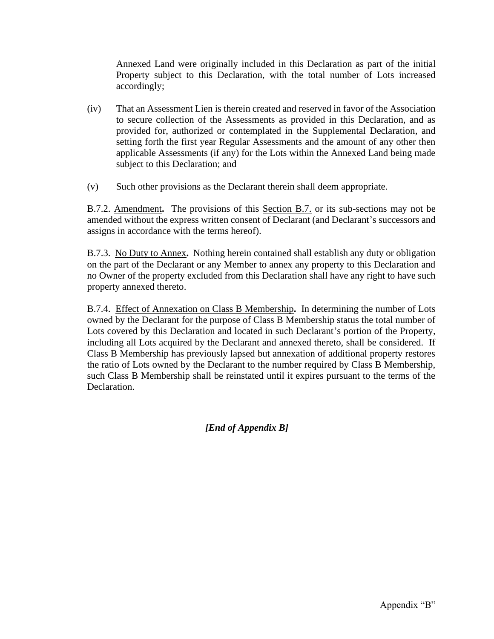Annexed Land were originally included in this Declaration as part of the initial Property subject to this Declaration, with the total number of Lots increased accordingly;

- (iv) That an Assessment Lien is therein created and reserved in favor of the Association to secure collection of the Assessments as provided in this Declaration, and as provided for, authorized or contemplated in the Supplemental Declaration, and setting forth the first year Regular Assessments and the amount of any other then applicable Assessments (if any) for the Lots within the Annexed Land being made subject to this Declaration; and
- (v) Such other provisions as the Declarant therein shall deem appropriate.

B.7.2. Amendment**.** The provisions of this Section B.7. or its sub-sections may not be amended without the express written consent of Declarant (and Declarant's successors and assigns in accordance with the terms hereof).

B.7.3. No Duty to Annex**.** Nothing herein contained shall establish any duty or obligation on the part of the Declarant or any Member to annex any property to this Declaration and no Owner of the property excluded from this Declaration shall have any right to have such property annexed thereto.

B.7.4. Effect of Annexation on Class B Membership**.** In determining the number of Lots owned by the Declarant for the purpose of Class B Membership status the total number of Lots covered by this Declaration and located in such Declarant's portion of the Property, including all Lots acquired by the Declarant and annexed thereto, shall be considered. If Class B Membership has previously lapsed but annexation of additional property restores the ratio of Lots owned by the Declarant to the number required by Class B Membership, such Class B Membership shall be reinstated until it expires pursuant to the terms of the Declaration.

*[End of Appendix B]*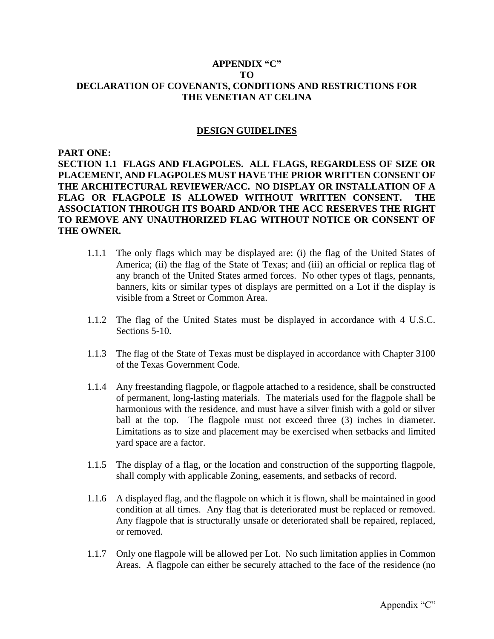### **APPENDIX "C" TO DECLARATION OF COVENANTS, CONDITIONS AND RESTRICTIONS FOR THE VENETIAN AT CELINA**

#### **DESIGN GUIDELINES**

**PART ONE:**

**SECTION 1.1 FLAGS AND FLAGPOLES. ALL FLAGS, REGARDLESS OF SIZE OR PLACEMENT, AND FLAGPOLES MUST HAVE THE PRIOR WRITTEN CONSENT OF THE ARCHITECTURAL REVIEWER/ACC. NO DISPLAY OR INSTALLATION OF A FLAG OR FLAGPOLE IS ALLOWED WITHOUT WRITTEN CONSENT. THE ASSOCIATION THROUGH ITS BOARD AND/OR THE ACC RESERVES THE RIGHT TO REMOVE ANY UNAUTHORIZED FLAG WITHOUT NOTICE OR CONSENT OF THE OWNER.**

- 1.1.1 The only flags which may be displayed are: (i) the flag of the United States of America; (ii) the flag of the State of Texas; and (iii) an official or replica flag of any branch of the United States armed forces. No other types of flags, pennants, banners, kits or similar types of displays are permitted on a Lot if the display is visible from a Street or Common Area.
- 1.1.2 The flag of the United States must be displayed in accordance with 4 U.S.C. Sections 5-10.
- 1.1.3 The flag of the State of Texas must be displayed in accordance with Chapter 3100 of the Texas Government Code.
- 1.1.4 Any freestanding flagpole, or flagpole attached to a residence, shall be constructed of permanent, long-lasting materials. The materials used for the flagpole shall be harmonious with the residence, and must have a silver finish with a gold or silver ball at the top. The flagpole must not exceed three (3) inches in diameter. Limitations as to size and placement may be exercised when setbacks and limited yard space are a factor.
- 1.1.5 The display of a flag, or the location and construction of the supporting flagpole, shall comply with applicable Zoning, easements, and setbacks of record.
- 1.1.6 A displayed flag, and the flagpole on which it is flown, shall be maintained in good condition at all times. Any flag that is deteriorated must be replaced or removed. Any flagpole that is structurally unsafe or deteriorated shall be repaired, replaced, or removed.
- 1.1.7 Only one flagpole will be allowed per Lot. No such limitation applies in Common Areas. A flagpole can either be securely attached to the face of the residence (no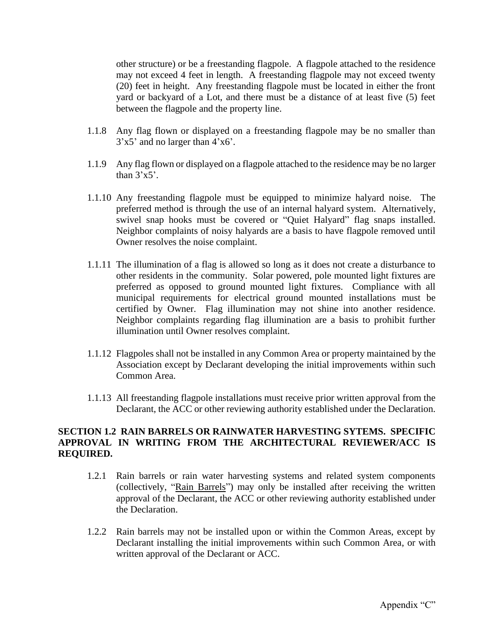other structure) or be a freestanding flagpole. A flagpole attached to the residence may not exceed 4 feet in length. A freestanding flagpole may not exceed twenty (20) feet in height. Any freestanding flagpole must be located in either the front yard or backyard of a Lot, and there must be a distance of at least five (5) feet between the flagpole and the property line.

- 1.1.8 Any flag flown or displayed on a freestanding flagpole may be no smaller than 3'x5' and no larger than 4'x6'.
- 1.1.9 Any flag flown or displayed on a flagpole attached to the residence may be no larger than  $3'x5'$ .
- 1.1.10 Any freestanding flagpole must be equipped to minimize halyard noise. The preferred method is through the use of an internal halyard system. Alternatively, swivel snap hooks must be covered or "Quiet Halyard" flag snaps installed. Neighbor complaints of noisy halyards are a basis to have flagpole removed until Owner resolves the noise complaint.
- 1.1.11 The illumination of a flag is allowed so long as it does not create a disturbance to other residents in the community. Solar powered, pole mounted light fixtures are preferred as opposed to ground mounted light fixtures. Compliance with all municipal requirements for electrical ground mounted installations must be certified by Owner. Flag illumination may not shine into another residence. Neighbor complaints regarding flag illumination are a basis to prohibit further illumination until Owner resolves complaint.
- 1.1.12 Flagpoles shall not be installed in any Common Area or property maintained by the Association except by Declarant developing the initial improvements within such Common Area.
- 1.1.13 All freestanding flagpole installations must receive prior written approval from the Declarant, the ACC or other reviewing authority established under the Declaration.

### **SECTION 1.2 RAIN BARRELS OR RAINWATER HARVESTING SYTEMS. SPECIFIC APPROVAL IN WRITING FROM THE ARCHITECTURAL REVIEWER/ACC IS REQUIRED.**

- 1.2.1 Rain barrels or rain water harvesting systems and related system components (collectively, "Rain Barrels") may only be installed after receiving the written approval of the Declarant, the ACC or other reviewing authority established under the Declaration.
- 1.2.2 Rain barrels may not be installed upon or within the Common Areas, except by Declarant installing the initial improvements within such Common Area, or with written approval of the Declarant or ACC.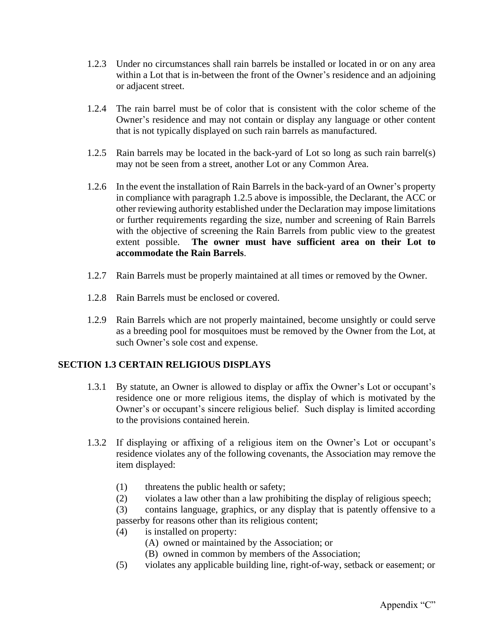- 1.2.3 Under no circumstances shall rain barrels be installed or located in or on any area within a Lot that is in-between the front of the Owner's residence and an adjoining or adjacent street.
- 1.2.4 The rain barrel must be of color that is consistent with the color scheme of the Owner's residence and may not contain or display any language or other content that is not typically displayed on such rain barrels as manufactured.
- 1.2.5 Rain barrels may be located in the back-yard of Lot so long as such rain barrel(s) may not be seen from a street, another Lot or any Common Area.
- 1.2.6 In the event the installation of Rain Barrels in the back-yard of an Owner's property in compliance with paragraph 1.2.5 above is impossible, the Declarant, the ACC or other reviewing authority established under the Declaration may impose limitations or further requirements regarding the size, number and screening of Rain Barrels with the objective of screening the Rain Barrels from public view to the greatest extent possible. **The owner must have sufficient area on their Lot to accommodate the Rain Barrels**.
- 1.2.7 Rain Barrels must be properly maintained at all times or removed by the Owner.
- 1.2.8 Rain Barrels must be enclosed or covered.
- 1.2.9 Rain Barrels which are not properly maintained, become unsightly or could serve as a breeding pool for mosquitoes must be removed by the Owner from the Lot, at such Owner's sole cost and expense.

### **SECTION 1.3 CERTAIN RELIGIOUS DISPLAYS**

- 1.3.1 By statute, an Owner is allowed to display or affix the Owner's Lot or occupant's residence one or more religious items, the display of which is motivated by the Owner's or occupant's sincere religious belief. Such display is limited according to the provisions contained herein.
- 1.3.2 If displaying or affixing of a religious item on the Owner's Lot or occupant's residence violates any of the following covenants, the Association may remove the item displayed:
	- (1) threatens the public health or safety;
	- (2) violates a law other than a law prohibiting the display of religious speech;

(3) contains language, graphics, or any display that is patently offensive to a passerby for reasons other than its religious content;

- (4) is installed on property:
	- (A) owned or maintained by the Association; or
	- (B) owned in common by members of the Association;
- (5) violates any applicable building line, right-of-way, setback or easement; or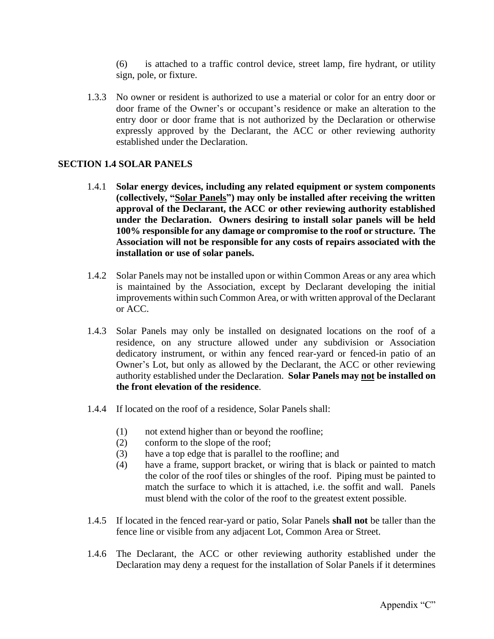(6) is attached to a traffic control device, street lamp, fire hydrant, or utility sign, pole, or fixture.

1.3.3 No owner or resident is authorized to use a material or color for an entry door or door frame of the Owner's or occupant's residence or make an alteration to the entry door or door frame that is not authorized by the Declaration or otherwise expressly approved by the Declarant, the ACC or other reviewing authority established under the Declaration.

#### **SECTION 1.4 SOLAR PANELS**

- 1.4.1 **Solar energy devices, including any related equipment or system components (collectively, "Solar Panels") may only be installed after receiving the written approval of the Declarant, the ACC or other reviewing authority established under the Declaration. Owners desiring to install solar panels will be held 100% responsible for any damage or compromise to the roof or structure. The Association will not be responsible for any costs of repairs associated with the installation or use of solar panels.**
- 1.4.2 Solar Panels may not be installed upon or within Common Areas or any area which is maintained by the Association, except by Declarant developing the initial improvements within such Common Area, or with written approval of the Declarant or ACC.
- 1.4.3 Solar Panels may only be installed on designated locations on the roof of a residence, on any structure allowed under any subdivision or Association dedicatory instrument, or within any fenced rear-yard or fenced-in patio of an Owner's Lot, but only as allowed by the Declarant, the ACC or other reviewing authority established under the Declaration. **Solar Panels may not be installed on the front elevation of the residence**.
- 1.4.4 If located on the roof of a residence, Solar Panels shall:
	- (1) not extend higher than or beyond the roofline;
	- (2) conform to the slope of the roof;
	- (3) have a top edge that is parallel to the roofline; and
	- (4) have a frame, support bracket, or wiring that is black or painted to match the color of the roof tiles or shingles of the roof. Piping must be painted to match the surface to which it is attached, i.e. the soffit and wall. Panels must blend with the color of the roof to the greatest extent possible.
- 1.4.5 If located in the fenced rear-yard or patio, Solar Panels **shall not** be taller than the fence line or visible from any adjacent Lot, Common Area or Street.
- 1.4.6 The Declarant, the ACC or other reviewing authority established under the Declaration may deny a request for the installation of Solar Panels if it determines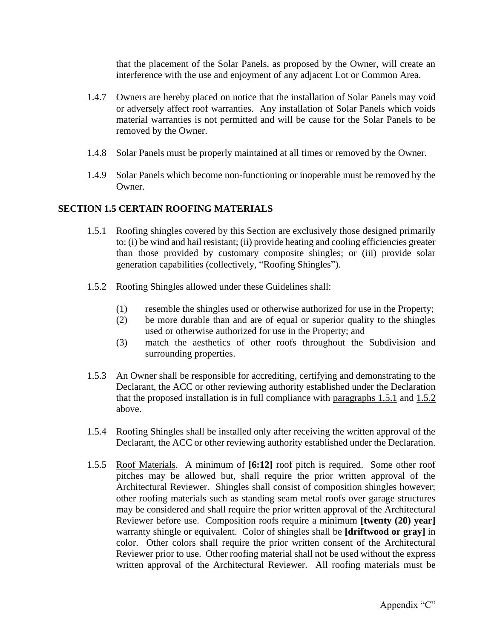that the placement of the Solar Panels, as proposed by the Owner, will create an interference with the use and enjoyment of any adjacent Lot or Common Area.

- 1.4.7 Owners are hereby placed on notice that the installation of Solar Panels may void or adversely affect roof warranties. Any installation of Solar Panels which voids material warranties is not permitted and will be cause for the Solar Panels to be removed by the Owner.
- 1.4.8 Solar Panels must be properly maintained at all times or removed by the Owner.
- 1.4.9 Solar Panels which become non-functioning or inoperable must be removed by the Owner.

### **SECTION 1.5 CERTAIN ROOFING MATERIALS**

- 1.5.1 Roofing shingles covered by this Section are exclusively those designed primarily to: (i) be wind and hail resistant; (ii) provide heating and cooling efficiencies greater than those provided by customary composite shingles; or (iii) provide solar generation capabilities (collectively, "Roofing Shingles").
- 1.5.2 Roofing Shingles allowed under these Guidelines shall:
	- (1) resemble the shingles used or otherwise authorized for use in the Property;
	- (2) be more durable than and are of equal or superior quality to the shingles used or otherwise authorized for use in the Property; and
	- (3) match the aesthetics of other roofs throughout the Subdivision and surrounding properties.
- 1.5.3 An Owner shall be responsible for accrediting, certifying and demonstrating to the Declarant, the ACC or other reviewing authority established under the Declaration that the proposed installation is in full compliance with paragraphs 1.5.1 and 1.5.2 above.
- 1.5.4 Roofing Shingles shall be installed only after receiving the written approval of the Declarant, the ACC or other reviewing authority established under the Declaration.
- 1.5.5 Roof Materials. A minimum of **[6:12]** roof pitch is required. Some other roof pitches may be allowed but, shall require the prior written approval of the Architectural Reviewer. Shingles shall consist of composition shingles however; other roofing materials such as standing seam metal roofs over garage structures may be considered and shall require the prior written approval of the Architectural Reviewer before use. Composition roofs require a minimum **[twenty (20) year]** warranty shingle or equivalent. Color of shingles shall be **[driftwood or gray]** in color. Other colors shall require the prior written consent of the Architectural Reviewer prior to use. Other roofing material shall not be used without the express written approval of the Architectural Reviewer. All roofing materials must be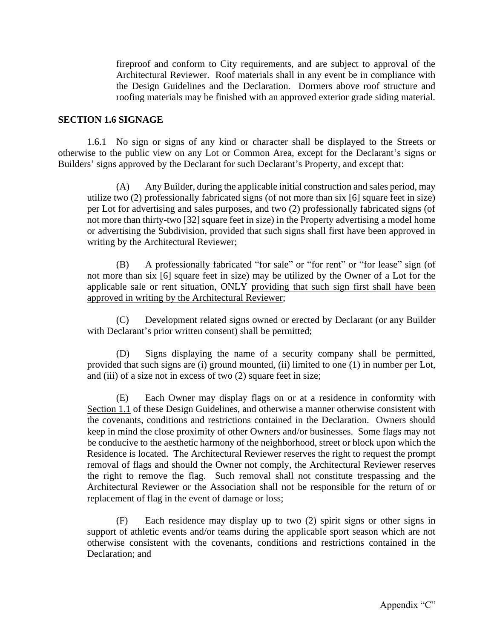fireproof and conform to City requirements, and are subject to approval of the Architectural Reviewer. Roof materials shall in any event be in compliance with the Design Guidelines and the Declaration. Dormers above roof structure and roofing materials may be finished with an approved exterior grade siding material.

#### **SECTION 1.6 SIGNAGE**

1.6.1 No sign or signs of any kind or character shall be displayed to the Streets or otherwise to the public view on any Lot or Common Area, except for the Declarant's signs or Builders' signs approved by the Declarant for such Declarant's Property, and except that:

(A) Any Builder, during the applicable initial construction and sales period, may utilize two (2) professionally fabricated signs (of not more than six [6] square feet in size) per Lot for advertising and sales purposes, and two (2) professionally fabricated signs (of not more than thirty-two [32] square feet in size) in the Property advertising a model home or advertising the Subdivision, provided that such signs shall first have been approved in writing by the Architectural Reviewer;

(B) A professionally fabricated "for sale" or "for rent" or "for lease" sign (of not more than six [6] square feet in size) may be utilized by the Owner of a Lot for the applicable sale or rent situation, ONLY providing that such sign first shall have been approved in writing by the Architectural Reviewer;

(C) Development related signs owned or erected by Declarant (or any Builder with Declarant's prior written consent) shall be permitted;

(D) Signs displaying the name of a security company shall be permitted, provided that such signs are (i) ground mounted, (ii) limited to one (1) in number per Lot, and (iii) of a size not in excess of two (2) square feet in size;

(E) Each Owner may display flags on or at a residence in conformity with Section 1.1 of these Design Guidelines, and otherwise a manner otherwise consistent with the covenants, conditions and restrictions contained in the Declaration. Owners should keep in mind the close proximity of other Owners and/or businesses. Some flags may not be conducive to the aesthetic harmony of the neighborhood, street or block upon which the Residence is located. The Architectural Reviewer reserves the right to request the prompt removal of flags and should the Owner not comply, the Architectural Reviewer reserves the right to remove the flag. Such removal shall not constitute trespassing and the Architectural Reviewer or the Association shall not be responsible for the return of or replacement of flag in the event of damage or loss;

(F) Each residence may display up to two (2) spirit signs or other signs in support of athletic events and/or teams during the applicable sport season which are not otherwise consistent with the covenants, conditions and restrictions contained in the Declaration; and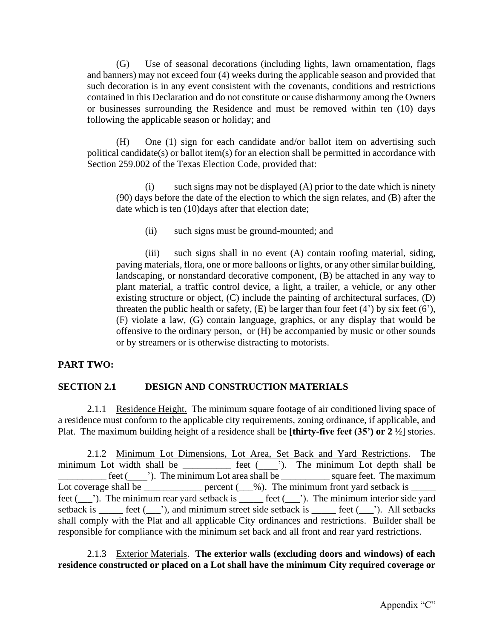(G) Use of seasonal decorations (including lights, lawn ornamentation, flags and banners) may not exceed four (4) weeks during the applicable season and provided that such decoration is in any event consistent with the covenants, conditions and restrictions contained in this Declaration and do not constitute or cause disharmony among the Owners or businesses surrounding the Residence and must be removed within ten (10) days following the applicable season or holiday; and

(H) One (1) sign for each candidate and/or ballot item on advertising such political candidate(s) or ballot item(s) for an election shall be permitted in accordance with Section 259.002 of the Texas Election Code, provided that:

(i) such signs may not be displayed (A) prior to the date which is ninety (90) days before the date of the election to which the sign relates, and (B) after the date which is ten (10)days after that election date;

(ii) such signs must be ground-mounted; and

(iii) such signs shall in no event (A) contain roofing material, siding, paving materials, flora, one or more balloons or lights, or any other similar building, landscaping, or nonstandard decorative component, (B) be attached in any way to plant material, a traffic control device, a light, a trailer, a vehicle, or any other existing structure or object, (C) include the painting of architectural surfaces, (D) threaten the public health or safety,  $(E)$  be larger than four feet  $(4')$  by six feet  $(6')$ , (F) violate a law, (G) contain language, graphics, or any display that would be offensive to the ordinary person, or (H) be accompanied by music or other sounds or by streamers or is otherwise distracting to motorists.

### **PART TWO:**

### **SECTION 2.1 DESIGN AND CONSTRUCTION MATERIALS**

2.1.1 Residence Height. The minimum square footage of air conditioned living space of a residence must conform to the applicable city requirements, zoning ordinance, if applicable, and Plat. The maximum building height of a residence shall be **[thirty-five feet (35') or 2 ½**] stories.

2.1.2 Minimum Lot Dimensions, Lot Area, Set Back and Yard Restrictions. The minimum Lot width shall be \_\_\_\_\_\_\_\_\_\_\_ feet (\_\_\_\_'). The minimum Lot depth shall be \_\_\_\_\_\_\_\_\_\_ feet (\_\_\_\_'). The minimum Lot area shall be \_\_\_\_\_\_\_\_\_\_ square feet. The maximum Lot coverage shall be  $\frac{1}{\sqrt{2}}$  percent  $(\frac{9}{\sqrt{2}})$ . The minimum front yard setback is  $\frac{1}{\sqrt{2}}$ feet (\_\_\_'). The minimum rear yard setback is \_\_\_\_\_ feet (\_\_\_'). The minimum interior side yard setback is \_\_\_\_\_ feet (\_\_\_'), and minimum street side setback is \_\_\_\_\_ feet (\_\_\_'). All setbacks shall comply with the Plat and all applicable City ordinances and restrictions. Builder shall be responsible for compliance with the minimum set back and all front and rear yard restrictions.

### 2.1.3 Exterior Materials. **The exterior walls (excluding doors and windows) of each residence constructed or placed on a Lot shall have the minimum City required coverage or**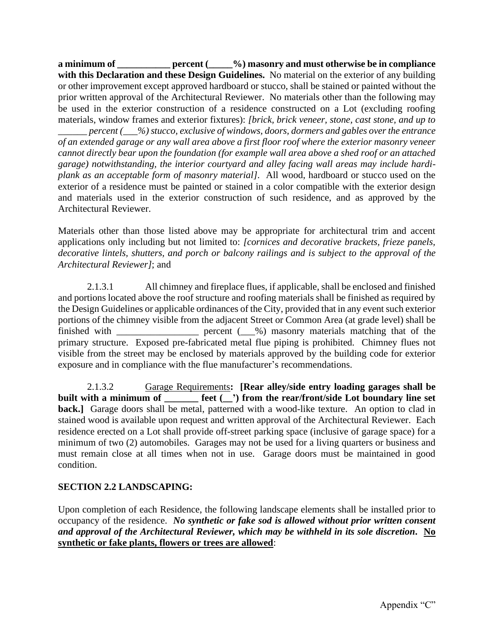**a minimum of \_\_\_\_\_\_\_\_\_\_\_ percent (\_\_\_\_\_%) masonry and must otherwise be in compliance with this Declaration and these Design Guidelines.** No material on the exterior of any building or other improvement except approved hardboard or stucco, shall be stained or painted without the prior written approval of the Architectural Reviewer. No materials other than the following may be used in the exterior construction of a residence constructed on a Lot (excluding roofing materials, window frames and exterior fixtures): *[brick, brick veneer, stone, cast stone, and up to \_\_\_\_\_\_ percent (\_\_\_%) stucco, exclusive of windows, doors, dormers and gables over the entrance* 

*of an extended garage or any wall area above a first floor roof where the exterior masonry veneer cannot directly bear upon the foundation (for example wall area above a shed roof or an attached garage) notwithstanding, the interior courtyard and alley facing wall areas may include hardiplank as an acceptable form of masonry material]*. All wood, hardboard or stucco used on the exterior of a residence must be painted or stained in a color compatible with the exterior design and materials used in the exterior construction of such residence, and as approved by the Architectural Reviewer.

Materials other than those listed above may be appropriate for architectural trim and accent applications only including but not limited to: *[cornices and decorative brackets, frieze panels, decorative lintels, shutters, and porch or balcony railings and is subject to the approval of the Architectural Reviewer]*; and

2.1.3.1 All chimney and fireplace flues, if applicable, shall be enclosed and finished and portions located above the roof structure and roofing materials shall be finished as required by the Design Guidelines or applicable ordinances of the City, provided that in any event such exterior portions of the chimney visible from the adjacent Street or Common Area (at grade level) shall be finished with  $\qquad \qquad$  percent  $(\_\fty\%)$  masonry materials matching that of the primary structure. Exposed pre-fabricated metal flue piping is prohibited. Chimney flues not visible from the street may be enclosed by materials approved by the building code for exterior exposure and in compliance with the flue manufacturer's recommendations.

2.1.3.2 Garage Requirements**: [Rear alley/side entry loading garages shall be built with a minimum of \_\_\_\_\_\_\_ feet (\_\_') from the rear/front/side Lot boundary line set back.**] Garage doors shall be metal, patterned with a wood-like texture. An option to clad in stained wood is available upon request and written approval of the Architectural Reviewer. Each residence erected on a Lot shall provide off-street parking space (inclusive of garage space) for a minimum of two (2) automobiles. Garages may not be used for a living quarters or business and must remain close at all times when not in use. Garage doors must be maintained in good condition.

# **SECTION 2.2 LANDSCAPING:**

Upon completion of each Residence, the following landscape elements shall be installed prior to occupancy of the residence. *No synthetic or fake sod is allowed without prior written consent and approval of the Architectural Reviewer, which may be withheld in its sole discretion.* **No synthetic or fake plants, flowers or trees are allowed**: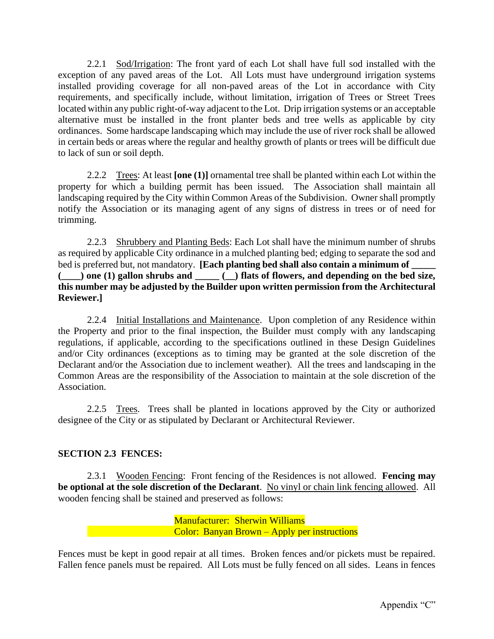2.2.1 Sod/Irrigation: The front yard of each Lot shall have full sod installed with the exception of any paved areas of the Lot. All Lots must have underground irrigation systems installed providing coverage for all non-paved areas of the Lot in accordance with City requirements, and specifically include, without limitation, irrigation of Trees or Street Trees located within any public right-of-way adjacent to the Lot. Drip irrigation systems or an acceptable alternative must be installed in the front planter beds and tree wells as applicable by city ordinances. Some hardscape landscaping which may include the use of river rock shall be allowed in certain beds or areas where the regular and healthy growth of plants or trees will be difficult due to lack of sun or soil depth.

2.2.2 Trees: At least **[one (1)]** ornamental tree shall be planted within each Lot within the property for which a building permit has been issued. The Association shall maintain all landscaping required by the City within Common Areas of the Subdivision. Owner shall promptly notify the Association or its managing agent of any signs of distress in trees or of need for trimming.

2.2.3 Shrubbery and Planting Beds: Each Lot shall have the minimum number of shrubs as required by applicable City ordinance in a mulched planting bed; edging to separate the sod and bed is preferred but, not mandatory. **[Each planting bed shall also contain a minimum of (\_\_\_\_) one (1) gallon shrubs and \_\_\_\_\_ (\_\_) flats of flowers, and depending on the bed size, this number may be adjusted by the Builder upon written permission from the Architectural Reviewer.]**

2.2.4 Initial Installations and Maintenance. Upon completion of any Residence within the Property and prior to the final inspection, the Builder must comply with any landscaping regulations, if applicable, according to the specifications outlined in these Design Guidelines and/or City ordinances (exceptions as to timing may be granted at the sole discretion of the Declarant and/or the Association due to inclement weather). All the trees and landscaping in the Common Areas are the responsibility of the Association to maintain at the sole discretion of the Association.

2.2.5 Trees. Trees shall be planted in locations approved by the City or authorized designee of the City or as stipulated by Declarant or Architectural Reviewer.

# **SECTION 2.3 FENCES:**

2.3.1 Wooden Fencing: Front fencing of the Residences is not allowed. **Fencing may be optional at the sole discretion of the Declarant**. No vinyl or chain link fencing allowed. All wooden fencing shall be stained and preserved as follows:

> Manufacturer: Sherwin Williams Color: Banyan Brown – Apply per instructions

Fences must be kept in good repair at all times. Broken fences and/or pickets must be repaired. Fallen fence panels must be repaired. All Lots must be fully fenced on all sides. Leans in fences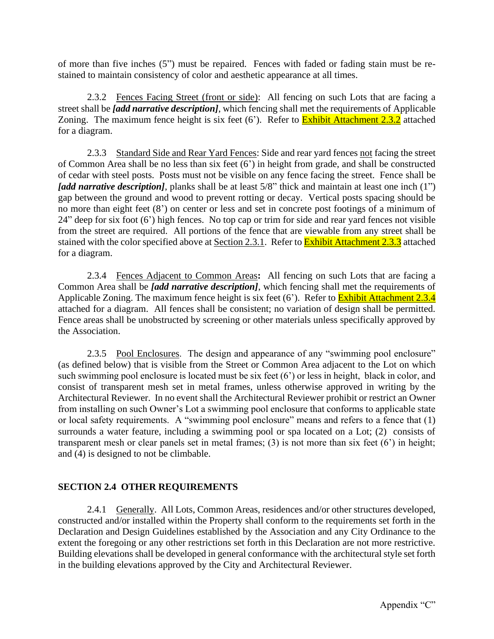of more than five inches (5") must be repaired. Fences with faded or fading stain must be restained to maintain consistency of color and aesthetic appearance at all times.

2.3.2 Fences Facing Street (front or side): All fencing on such Lots that are facing a street shall be *[add narrative description]*, which fencing shall met the requirements of Applicable Zoning. The maximum fence height is six feet  $(6')$ . Refer to **Exhibit Attachment 2.3.2** attached for a diagram.

2.3.3 Standard Side and Rear Yard Fences: Side and rear yard fences not facing the street of Common Area shall be no less than six feet (6') in height from grade, and shall be constructed of cedar with steel posts. Posts must not be visible on any fence facing the street. Fence shall be *[add narrative description]*, planks shall be at least 5/8" thick and maintain at least one inch (1") gap between the ground and wood to prevent rotting or decay. Vertical posts spacing should be no more than eight feet (8') on center or less and set in concrete post footings of a minimum of 24" deep for six foot (6') high fences. No top cap or trim for side and rear yard fences not visible from the street are required. All portions of the fence that are viewable from any street shall be stained with the color specified above at Section 2.3.1. Refer to **Exhibit Attachment 2.3.3** attached for a diagram.

2.3.4 Fences Adjacent to Common Areas**:** All fencing on such Lots that are facing a Common Area shall be *[add narrative description]*, which fencing shall met the requirements of Applicable Zoning. The maximum fence height is six feet (6'). Refer to **Exhibit Attachment 2.3.4** attached for a diagram. All fences shall be consistent; no variation of design shall be permitted. Fence areas shall be unobstructed by screening or other materials unless specifically approved by the Association.

2.3.5 Pool Enclosures. The design and appearance of any "swimming pool enclosure" (as defined below) that is visible from the Street or Common Area adjacent to the Lot on which such swimming pool enclosure is located must be six feet (6') or less in height, black in color, and consist of transparent mesh set in metal frames, unless otherwise approved in writing by the Architectural Reviewer. In no event shall the Architectural Reviewer prohibit or restrict an Owner from installing on such Owner's Lot a swimming pool enclosure that conforms to applicable state or local safety requirements. A "swimming pool enclosure" means and refers to a fence that (1) surrounds a water feature, including a swimming pool or spa located on a Lot; (2) consists of transparent mesh or clear panels set in metal frames; (3) is not more than six feet (6') in height; and (4) is designed to not be climbable.

### **SECTION 2.4 OTHER REQUIREMENTS**

2.4.1 Generally. All Lots, Common Areas, residences and/or other structures developed, constructed and/or installed within the Property shall conform to the requirements set forth in the Declaration and Design Guidelines established by the Association and any City Ordinance to the extent the foregoing or any other restrictions set forth in this Declaration are not more restrictive. Building elevations shall be developed in general conformance with the architectural style set forth in the building elevations approved by the City and Architectural Reviewer.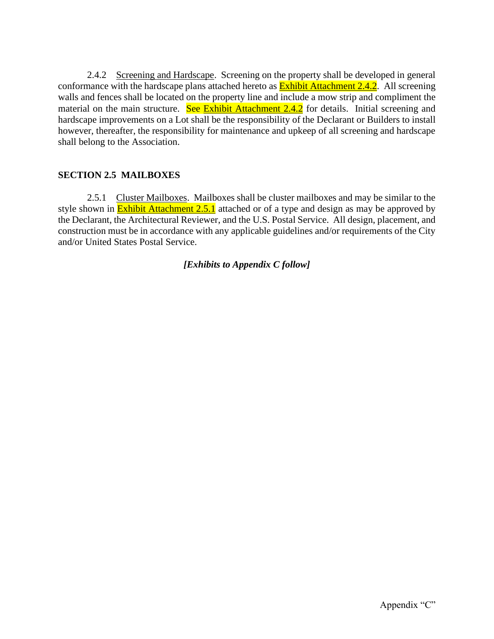2.4.2 Screening and Hardscape. Screening on the property shall be developed in general conformance with the hardscape plans attached hereto as **Exhibit Attachment 2.4.2**. All screening walls and fences shall be located on the property line and include a mow strip and compliment the material on the main structure. See Exhibit Attachment 2.4.2 for details. Initial screening and hardscape improvements on a Lot shall be the responsibility of the Declarant or Builders to install however, thereafter, the responsibility for maintenance and upkeep of all screening and hardscape shall belong to the Association.

## **SECTION 2.5 MAILBOXES**

2.5.1 Cluster Mailboxes. Mailboxes shall be cluster mailboxes and may be similar to the style shown in **Exhibit Attachment 2.5.1** attached or of a type and design as may be approved by the Declarant, the Architectural Reviewer, and the U.S. Postal Service. All design, placement, and construction must be in accordance with any applicable guidelines and/or requirements of the City and/or United States Postal Service.

### *[Exhibits to Appendix C follow]*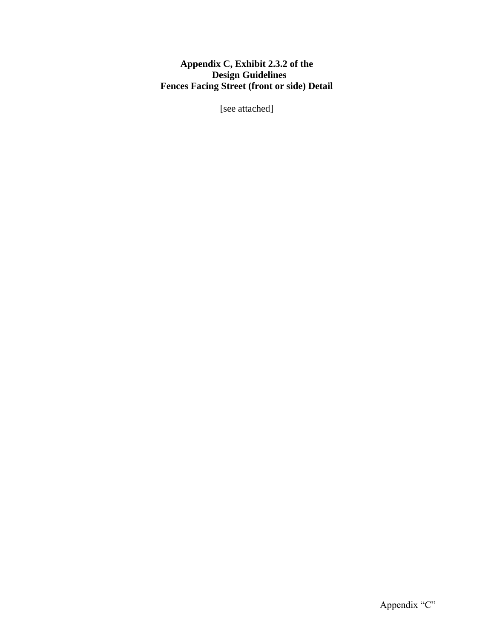# **Appendix C, Exhibit 2.3.2 of the Design Guidelines Fences Facing Street (front or side) Detail**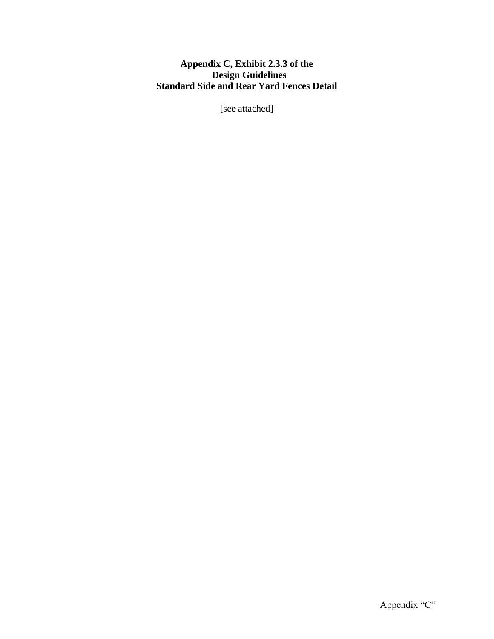### **Appendix C, Exhibit 2.3.3 of the Design Guidelines Standard Side and Rear Yard Fences Detail**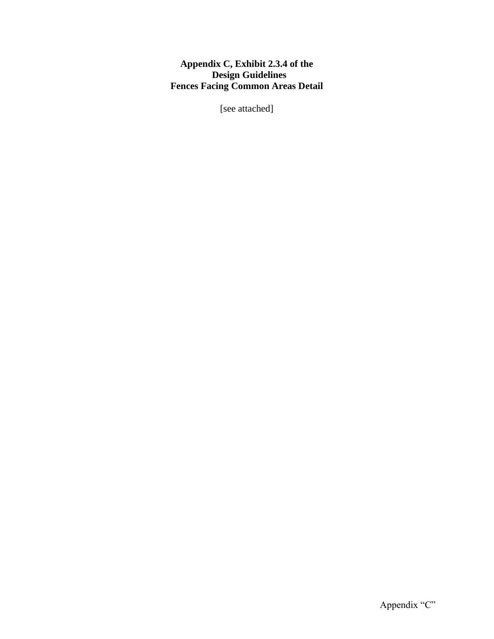## **Appendix C, Exhibit 2.3.4 of the Design Guidelines Fences Facing Common Areas Detail**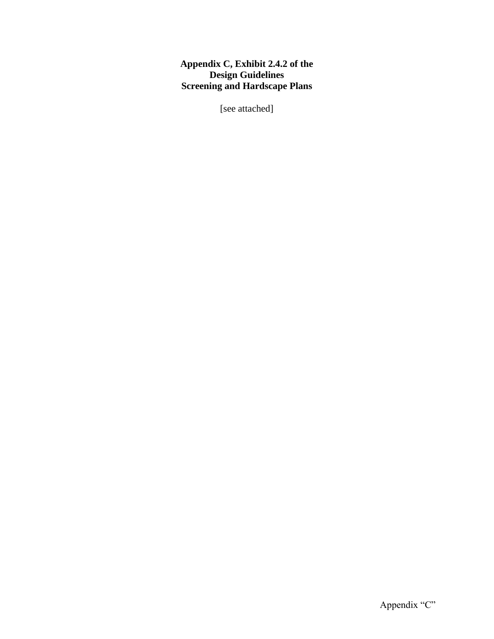## **Appendix C, Exhibit 2.4.2 of the Design Guidelines Screening and Hardscape Plans**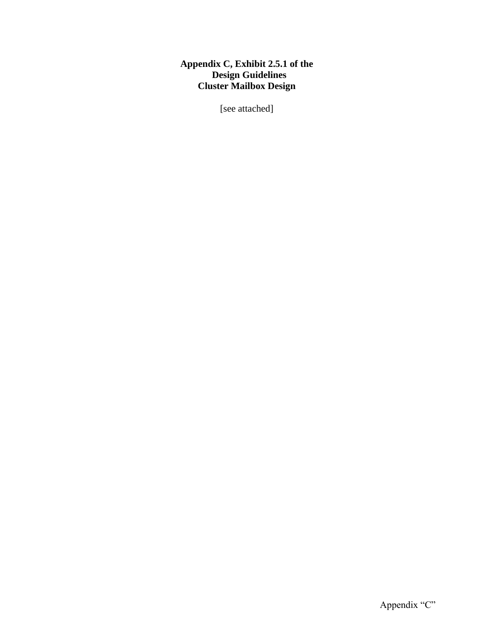## **Appendix C, Exhibit 2.5.1 of the Design Guidelines Cluster Mailbox Design**